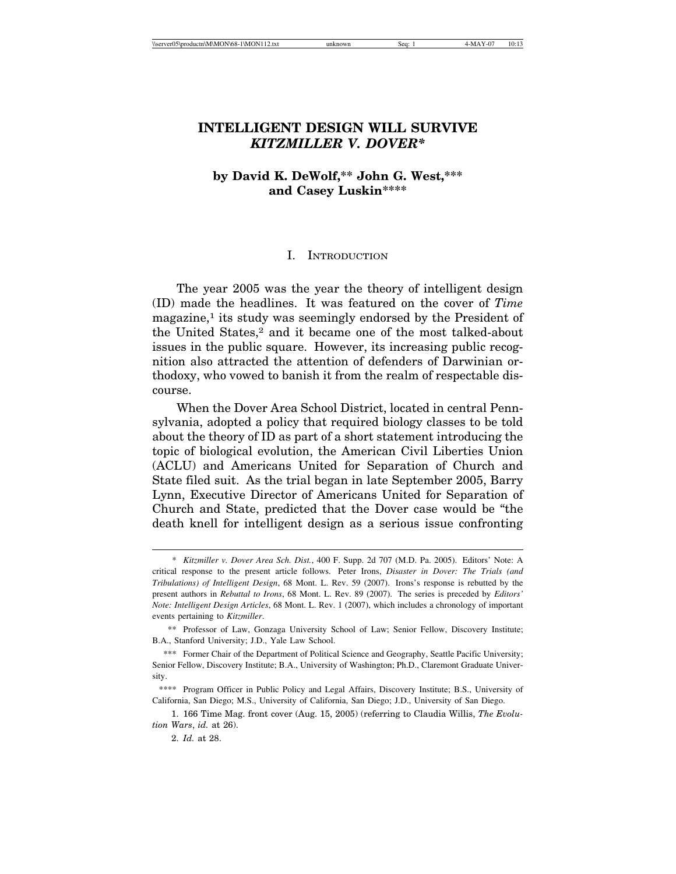# **INTELLIGENT DESIGN WILL SURVIVE** *KITZMILLER V. DOVER\**

# **by David K. DeWolf,\*\* John G. West,\*\*\* and Casey Luskin\*\*\*\***

#### I. INTRODUCTION

The year 2005 was the year the theory of intelligent design (ID) made the headlines. It was featured on the cover of *Time* magazine,<sup>1</sup> its study was seemingly endorsed by the President of the United States,2 and it became one of the most talked-about issues in the public square. However, its increasing public recognition also attracted the attention of defenders of Darwinian orthodoxy, who vowed to banish it from the realm of respectable discourse.

When the Dover Area School District, located in central Pennsylvania, adopted a policy that required biology classes to be told about the theory of ID as part of a short statement introducing the topic of biological evolution, the American Civil Liberties Union (ACLU) and Americans United for Separation of Church and State filed suit. As the trial began in late September 2005, Barry Lynn, Executive Director of Americans United for Separation of Church and State, predicted that the Dover case would be "the death knell for intelligent design as a serious issue confronting

<sup>\*</sup> *Kitzmiller v. Dover Area Sch. Dist.*, 400 F. Supp. 2d 707 (M.D. Pa. 2005). Editors' Note: A critical response to the present article follows. Peter Irons, *Disaster in Dover: The Trials (and Tribulations) of Intelligent Design*, 68 Mont. L. Rev. 59 (2007). Irons's response is rebutted by the present authors in *Rebuttal to Irons*, 68 Mont. L. Rev. 89 (2007). The series is preceded by *Editors' Note: Intelligent Design Articles*, 68 Mont. L. Rev. 1 (2007), which includes a chronology of important events pertaining to *Kitzmiller*.

<sup>\*\*</sup> Professor of Law, Gonzaga University School of Law; Senior Fellow, Discovery Institute; B.A., Stanford University; J.D., Yale Law School.

<sup>\*\*\*</sup> Former Chair of the Department of Political Science and Geography, Seattle Pacific University; Senior Fellow, Discovery Institute; B.A., University of Washington; Ph.D., Claremont Graduate University.

<sup>\*\*\*\*</sup> Program Officer in Public Policy and Legal Affairs, Discovery Institute; B.S., University of California, San Diego; M.S., University of California, San Diego; J.D., University of San Diego.

<sup>1. 166</sup> Time Mag. front cover (Aug. 15, 2005) (referring to Claudia Willis, *The Evolution Wars*, *id.* at 26).

<sup>2.</sup> *Id.* at 28.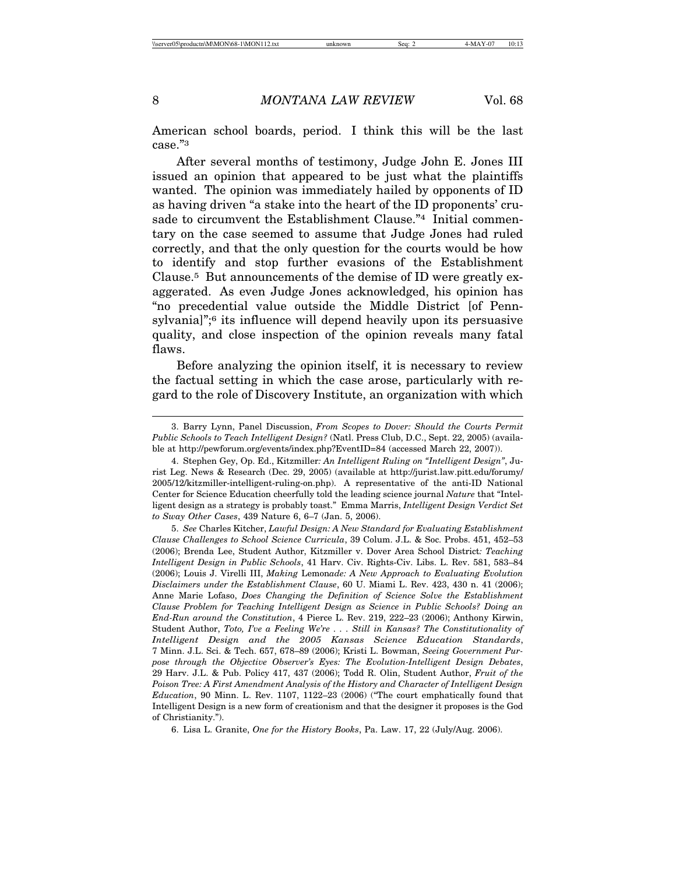American school boards, period. I think this will be the last case."3

After several months of testimony, Judge John E. Jones III issued an opinion that appeared to be just what the plaintiffs wanted. The opinion was immediately hailed by opponents of ID as having driven "a stake into the heart of the ID proponents' crusade to circumvent the Establishment Clause."<sup>4</sup> Initial commentary on the case seemed to assume that Judge Jones had ruled correctly, and that the only question for the courts would be how to identify and stop further evasions of the Establishment Clause.5 But announcements of the demise of ID were greatly exaggerated. As even Judge Jones acknowledged, his opinion has "no precedential value outside the Middle District [of Pennsylvania]";<sup>6</sup> its influence will depend heavily upon its persuasive quality, and close inspection of the opinion reveals many fatal flaws.

Before analyzing the opinion itself, it is necessary to review the factual setting in which the case arose, particularly with regard to the role of Discovery Institute, an organization with which

<sup>3.</sup> Barry Lynn, Panel Discussion, *From Scopes to Dover: Should the Courts Permit Public Schools to Teach Intelligent Design?* (Natl. Press Club, D.C., Sept. 22, 2005) (available at http://pewforum.org/events/index.php?EventID=84 (accessed March 22, 2007)).

<sup>4.</sup> Stephen Gey, Op. Ed., Kitzmiller*: An Intelligent Ruling on "Intelligent Design"*, Jurist Leg. News & Research (Dec. 29, 2005) (available at http://jurist.law.pitt.edu/forumy/ 2005/12/kitzmiller-intelligent-ruling-on.php). A representative of the anti-ID National Center for Science Education cheerfully told the leading science journal *Nature* that "Intelligent design as a strategy is probably toast." Emma Marris, *Intelligent Design Verdict Set to Sway Other Cases*, 439 Nature 6, 6–7 (Jan. 5, 2006).

<sup>5.</sup> *See* Charles Kitcher, *Lawful Design: A New Standard for Evaluating Establishment Clause Challenges to School Science Curricula*, 39 Colum. J.L. & Soc. Probs. 451, 452–53 (2006); Brenda Lee, Student Author, Kitzmiller v. Dover Area School District*: Teaching Intelligent Design in Public Schools*, 41 Harv. Civ. Rights-Civ. Libs. L. Rev. 581, 583–84 (2006); Louis J. Virelli III, *Making* Lemon*ade: A New Approach to Evaluating Evolution Disclaimers under the Establishment Clause*, 60 U. Miami L. Rev. 423, 430 n. 41 (2006); Anne Marie Lofaso, *Does Changing the Definition of Science Solve the Establishment Clause Problem for Teaching Intelligent Design as Science in Public Schools? Doing an End-Run around the Constitution*, 4 Pierce L. Rev. 219, 222–23 (2006); Anthony Kirwin, Student Author, *Toto, I've a Feeling We're . . . Still in Kansas? The Constitutionality of Intelligent Design and the 2005 Kansas Science Education Standards*, 7 Minn. J.L. Sci. & Tech. 657, 678–89 (2006); Kristi L. Bowman, *Seeing Government Purpose through the Objective Observer's Eyes: The Evolution-Intelligent Design Debates*, 29 Harv. J.L. & Pub. Policy 417, 437 (2006); Todd R. Olin, Student Author, *Fruit of the Poison Tree: A First Amendment Analysis of the History and Character of Intelligent Design Education*, 90 Minn. L. Rev. 1107, 1122–23 (2006) ("The court emphatically found that Intelligent Design is a new form of creationism and that the designer it proposes is the God of Christianity.").

<sup>6.</sup> Lisa L. Granite, *One for the History Books*, Pa. Law. 17, 22 (July/Aug. 2006).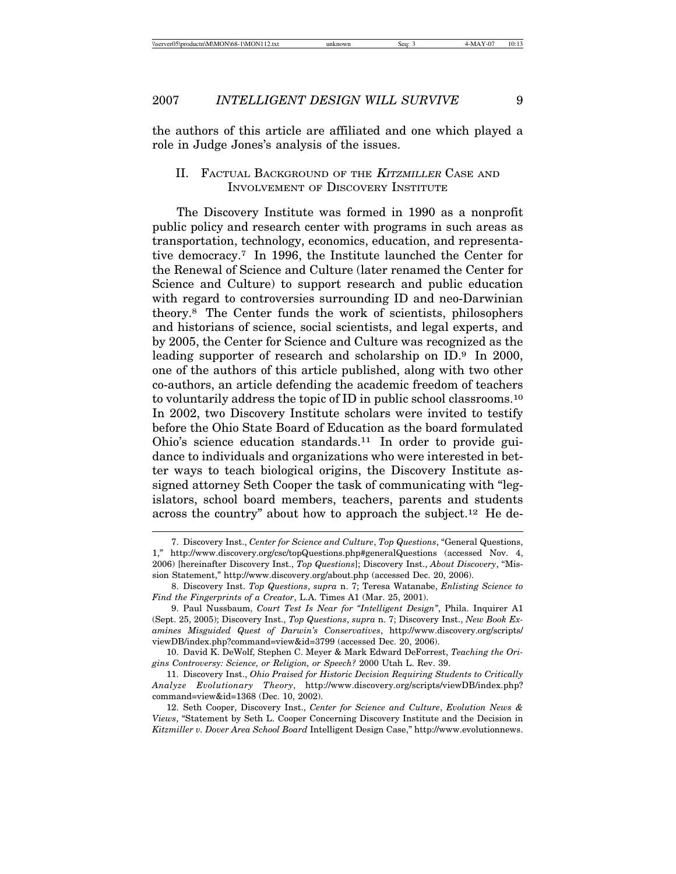the authors of this article are affiliated and one which played a role in Judge Jones's analysis of the issues.

# II. FACTUAL BACKGROUND OF THE KITZMILLER CASE AND INVOLVEMENT OF DISCOVERY INSTITUTE

The Discovery Institute was formed in 1990 as a nonprofit public policy and research center with programs in such areas as transportation, technology, economics, education, and representative democracy.7 In 1996, the Institute launched the Center for the Renewal of Science and Culture (later renamed the Center for Science and Culture) to support research and public education with regard to controversies surrounding ID and neo-Darwinian theory.8 The Center funds the work of scientists, philosophers and historians of science, social scientists, and legal experts, and by 2005, the Center for Science and Culture was recognized as the leading supporter of research and scholarship on ID.9 In 2000, one of the authors of this article published, along with two other co-authors, an article defending the academic freedom of teachers to voluntarily address the topic of ID in public school classrooms.10 In 2002, two Discovery Institute scholars were invited to testify before the Ohio State Board of Education as the board formulated Ohio's science education standards.11 In order to provide guidance to individuals and organizations who were interested in better ways to teach biological origins, the Discovery Institute assigned attorney Seth Cooper the task of communicating with "legislators, school board members, teachers, parents and students across the country" about how to approach the subject.12 He de-

<sup>7.</sup> Discovery Inst., *Center for Science and Culture*, *Top Questions*, "General Questions, 1," http://www.discovery.org/csc/topQuestions.php#generalQuestions (accessed Nov. 4, 2006) [hereinafter Discovery Inst., *Top Questions*]; Discovery Inst., *About Discovery*, "Mission Statement," http://www.discovery.org/about.php (accessed Dec. 20, 2006).

<sup>8.</sup> Discovery Inst. *Top Questions*, *supra* n. 7; Teresa Watanabe, *Enlisting Science to Find the Fingerprints of a Creator*, L.A. Times A1 (Mar. 25, 2001).

<sup>9.</sup> Paul Nussbaum, *Court Test Is Near for "Intelligent Design"*, Phila. Inquirer A1 (Sept. 25, 2005); Discovery Inst., *Top Questions*, *supra* n. 7; Discovery Inst., *New Book Examines Misguided Quest of Darwin's Conservatives*, http://www.discovery.org/scripts/ viewDB/index.php?command=view&id=3799 (accessed Dec. 20, 2006).

<sup>10.</sup> David K. DeWolf, Stephen C. Meyer & Mark Edward DeForrest, *Teaching the Origins Controversy: Science, or Religion, or Speech?* 2000 Utah L. Rev. 39.

<sup>11.</sup> Discovery Inst., *Ohio Praised for Historic Decision Requiring Students to Critically Analyze Evolutionary Theory*, http://www.discovery.org/scripts/viewDB/index.php? command=view&id=1368 (Dec. 10, 2002).

<sup>12.</sup> Seth Cooper, Discovery Inst., *Center for Science and Culture*, *Evolution News & Views*, "Statement by Seth L. Cooper Concerning Discovery Institute and the Decision in *Kitzmiller v. Dover Area School Board* Intelligent Design Case," http://www.evolutionnews.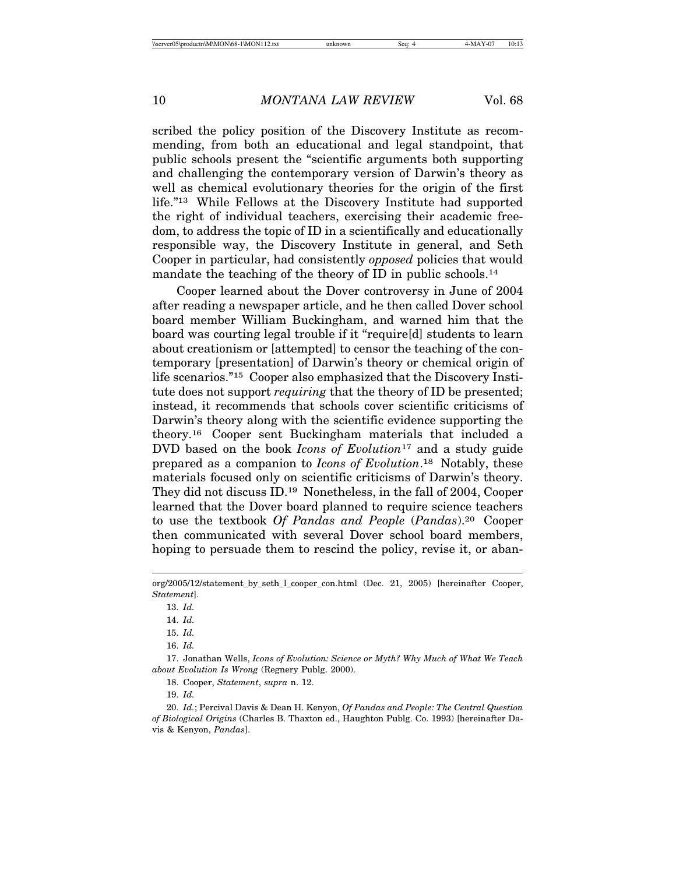scribed the policy position of the Discovery Institute as recommending, from both an educational and legal standpoint, that public schools present the "scientific arguments both supporting and challenging the contemporary version of Darwin's theory as well as chemical evolutionary theories for the origin of the first life."13 While Fellows at the Discovery Institute had supported the right of individual teachers, exercising their academic freedom, to address the topic of ID in a scientifically and educationally responsible way, the Discovery Institute in general, and Seth Cooper in particular, had consistently *opposed* policies that would mandate the teaching of the theory of ID in public schools.<sup>14</sup>

Cooper learned about the Dover controversy in June of 2004 after reading a newspaper article, and he then called Dover school board member William Buckingham, and warned him that the board was courting legal trouble if it "require[d] students to learn about creationism or [attempted] to censor the teaching of the contemporary [presentation] of Darwin's theory or chemical origin of life scenarios."15 Cooper also emphasized that the Discovery Institute does not support *requiring* that the theory of ID be presented; instead, it recommends that schools cover scientific criticisms of Darwin's theory along with the scientific evidence supporting the theory.16 Cooper sent Buckingham materials that included a DVD based on the book *Icons of Evolution*17 and a study guide prepared as a companion to *Icons of Evolution*.18 Notably, these materials focused only on scientific criticisms of Darwin's theory. They did not discuss ID.19 Nonetheless, in the fall of 2004, Cooper learned that the Dover board planned to require science teachers to use the textbook *Of Pandas and People* (*Pandas*).20 Cooper then communicated with several Dover school board members, hoping to persuade them to rescind the policy, revise it, or aban-

org/2005/12/statement\_by\_seth\_l\_cooper\_con.html (Dec. 21, 2005) [hereinafter Cooper, *Statement*].

<sup>13.</sup> *Id.*

<sup>14.</sup> *Id.*

<sup>15.</sup> *Id.*

<sup>16.</sup> *Id.*

<sup>17.</sup> Jonathan Wells, *Icons of Evolution: Science or Myth? Why Much of What We Teach about Evolution Is Wrong* (Regnery Publg. 2000).

<sup>18.</sup> Cooper, *Statement*, *supra* n. 12.

<sup>19.</sup> *Id.*

<sup>20.</sup> *Id.*; Percival Davis & Dean H. Kenyon, *Of Pandas and People: The Central Question of Biological Origins* (Charles B. Thaxton ed., Haughton Publg. Co. 1993) [hereinafter Davis & Kenyon, *Pandas*].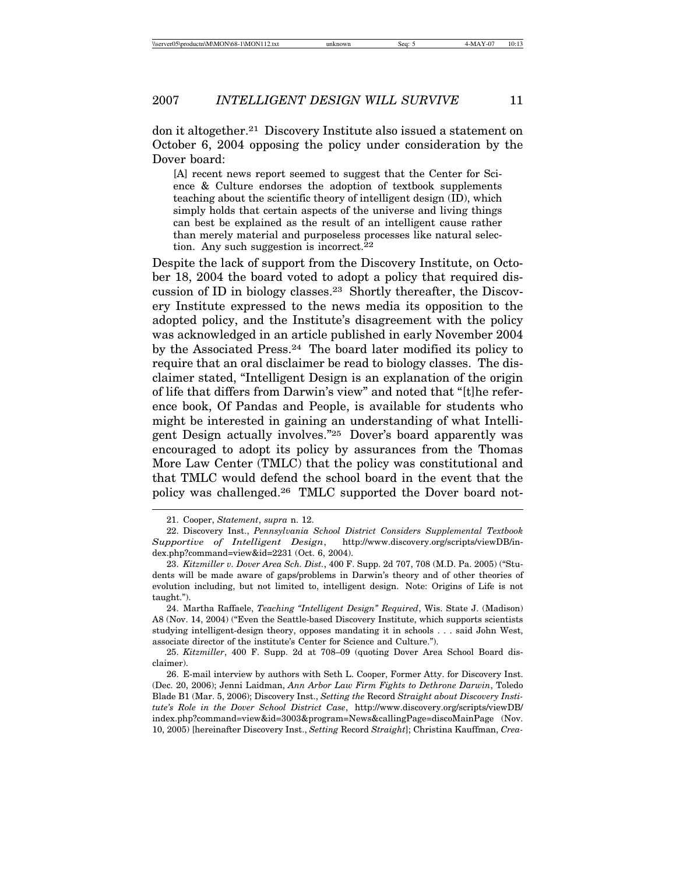don it altogether.21 Discovery Institute also issued a statement on October 6, 2004 opposing the policy under consideration by the Dover board:

[A] recent news report seemed to suggest that the Center for Science & Culture endorses the adoption of textbook supplements teaching about the scientific theory of intelligent design (ID), which simply holds that certain aspects of the universe and living things can best be explained as the result of an intelligent cause rather than merely material and purposeless processes like natural selection. Any such suggestion is incorrect.<sup>22</sup>

Despite the lack of support from the Discovery Institute, on October 18, 2004 the board voted to adopt a policy that required discussion of ID in biology classes.23 Shortly thereafter, the Discovery Institute expressed to the news media its opposition to the adopted policy, and the Institute's disagreement with the policy was acknowledged in an article published in early November 2004 by the Associated Press.24 The board later modified its policy to require that an oral disclaimer be read to biology classes. The disclaimer stated, "Intelligent Design is an explanation of the origin of life that differs from Darwin's view" and noted that "[t]he reference book, Of Pandas and People, is available for students who might be interested in gaining an understanding of what Intelligent Design actually involves."25 Dover's board apparently was encouraged to adopt its policy by assurances from the Thomas More Law Center (TMLC) that the policy was constitutional and that TMLC would defend the school board in the event that the policy was challenged.26 TMLC supported the Dover board not-

<sup>21.</sup> Cooper, *Statement*, *supra* n. 12.

<sup>22.</sup> Discovery Inst., *Pennsylvania School District Considers Supplemental Textbook Supportive of Intelligent Design*, http://www.discovery.org/scripts/viewDB/index.php?command=view&id=2231 (Oct. 6, 2004).

<sup>23.</sup> *Kitzmiller v. Dover Area Sch. Dist.*, 400 F. Supp. 2d 707, 708 (M.D. Pa. 2005) ("Students will be made aware of gaps/problems in Darwin's theory and of other theories of evolution including, but not limited to, intelligent design. Note: Origins of Life is not taught.").

<sup>24.</sup> Martha Raffaele, *Teaching "Intelligent Design" Required*, Wis. State J. (Madison) A8 (Nov. 14, 2004) ("Even the Seattle-based Discovery Institute, which supports scientists studying intelligent-design theory, opposes mandating it in schools . . . said John West, associate director of the institute's Center for Science and Culture.").

<sup>25.</sup> *Kitzmiller*, 400 F. Supp. 2d at 708–09 (quoting Dover Area School Board disclaimer).

<sup>26.</sup> E-mail interview by authors with Seth L. Cooper, Former Atty. for Discovery Inst. (Dec. 20, 2006); Jenni Laidman, *Ann Arbor Law Firm Fights to Dethrone Darwin*, Toledo Blade B1 (Mar. 5, 2006); Discovery Inst., *Setting the* Record *Straight about Discovery Institute's Role in the Dover School District Case*, http://www.discovery.org/scripts/viewDB/ index.php?command=view&id=3003&program=News&callingPage=discoMainPage (Nov. 10, 2005) [hereinafter Discovery Inst., *Setting* Record *Straight*]; Christina Kauffman, *Crea-*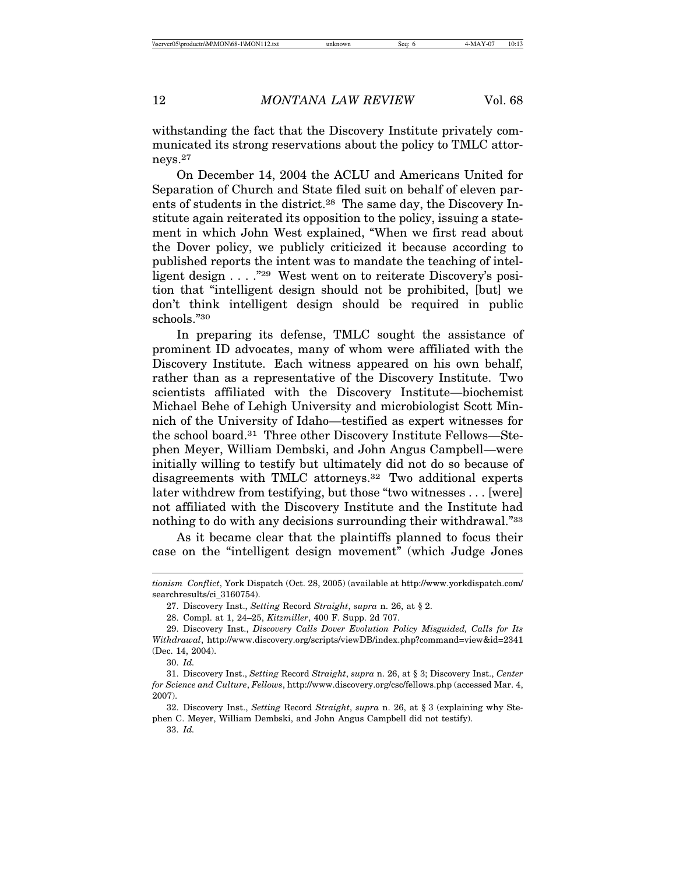withstanding the fact that the Discovery Institute privately communicated its strong reservations about the policy to TMLC attorneys.27

On December 14, 2004 the ACLU and Americans United for Separation of Church and State filed suit on behalf of eleven parents of students in the district.<sup>28</sup> The same day, the Discovery Institute again reiterated its opposition to the policy, issuing a statement in which John West explained, "When we first read about the Dover policy, we publicly criticized it because according to published reports the intent was to mandate the teaching of intelligent design . . . . "29 West went on to reiterate Discovery's position that "intelligent design should not be prohibited, [but] we don't think intelligent design should be required in public schools."30

In preparing its defense, TMLC sought the assistance of prominent ID advocates, many of whom were affiliated with the Discovery Institute. Each witness appeared on his own behalf, rather than as a representative of the Discovery Institute. Two scientists affiliated with the Discovery Institute—biochemist Michael Behe of Lehigh University and microbiologist Scott Minnich of the University of Idaho—testified as expert witnesses for the school board.31 Three other Discovery Institute Fellows—Stephen Meyer, William Dembski, and John Angus Campbell—were initially willing to testify but ultimately did not do so because of disagreements with TMLC attorneys.32 Two additional experts later withdrew from testifying, but those "two witnesses . . . [were] not affiliated with the Discovery Institute and the Institute had nothing to do with any decisions surrounding their withdrawal."33

As it became clear that the plaintiffs planned to focus their case on the "intelligent design movement" (which Judge Jones

*tionism Conflict*, York Dispatch (Oct. 28, 2005) (available at http://www.yorkdispatch.com/ searchresults/ci\_3160754).

<sup>27.</sup> Discovery Inst., *Setting* Record *Straight*, *supra* n. 26, at § 2.

<sup>28.</sup> Compl. at 1, 24–25, *Kitzmiller*, 400 F. Supp. 2d 707.

<sup>29.</sup> Discovery Inst., *Discovery Calls Dover Evolution Policy Misguided, Calls for Its Withdrawal*, http://www.discovery.org/scripts/viewDB/index.php?command=view&id=2341 (Dec. 14, 2004).

<sup>30.</sup> *Id.*

<sup>31.</sup> Discovery Inst., *Setting* Record *Straight*, *supra* n. 26, at § 3; Discovery Inst., *Center for Science and Culture*, *Fellows*, http://www.discovery.org/csc/fellows.php (accessed Mar. 4, 2007).

<sup>32.</sup> Discovery Inst., *Setting* Record *Straight*, *supra* n. 26, at § 3 (explaining why Stephen C. Meyer, William Dembski, and John Angus Campbell did not testify).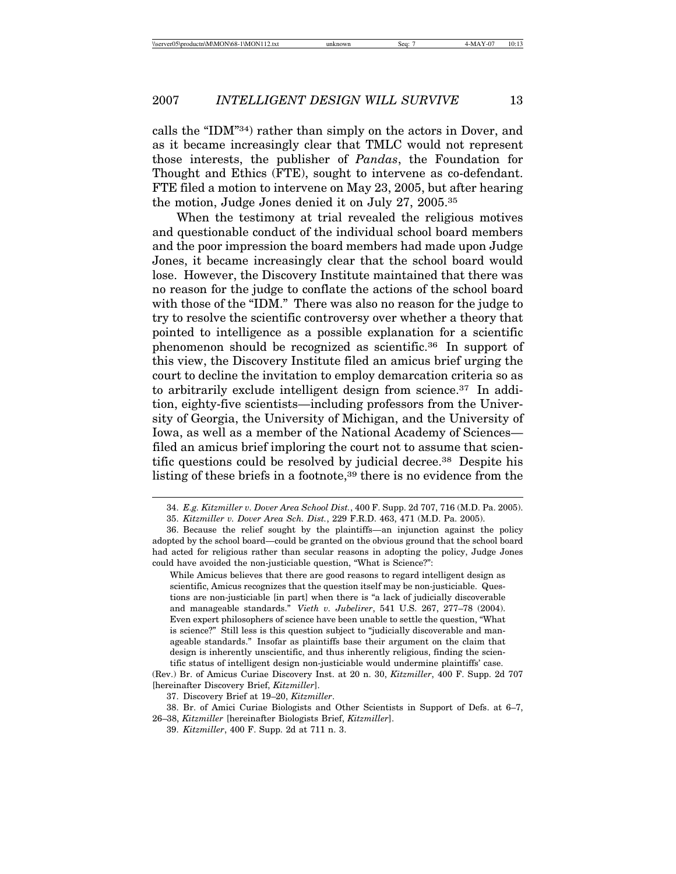calls the "IDM"34) rather than simply on the actors in Dover, and as it became increasingly clear that TMLC would not represent those interests, the publisher of *Pandas*, the Foundation for Thought and Ethics (FTE), sought to intervene as co-defendant. FTE filed a motion to intervene on May 23, 2005, but after hearing the motion, Judge Jones denied it on July 27, 2005.35

When the testimony at trial revealed the religious motives and questionable conduct of the individual school board members and the poor impression the board members had made upon Judge Jones, it became increasingly clear that the school board would lose. However, the Discovery Institute maintained that there was no reason for the judge to conflate the actions of the school board with those of the "IDM." There was also no reason for the judge to try to resolve the scientific controversy over whether a theory that pointed to intelligence as a possible explanation for a scientific phenomenon should be recognized as scientific.36 In support of this view, the Discovery Institute filed an amicus brief urging the court to decline the invitation to employ demarcation criteria so as to arbitrarily exclude intelligent design from science.37 In addition, eighty-five scientists—including professors from the University of Georgia, the University of Michigan, and the University of Iowa, as well as a member of the National Academy of Sciences filed an amicus brief imploring the court not to assume that scientific questions could be resolved by judicial decree.38 Despite his listing of these briefs in a footnote,39 there is no evidence from the

While Amicus believes that there are good reasons to regard intelligent design as scientific, Amicus recognizes that the question itself may be non-justiciable. Questions are non-justiciable [in part] when there is "a lack of judicially discoverable and manageable standards." *Vieth v. Jubelirer*, 541 U.S. 267, 277–78 (2004). Even expert philosophers of science have been unable to settle the question, "What is science?" Still less is this question subject to "judicially discoverable and manageable standards." Insofar as plaintiffs base their argument on the claim that design is inherently unscientific, and thus inherently religious, finding the scientific status of intelligent design non-justiciable would undermine plaintiffs' case.

<sup>34.</sup> *E.g. Kitzmiller v. Dover Area School Dist.*, 400 F. Supp. 2d 707, 716 (M.D. Pa. 2005).

<sup>35.</sup> *Kitzmiller v. Dover Area Sch. Dist.*, 229 F.R.D. 463, 471 (M.D. Pa. 2005).

<sup>36.</sup> Because the relief sought by the plaintiffs—an injunction against the policy adopted by the school board—could be granted on the obvious ground that the school board had acted for religious rather than secular reasons in adopting the policy, Judge Jones could have avoided the non-justiciable question, "What is Science?":

<sup>(</sup>Rev.) Br. of Amicus Curiae Discovery Inst. at 20 n. 30, *Kitzmiller*, 400 F. Supp. 2d 707 [hereinafter Discovery Brief, *Kitzmiller*].

<sup>37.</sup> Discovery Brief at 19–20, *Kitzmiller*.

<sup>38.</sup> Br. of Amici Curiae Biologists and Other Scientists in Support of Defs. at 6–7,

<sup>26–38,</sup> *Kitzmiller* [hereinafter Biologists Brief, *Kitzmiller*].

<sup>39.</sup> *Kitzmiller*, 400 F. Supp. 2d at 711 n. 3.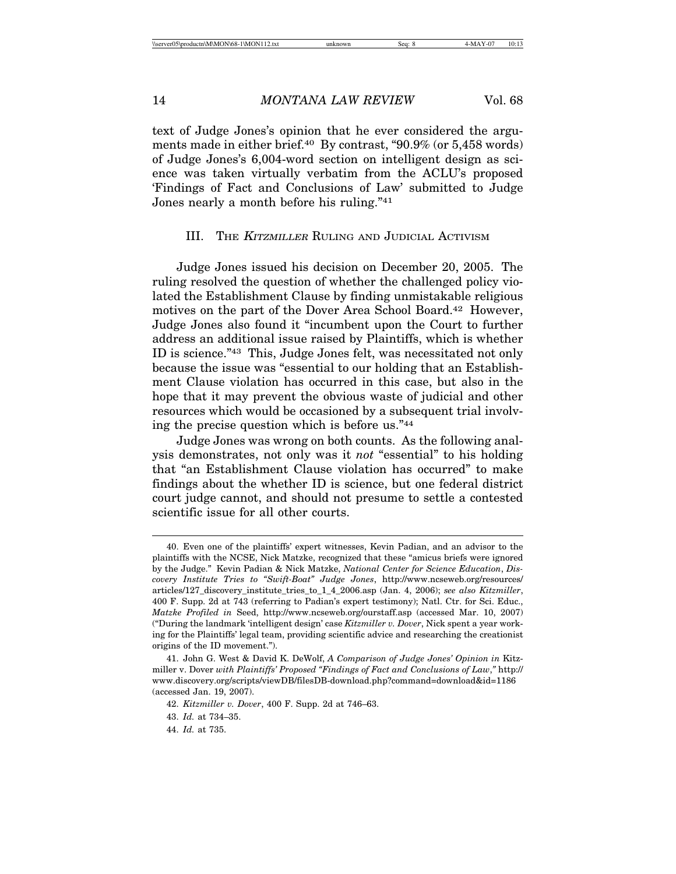text of Judge Jones's opinion that he ever considered the arguments made in either brief.40 By contrast, "90.9% (or 5,458 words) of Judge Jones's 6,004-word section on intelligent design as science was taken virtually verbatim from the ACLU's proposed 'Findings of Fact and Conclusions of Law' submitted to Judge Jones nearly a month before his ruling."41

# III. THE KITZMILLER RULING AND JUDICIAL ACTIVISM

Judge Jones issued his decision on December 20, 2005. The ruling resolved the question of whether the challenged policy violated the Establishment Clause by finding unmistakable religious motives on the part of the Dover Area School Board.<sup>42</sup> However, Judge Jones also found it "incumbent upon the Court to further address an additional issue raised by Plaintiffs, which is whether ID is science."43 This, Judge Jones felt, was necessitated not only because the issue was "essential to our holding that an Establishment Clause violation has occurred in this case, but also in the hope that it may prevent the obvious waste of judicial and other resources which would be occasioned by a subsequent trial involving the precise question which is before us."44

Judge Jones was wrong on both counts. As the following analysis demonstrates, not only was it *not* "essential" to his holding that "an Establishment Clause violation has occurred" to make findings about the whether ID is science, but one federal district court judge cannot, and should not presume to settle a contested scientific issue for all other courts.

<sup>40.</sup> Even one of the plaintiffs' expert witnesses, Kevin Padian, and an advisor to the plaintiffs with the NCSE, Nick Matzke, recognized that these "amicus briefs were ignored by the Judge." Kevin Padian & Nick Matzke, *National Center for Science Education*, *Discovery Institute Tries to "Swift-Boat" Judge Jones*, http://www.ncseweb.org/resources/ articles/127\_discovery\_institute\_tries\_to\_1\_4\_2006.asp (Jan. 4, 2006); *see also Kitzmiller*, 400 F. Supp. 2d at 743 (referring to Padian's expert testimony); Natl. Ctr. for Sci. Educ., *Matzke Profiled in* Seed, http://www.ncseweb.org/ourstaff.asp (accessed Mar. 10, 2007) ("During the landmark 'intelligent design' case *Kitzmiller v. Dover*, Nick spent a year working for the Plaintiffs' legal team, providing scientific advice and researching the creationist origins of the ID movement.").

<sup>41.</sup> John G. West & David K. DeWolf, *A Comparison of Judge Jones' Opinion in* Kitzmiller v. Dover *with Plaintiffs' Proposed "Findings of Fact and Conclusions of Law*,*"* http:// www.discovery.org/scripts/viewDB/filesDB-download.php?command=download&id=1186 (accessed Jan. 19, 2007).

<sup>42.</sup> *Kitzmiller v. Dover*, 400 F. Supp. 2d at 746–63.

<sup>43.</sup> *Id.* at 734–35.

<sup>44.</sup> *Id.* at 735.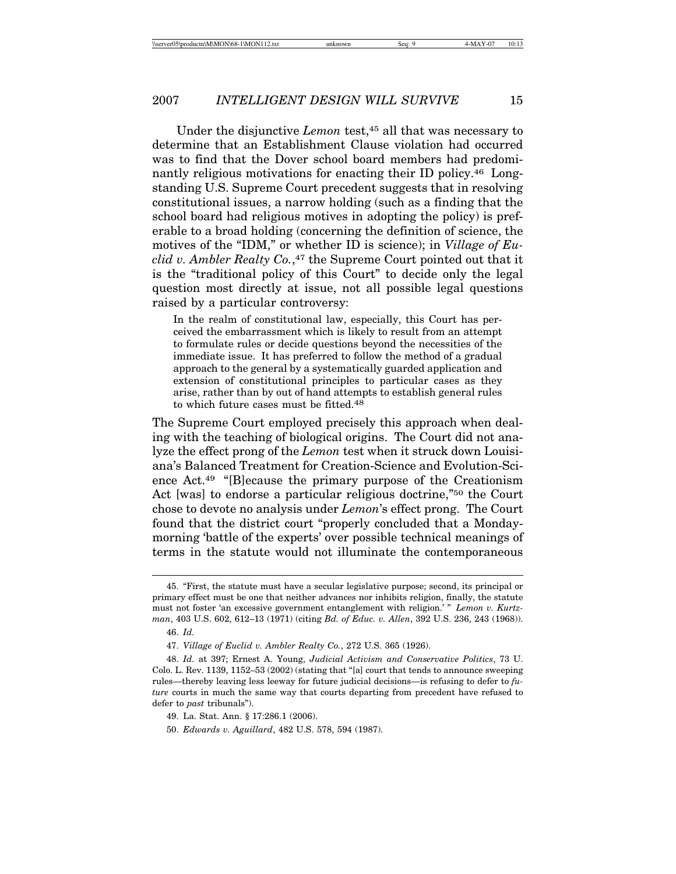Under the disjunctive *Lemon* test,45 all that was necessary to determine that an Establishment Clause violation had occurred was to find that the Dover school board members had predominantly religious motivations for enacting their ID policy.<sup>46</sup> Longstanding U.S. Supreme Court precedent suggests that in resolving constitutional issues, a narrow holding (such as a finding that the school board had religious motives in adopting the policy) is preferable to a broad holding (concerning the definition of science, the motives of the "IDM," or whether ID is science); in *Village of Euclid v. Ambler Realty Co.*,<sup>47</sup> the Supreme Court pointed out that it is the "traditional policy of this Court" to decide only the legal question most directly at issue, not all possible legal questions raised by a particular controversy:

In the realm of constitutional law, especially, this Court has perceived the embarrassment which is likely to result from an attempt to formulate rules or decide questions beyond the necessities of the immediate issue. It has preferred to follow the method of a gradual approach to the general by a systematically guarded application and extension of constitutional principles to particular cases as they arise, rather than by out of hand attempts to establish general rules to which future cases must be fitted.48

The Supreme Court employed precisely this approach when dealing with the teaching of biological origins. The Court did not analyze the effect prong of the *Lemon* test when it struck down Louisiana's Balanced Treatment for Creation-Science and Evolution-Science Act.49 "[B]ecause the primary purpose of the Creationism Act [was] to endorse a particular religious doctrine,"50 the Court chose to devote no analysis under *Lemon*'s effect prong. The Court found that the district court "properly concluded that a Mondaymorning 'battle of the experts' over possible technical meanings of terms in the statute would not illuminate the contemporaneous

50. *Edwards v. Aguillard*, 482 U.S. 578, 594 (1987).

<sup>45. &</sup>quot;First, the statute must have a secular legislative purpose; second, its principal or primary effect must be one that neither advances nor inhibits religion, finally, the statute must not foster 'an excessive government entanglement with religion.' " *Lemon v. Kurtzman*, 403 U.S. 602, 612–13 (1971) (citing *Bd. of Educ. v. Allen*, 392 U.S. 236, 243 (1968)). 46. *Id.*

<sup>47.</sup> *Village of Euclid v. Ambler Realty Co.*, 272 U.S. 365 (1926).

<sup>48.</sup> *Id.* at 397; Ernest A. Young, *Judicial Activism and Conservative Politics*, 73 U. Colo. L. Rev. 1139, 1152–53 (2002) (stating that "[a] court that tends to announce sweeping rules—thereby leaving less leeway for future judicial decisions—is refusing to defer to *future* courts in much the same way that courts departing from precedent have refused to defer to *past* tribunals").

<sup>49.</sup> La. Stat. Ann. § 17:286.1 (2006).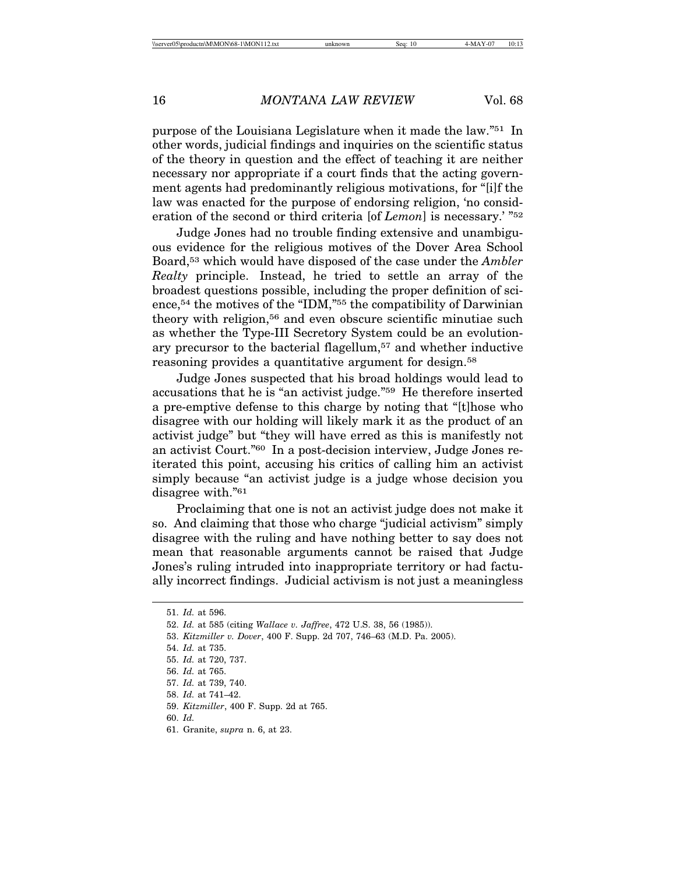purpose of the Louisiana Legislature when it made the law."51 In other words, judicial findings and inquiries on the scientific status of the theory in question and the effect of teaching it are neither necessary nor appropriate if a court finds that the acting government agents had predominantly religious motivations, for "[i]f the law was enacted for the purpose of endorsing religion, 'no consideration of the second or third criteria [of *Lemon*] is necessary.' "52

Judge Jones had no trouble finding extensive and unambiguous evidence for the religious motives of the Dover Area School Board,53 which would have disposed of the case under the *Ambler Realty* principle. Instead, he tried to settle an array of the broadest questions possible, including the proper definition of science,54 the motives of the "IDM,"55 the compatibility of Darwinian theory with religion,<sup>56</sup> and even obscure scientific minutiae such as whether the Type-III Secretory System could be an evolutionary precursor to the bacterial flagellum,57 and whether inductive reasoning provides a quantitative argument for design.58

Judge Jones suspected that his broad holdings would lead to accusations that he is "an activist judge."59 He therefore inserted a pre-emptive defense to this charge by noting that "[t]hose who disagree with our holding will likely mark it as the product of an activist judge" but "they will have erred as this is manifestly not an activist Court."60 In a post-decision interview, Judge Jones reiterated this point, accusing his critics of calling him an activist simply because "an activist judge is a judge whose decision you disagree with."61

Proclaiming that one is not an activist judge does not make it so. And claiming that those who charge "judicial activism" simply disagree with the ruling and have nothing better to say does not mean that reasonable arguments cannot be raised that Judge Jones's ruling intruded into inappropriate territory or had factually incorrect findings. Judicial activism is not just a meaningless

<sup>51.</sup> *Id.* at 596.

<sup>52.</sup> *Id.* at 585 (citing *Wallace v. Jaffree*, 472 U.S. 38, 56 (1985)).

<sup>53.</sup> *Kitzmiller v. Dover*, 400 F. Supp. 2d 707, 746–63 (M.D. Pa. 2005).

<sup>54.</sup> *Id.* at 735.

<sup>55.</sup> *Id.* at 720, 737.

<sup>56.</sup> *Id.* at 765.

<sup>57.</sup> *Id.* at 739, 740.

<sup>58.</sup> *Id.* at 741–42.

<sup>59.</sup> *Kitzmiller*, 400 F. Supp. 2d at 765.

<sup>60.</sup> *Id.*

<sup>61.</sup> Granite, *supra* n. 6, at 23.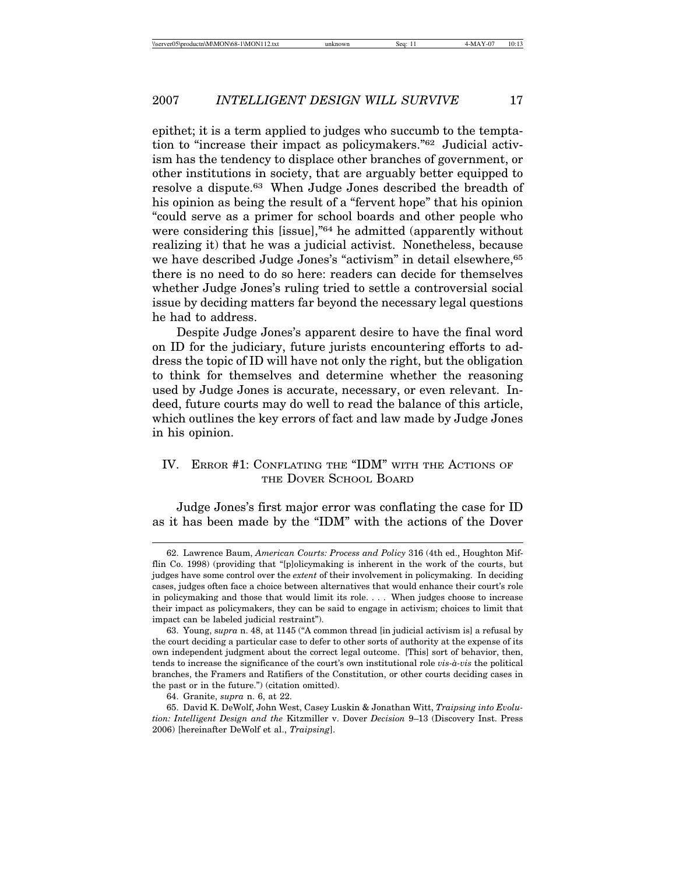epithet; it is a term applied to judges who succumb to the temptation to "increase their impact as policymakers."62 Judicial activism has the tendency to displace other branches of government, or other institutions in society, that are arguably better equipped to resolve a dispute.63 When Judge Jones described the breadth of his opinion as being the result of a "fervent hope" that his opinion "could serve as a primer for school boards and other people who were considering this [issue],"64 he admitted (apparently without realizing it) that he was a judicial activist. Nonetheless, because we have described Judge Jones's "activism" in detail elsewhere, 65 there is no need to do so here: readers can decide for themselves whether Judge Jones's ruling tried to settle a controversial social issue by deciding matters far beyond the necessary legal questions he had to address.

Despite Judge Jones's apparent desire to have the final word on ID for the judiciary, future jurists encountering efforts to address the topic of ID will have not only the right, but the obligation to think for themselves and determine whether the reasoning used by Judge Jones is accurate, necessary, or even relevant. Indeed, future courts may do well to read the balance of this article, which outlines the key errors of fact and law made by Judge Jones in his opinion.

# IV. ERROR #1: CONFLATING THE "IDM" WITH THE ACTIONS OF THE DOVER SCHOOL BOARD

Judge Jones's first major error was conflating the case for ID as it has been made by the "IDM" with the actions of the Dover

<sup>62.</sup> Lawrence Baum, *American Courts: Process and Policy* 316 (4th ed., Houghton Mifflin Co. 1998) (providing that "[p]olicymaking is inherent in the work of the courts, but judges have some control over the *extent* of their involvement in policymaking. In deciding cases, judges often face a choice between alternatives that would enhance their court's role in policymaking and those that would limit its role. . . . When judges choose to increase their impact as policymakers, they can be said to engage in activism; choices to limit that impact can be labeled judicial restraint").

<sup>63.</sup> Young, s*upra* n. 48, at 1145 ("A common thread [in judicial activism is] a refusal by the court deciding a particular case to defer to other sorts of authority at the expense of its own independent judgment about the correct legal outcome. [This] sort of behavior, then, tends to increase the significance of the court's own institutional role *vis-à-vis* the political branches, the Framers and Ratifiers of the Constitution, or other courts deciding cases in the past or in the future.") (citation omitted).

<sup>64.</sup> Granite, *supra* n. 6, at 22.

<sup>65.</sup> David K. DeWolf, John West, Casey Luskin & Jonathan Witt, *Traipsing into Evolution: Intelligent Design and the* Kitzmiller v. Dover *Decision* 9–13 (Discovery Inst. Press 2006) [hereinafter DeWolf et al., *Traipsing*].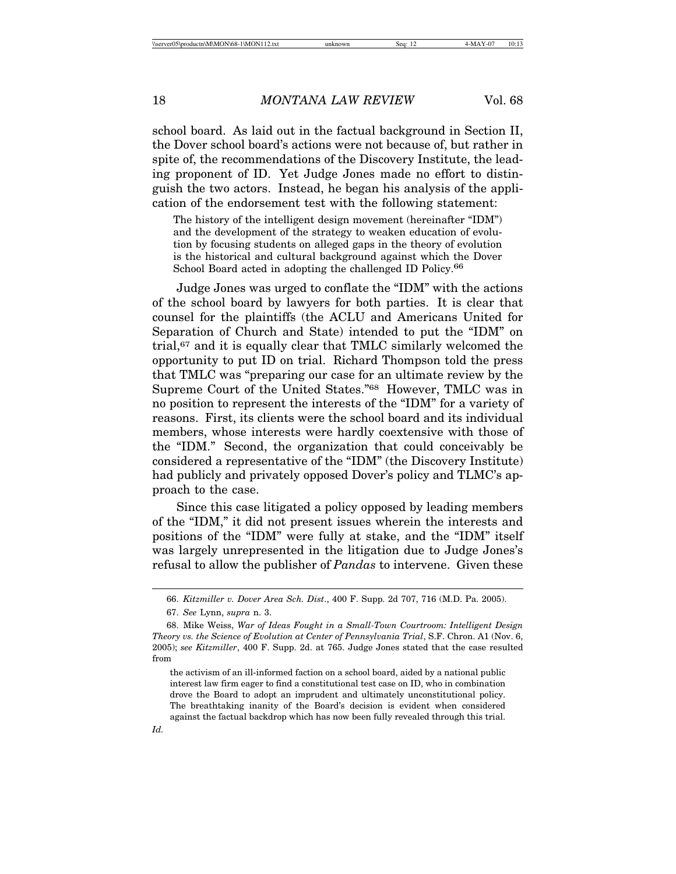school board. As laid out in the factual background in Section II, the Dover school board's actions were not because of, but rather in spite of, the recommendations of the Discovery Institute, the leading proponent of ID. Yet Judge Jones made no effort to distinguish the two actors. Instead, he began his analysis of the application of the endorsement test with the following statement:

The history of the intelligent design movement (hereinafter "IDM") and the development of the strategy to weaken education of evolution by focusing students on alleged gaps in the theory of evolution is the historical and cultural background against which the Dover School Board acted in adopting the challenged ID Policy.<sup>66</sup>

Judge Jones was urged to conflate the "IDM" with the actions of the school board by lawyers for both parties. It is clear that counsel for the plaintiffs (the ACLU and Americans United for Separation of Church and State) intended to put the "IDM" on trial,67 and it is equally clear that TMLC similarly welcomed the opportunity to put ID on trial. Richard Thompson told the press that TMLC was "preparing our case for an ultimate review by the Supreme Court of the United States."68 However, TMLC was in no position to represent the interests of the "IDM" for a variety of reasons. First, its clients were the school board and its individual members, whose interests were hardly coextensive with those of the "IDM." Second, the organization that could conceivably be considered a representative of the "IDM" (the Discovery Institute) had publicly and privately opposed Dover's policy and TLMC's approach to the case.

Since this case litigated a policy opposed by leading members of the "IDM," it did not present issues wherein the interests and positions of the "IDM" were fully at stake, and the "IDM" itself was largely unrepresented in the litigation due to Judge Jones's refusal to allow the publisher of *Pandas* to intervene. Given these

<sup>66.</sup> *Kitzmiller v. Dover Area Sch. Dist*., 400 F. Supp. 2d 707, 716 (M.D. Pa. 2005).

<sup>67.</sup> *See* Lynn, *supra* n. 3.

<sup>68.</sup> Mike Weiss, *War of Ideas Fought in a Small-Town Courtroom: Intelligent Design Theory vs. the Science of Evolution at Center of Pennsylvania Trial*, S.F. Chron. A1 (Nov. 6, 2005); *see Kitzmiller*, 400 F. Supp. 2d. at 765. Judge Jones stated that the case resulted from

the activism of an ill-informed faction on a school board, aided by a national public interest law firm eager to find a constitutional test case on ID, who in combination drove the Board to adopt an imprudent and ultimately unconstitutional policy. The breathtaking inanity of the Board's decision is evident when considered against the factual backdrop which has now been fully revealed through this trial.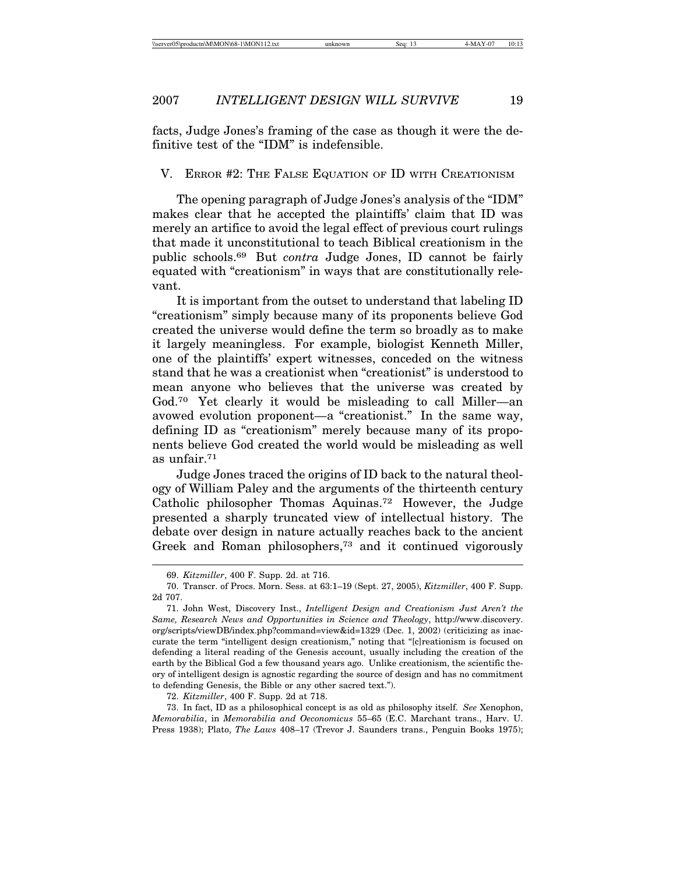facts, Judge Jones's framing of the case as though it were the definitive test of the "IDM" is indefensible.

#### V. ERROR #2: THE FALSE EQUATION OF ID WITH CREATIONISM

The opening paragraph of Judge Jones's analysis of the "IDM" makes clear that he accepted the plaintiffs' claim that ID was merely an artifice to avoid the legal effect of previous court rulings that made it unconstitutional to teach Biblical creationism in the public schools.69 But *contra* Judge Jones, ID cannot be fairly equated with "creationism" in ways that are constitutionally relevant.

It is important from the outset to understand that labeling ID "creationism" simply because many of its proponents believe God created the universe would define the term so broadly as to make it largely meaningless. For example, biologist Kenneth Miller, one of the plaintiffs' expert witnesses, conceded on the witness stand that he was a creationist when "creationist" is understood to mean anyone who believes that the universe was created by God.70 Yet clearly it would be misleading to call Miller—an avowed evolution proponent—a "creationist." In the same way, defining ID as "creationism" merely because many of its proponents believe God created the world would be misleading as well as unfair.71

Judge Jones traced the origins of ID back to the natural theology of William Paley and the arguments of the thirteenth century Catholic philosopher Thomas Aquinas.72 However, the Judge presented a sharply truncated view of intellectual history. The debate over design in nature actually reaches back to the ancient Greek and Roman philosophers,73 and it continued vigorously

72. *Kitzmiller*, 400 F. Supp. 2d at 718.

73. In fact, ID as a philosophical concept is as old as philosophy itself. *See* Xenophon, *Memorabilia*, in *Memorabilia and Oeconomicus* 55–65 (E.C. Marchant trans., Harv. U. Press 1938); Plato, *The Laws* 408–17 (Trevor J. Saunders trans., Penguin Books 1975);

<sup>69.</sup> *Kitzmiller*, 400 F. Supp. 2d. at 716.

<sup>70.</sup> Transcr. of Procs. Morn. Sess. at 63:1–19 (Sept. 27, 2005), *Kitzmiller*, 400 F. Supp. 2d 707.

<sup>71.</sup> John West, Discovery Inst., *Intelligent Design and Creationism Just Aren't the Same, Research News and Opportunities in Science and Theology*, http://www.discovery. org/scripts/viewDB/index.php?command=view&id=1329 (Dec. 1, 2002) (criticizing as inaccurate the term "intelligent design creationism," noting that "[c]reationism is focused on defending a literal reading of the Genesis account, usually including the creation of the earth by the Biblical God a few thousand years ago. Unlike creationism, the scientific theory of intelligent design is agnostic regarding the source of design and has no commitment to defending Genesis, the Bible or any other sacred text.").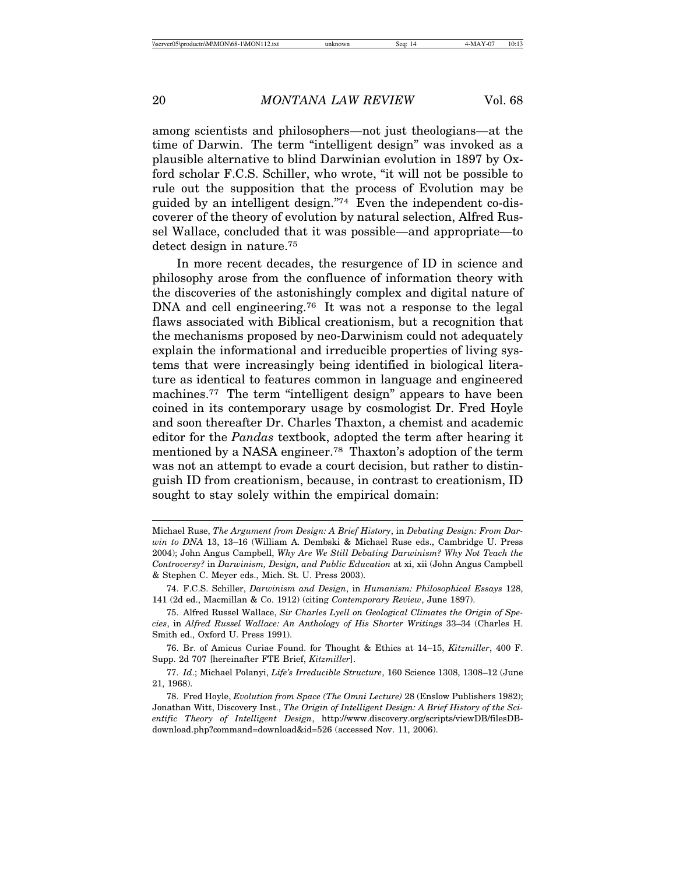among scientists and philosophers—not just theologians—at the time of Darwin. The term "intelligent design" was invoked as a plausible alternative to blind Darwinian evolution in 1897 by Oxford scholar F.C.S. Schiller, who wrote, "it will not be possible to rule out the supposition that the process of Evolution may be guided by an intelligent design."74 Even the independent co-discoverer of the theory of evolution by natural selection, Alfred Russel Wallace, concluded that it was possible—and appropriate—to detect design in nature.75

In more recent decades, the resurgence of ID in science and philosophy arose from the confluence of information theory with the discoveries of the astonishingly complex and digital nature of DNA and cell engineering.<sup>76</sup> It was not a response to the legal flaws associated with Biblical creationism, but a recognition that the mechanisms proposed by neo-Darwinism could not adequately explain the informational and irreducible properties of living systems that were increasingly being identified in biological literature as identical to features common in language and engineered machines.<sup>77</sup> The term "intelligent design" appears to have been coined in its contemporary usage by cosmologist Dr. Fred Hoyle and soon thereafter Dr. Charles Thaxton, a chemist and academic editor for the *Pandas* textbook, adopted the term after hearing it mentioned by a NASA engineer.78 Thaxton's adoption of the term was not an attempt to evade a court decision, but rather to distinguish ID from creationism, because, in contrast to creationism, ID sought to stay solely within the empirical domain:

Michael Ruse, *The Argument from Design: A Brief History*, in *Debating Design: From Darwin to DNA* 13, 13–16 (William A. Dembski & Michael Ruse eds., Cambridge U. Press 2004); John Angus Campbell, *Why Are We Still Debating Darwinism? Why Not Teach the Controversy?* in *Darwinism, Design, and Public Education* at xi, xii (John Angus Campbell & Stephen C. Meyer eds., Mich. St. U. Press 2003).

<sup>74.</sup> F.C.S. Schiller, *Darwinism and Design*, in *Humanism: Philosophical Essays* 128, 141 (2d ed., Macmillan & Co. 1912) (citing *Contemporary Review*, June 1897).

<sup>75.</sup> Alfred Russel Wallace, *Sir Charles Lyell on Geological Climates the Origin of Species*, in *Alfred Russel Wallace: An Anthology of His Shorter Writings* 33–34 (Charles H. Smith ed., Oxford U. Press 1991).

<sup>76.</sup> Br. of Amicus Curiae Found. for Thought & Ethics at 14–15, *Kitzmiller*, 400 F. Supp. 2d 707 [hereinafter FTE Brief, *Kitzmiller*].

<sup>77.</sup> *Id*.; Michael Polanyi, *Life's Irreducible Structure*, 160 Science 1308, 1308–12 (June 21, 1968).

<sup>78.</sup> Fred Hoyle, *Evolution from Space (The Omni Lecture)* 28 (Enslow Publishers 1982); Jonathan Witt, Discovery Inst., *The Origin of Intelligent Design: A Brief History of the Scientific Theory of Intelligent Design*, http://www.discovery.org/scripts/viewDB/filesDBdownload.php?command=download&id=526 (accessed Nov. 11, 2006).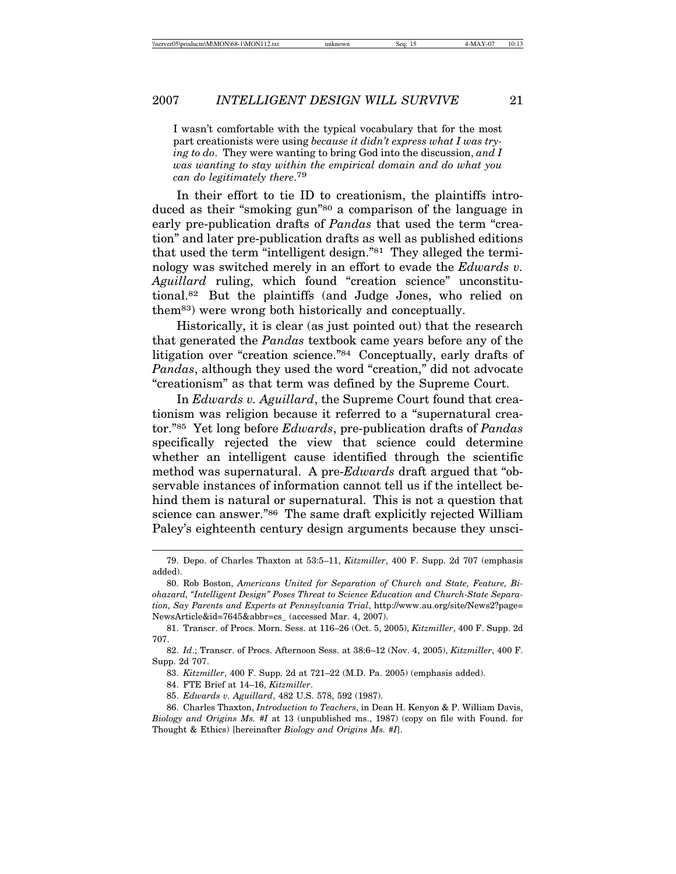I wasn't comfortable with the typical vocabulary that for the most part creationists were using *because it didn't express what I was trying to do*. They were wanting to bring God into the discussion, *and I was wanting to stay within the empirical domain and do what you can do legitimately there*. 79

In their effort to tie ID to creationism, the plaintiffs introduced as their "smoking gun"<sup>80</sup> a comparison of the language in early pre-publication drafts of *Pandas* that used the term "creation" and later pre-publication drafts as well as published editions that used the term "intelligent design."81 They alleged the terminology was switched merely in an effort to evade the *Edwards v. Aguillard* ruling, which found "creation science" unconstitutional.82 But the plaintiffs (and Judge Jones, who relied on them83) were wrong both historically and conceptually.

Historically, it is clear (as just pointed out) that the research that generated the *Pandas* textbook came years before any of the litigation over "creation science."84 Conceptually, early drafts of *Pandas*, although they used the word "creation," did not advocate "creationism" as that term was defined by the Supreme Court.

In *Edwards v. Aguillard*, the Supreme Court found that creationism was religion because it referred to a "supernatural creator."85 Yet long before *Edwards*, pre-publication drafts of *Pandas* specifically rejected the view that science could determine whether an intelligent cause identified through the scientific method was supernatural. A pre-*Edwards* draft argued that "observable instances of information cannot tell us if the intellect behind them is natural or supernatural. This is not a question that science can answer."86 The same draft explicitly rejected William Paley's eighteenth century design arguments because they unsci-

<sup>79.</sup> Depo. of Charles Thaxton at 53:5–11, *Kitzmiller*, 400 F. Supp. 2d 707 (emphasis added).

<sup>80.</sup> Rob Boston, *Americans United for Separation of Church and State, Feature, Biohazard, "Intelligent Design" Poses Threat to Science Education and Church-State Separation, Say Parents and Experts at Pennsylvania Trial*, http://www.au.org/site/News2?page= NewsArticle&id=7645&abbr=cs\_ (accessed Mar. 4, 2007).

<sup>81.</sup> Transcr. of Procs. Morn. Sess. at 116–26 (Oct. 5, 2005), *Kitzmiller*, 400 F. Supp. 2d 707.

<sup>82.</sup> *Id*.; Transcr. of Procs. Afternoon Sess. at 38:6–12 (Nov. 4, 2005), *Kitzmiller*, 400 F. Supp. 2d 707.

<sup>83.</sup> *Kitzmiller*, 400 F. Supp. 2d at 721–22 (M.D. Pa. 2005) (emphasis added).

<sup>84.</sup> FTE Brief at 14–16, *Kitzmiller*.

<sup>85.</sup> *Edwards v. Aguillard*, 482 U.S. 578, 592 (1987).

<sup>86.</sup> Charles Thaxton, *Introduction to Teachers*, in Dean H. Kenyon & P. William Davis, *Biology and Origins Ms. #I* at 13 (unpublished ms., 1987) (copy on file with Found. for Thought & Ethics) [hereinafter *Biology and Origins Ms. #I*].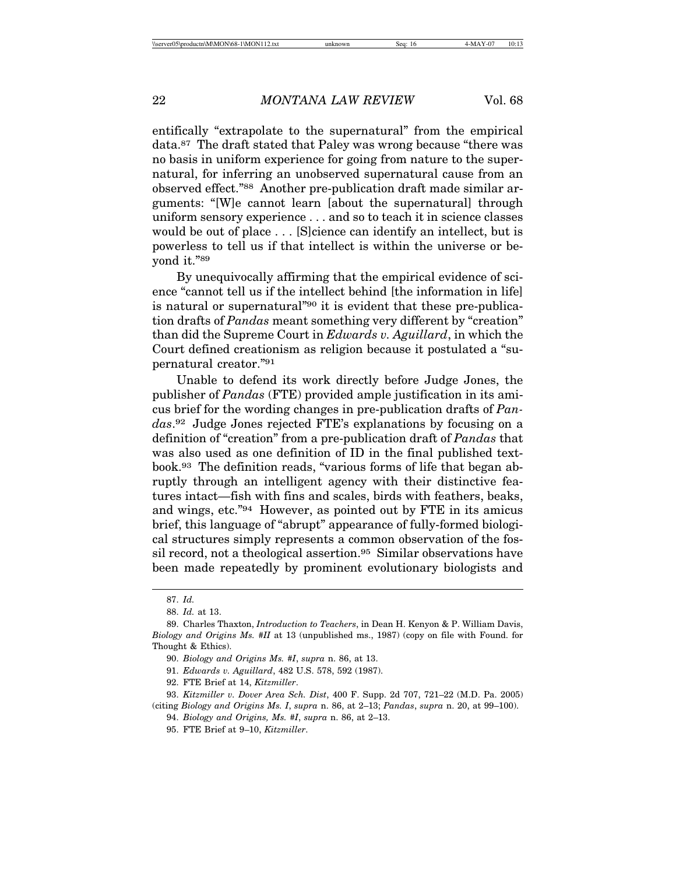entifically "extrapolate to the supernatural" from the empirical data.87 The draft stated that Paley was wrong because "there was no basis in uniform experience for going from nature to the supernatural, for inferring an unobserved supernatural cause from an observed effect."88 Another pre-publication draft made similar arguments: "[W]e cannot learn [about the supernatural] through uniform sensory experience . . . and so to teach it in science classes would be out of place . . . [S]cience can identify an intellect, but is powerless to tell us if that intellect is within the universe or beyond it."89

By unequivocally affirming that the empirical evidence of science "cannot tell us if the intellect behind [the information in life] is natural or supernatural"90 it is evident that these pre-publication drafts of *Pandas* meant something very different by "creation" than did the Supreme Court in *Edwards v. Aguillard*, in which the Court defined creationism as religion because it postulated a "supernatural creator."91

Unable to defend its work directly before Judge Jones, the publisher of *Pandas* (FTE) provided ample justification in its amicus brief for the wording changes in pre-publication drafts of *Pandas*.92 Judge Jones rejected FTE's explanations by focusing on a definition of "creation" from a pre-publication draft of *Pandas* that was also used as one definition of ID in the final published textbook.93 The definition reads, "various forms of life that began abruptly through an intelligent agency with their distinctive features intact—fish with fins and scales, birds with feathers, beaks, and wings, etc."94 However, as pointed out by FTE in its amicus brief, this language of "abrupt" appearance of fully-formed biological structures simply represents a common observation of the fossil record, not a theological assertion.95 Similar observations have been made repeatedly by prominent evolutionary biologists and

<sup>87.</sup> *Id.*

<sup>88.</sup> *Id.* at 13.

<sup>89.</sup> Charles Thaxton, *Introduction to Teachers*, in Dean H. Kenyon & P. William Davis, *Biology and Origins Ms. #II* at 13 (unpublished ms., 1987) (copy on file with Found. for Thought & Ethics).

<sup>90.</sup> *Biology and Origins Ms. #I*, *supra* n. 86, at 13.

<sup>91.</sup> *Edwards v. Aguillard*, 482 U.S. 578, 592 (1987).

<sup>92.</sup> FTE Brief at 14, *Kitzmiller*.

<sup>93.</sup> *Kitzmiller v. Dover Area Sch. Dist*, 400 F. Supp. 2d 707, 721–22 (M.D. Pa. 2005) (citing *Biology and Origins Ms. I*, *supra* n. 86, at 2–13; *Pandas*, *supra* n. 20, at 99–100).

<sup>94.</sup> *Biology and Origins, Ms. #I*, *supra* n. 86, at 2–13.

<sup>95.</sup> FTE Brief at 9–10, *Kitzmiller*.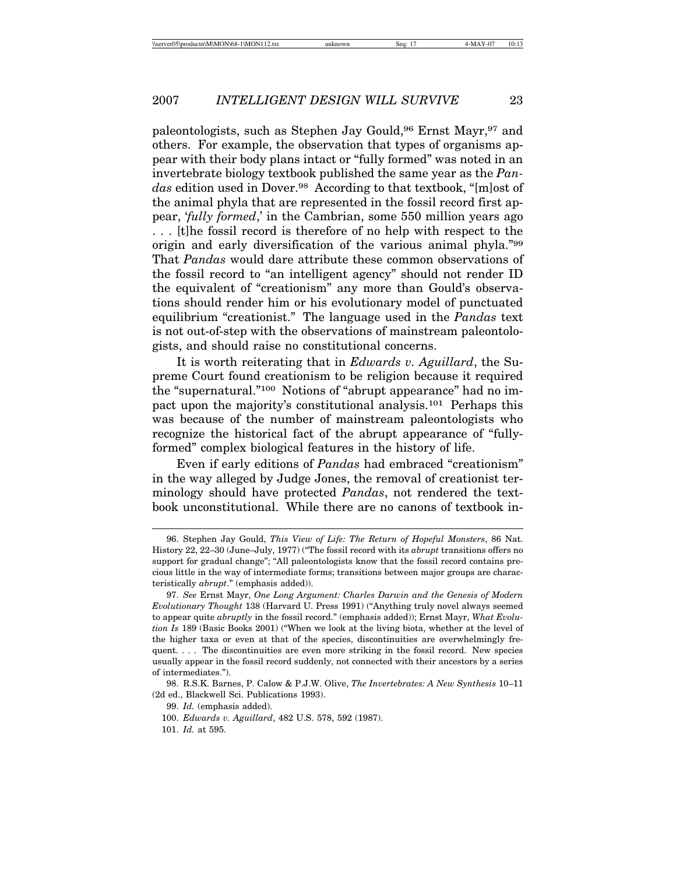paleontologists, such as Stephen Jay Gould,96 Ernst Mayr,97 and others. For example, the observation that types of organisms appear with their body plans intact or "fully formed" was noted in an invertebrate biology textbook published the same year as the *Pandas* edition used in Dover.98 According to that textbook, "[m]ost of the animal phyla that are represented in the fossil record first appear, '*fully formed*,' in the Cambrian, some 550 million years ago . . . [t]he fossil record is therefore of no help with respect to the origin and early diversification of the various animal phyla."99 That *Pandas* would dare attribute these common observations of the fossil record to "an intelligent agency" should not render ID the equivalent of "creationism" any more than Gould's observations should render him or his evolutionary model of punctuated equilibrium "creationist." The language used in the *Pandas* text is not out-of-step with the observations of mainstream paleontologists, and should raise no constitutional concerns.

It is worth reiterating that in *Edwards v. Aguillard*, the Supreme Court found creationism to be religion because it required the "supernatural."100 Notions of "abrupt appearance" had no impact upon the majority's constitutional analysis.101 Perhaps this was because of the number of mainstream paleontologists who recognize the historical fact of the abrupt appearance of "fullyformed" complex biological features in the history of life.

Even if early editions of *Pandas* had embraced "creationism" in the way alleged by Judge Jones, the removal of creationist terminology should have protected *Pandas*, not rendered the textbook unconstitutional. While there are no canons of textbook in-

<sup>96.</sup> Stephen Jay Gould, *This View of Life: The Return of Hopeful Monsters*, 86 Nat. History 22, 22–30 (June–July, 1977) ("The fossil record with its *abrupt* transitions offers no support for gradual change"; "All paleontologists know that the fossil record contains precious little in the way of intermediate forms; transitions between major groups are characteristically *abrupt*." (emphasis added)).

<sup>97.</sup> *See* Ernst Mayr, *One Long Argument: Charles Darwin and the Genesis of Modern Evolutionary Thought* 138 (Harvard U. Press 1991) ("Anything truly novel always seemed to appear quite *abruptly* in the fossil record." (emphasis added)); Ernst Mayr, *What Evolution Is* 189 (Basic Books 2001) ("When we look at the living biota, whether at the level of the higher taxa or even at that of the species, discontinuities are overwhelmingly frequent. . . . The discontinuities are even more striking in the fossil record. New species usually appear in the fossil record suddenly, not connected with their ancestors by a series of intermediates.").

<sup>98.</sup> R.S.K. Barnes, P. Calow & P.J.W. Olive, *The Invertebrates: A New Synthesis* 10–11 (2d ed., Blackwell Sci. Publications 1993).

<sup>99.</sup> *Id.* (emphasis added).

<sup>100.</sup> *Edwards v. Aguillard*, 482 U.S. 578, 592 (1987).

<sup>101.</sup> *Id.* at 595.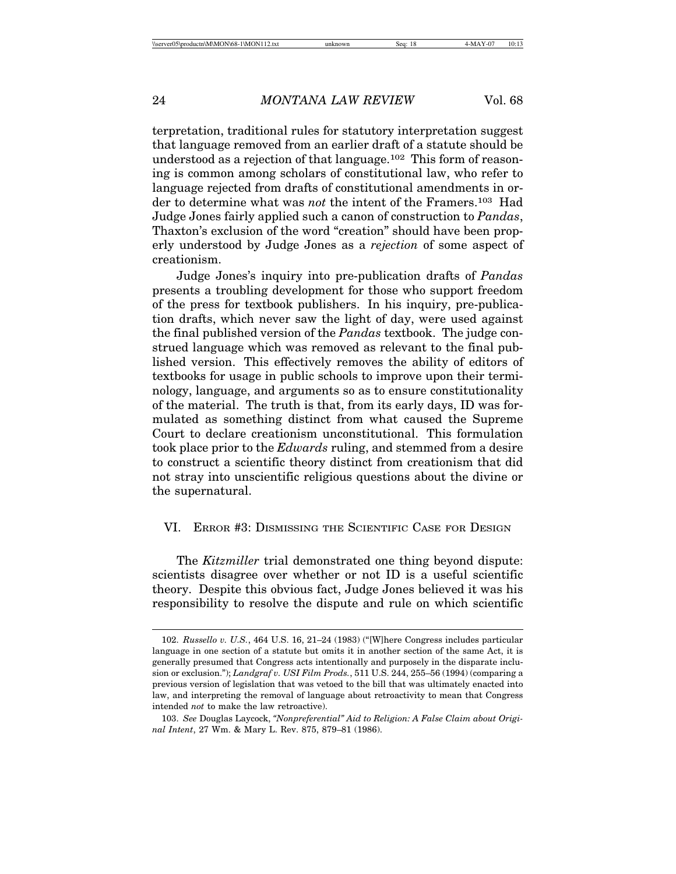terpretation, traditional rules for statutory interpretation suggest that language removed from an earlier draft of a statute should be understood as a rejection of that language.102 This form of reasoning is common among scholars of constitutional law, who refer to language rejected from drafts of constitutional amendments in order to determine what was *not* the intent of the Framers.103 Had Judge Jones fairly applied such a canon of construction to *Pandas*, Thaxton's exclusion of the word "creation" should have been properly understood by Judge Jones as a *rejection* of some aspect of creationism.

Judge Jones's inquiry into pre-publication drafts of *Pandas* presents a troubling development for those who support freedom of the press for textbook publishers. In his inquiry, pre-publication drafts, which never saw the light of day, were used against the final published version of the *Pandas* textbook. The judge construed language which was removed as relevant to the final published version. This effectively removes the ability of editors of textbooks for usage in public schools to improve upon their terminology, language, and arguments so as to ensure constitutionality of the material. The truth is that, from its early days, ID was formulated as something distinct from what caused the Supreme Court to declare creationism unconstitutional. This formulation took place prior to the *Edwards* ruling, and stemmed from a desire to construct a scientific theory distinct from creationism that did not stray into unscientific religious questions about the divine or the supernatural.

## VI. ERROR #3: DISMISSING THE SCIENTIFIC CASE FOR DESIGN

The *Kitzmiller* trial demonstrated one thing beyond dispute: scientists disagree over whether or not ID is a useful scientific theory. Despite this obvious fact, Judge Jones believed it was his responsibility to resolve the dispute and rule on which scientific

<sup>102.</sup> *Russello v. U.S.*, 464 U.S. 16, 21–24 (1983) ("[W]here Congress includes particular language in one section of a statute but omits it in another section of the same Act, it is generally presumed that Congress acts intentionally and purposely in the disparate inclusion or exclusion."); *Landgraf v. USI Film Prods.*, 511 U.S. 244, 255–56 (1994) (comparing a previous version of legislation that was vetoed to the bill that was ultimately enacted into law, and interpreting the removal of language about retroactivity to mean that Congress intended *not* to make the law retroactive).

<sup>103.</sup> *See* Douglas Laycock, *"Nonpreferential" Aid to Religion: A False Claim about Original Intent*, 27 Wm. & Mary L. Rev. 875, 879–81 (1986).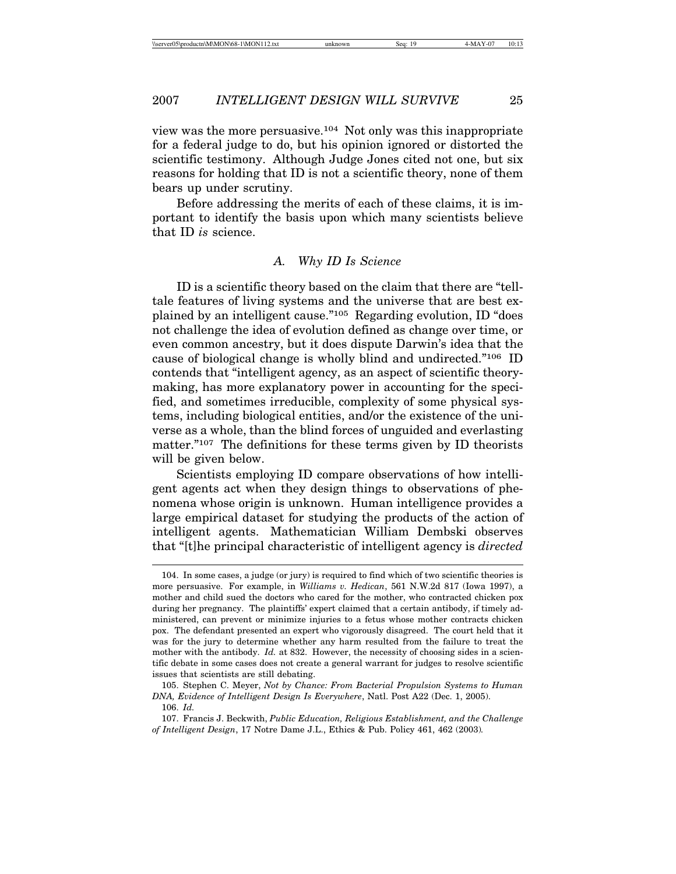view was the more persuasive.104 Not only was this inappropriate for a federal judge to do, but his opinion ignored or distorted the scientific testimony. Although Judge Jones cited not one, but six reasons for holding that ID is not a scientific theory, none of them bears up under scrutiny.

Before addressing the merits of each of these claims, it is important to identify the basis upon which many scientists believe that ID *is* science.

# *A. Why ID Is Science*

ID is a scientific theory based on the claim that there are "telltale features of living systems and the universe that are best explained by an intelligent cause."105 Regarding evolution, ID "does not challenge the idea of evolution defined as change over time, or even common ancestry, but it does dispute Darwin's idea that the cause of biological change is wholly blind and undirected."106 ID contends that "intelligent agency, as an aspect of scientific theorymaking, has more explanatory power in accounting for the specified, and sometimes irreducible, complexity of some physical systems, including biological entities, and/or the existence of the universe as a whole, than the blind forces of unguided and everlasting matter."<sup>107</sup> The definitions for these terms given by ID theorists will be given below.

Scientists employing ID compare observations of how intelligent agents act when they design things to observations of phenomena whose origin is unknown. Human intelligence provides a large empirical dataset for studying the products of the action of intelligent agents. Mathematician William Dembski observes that "[t]he principal characteristic of intelligent agency is *directed*

106. *Id.*

<sup>104.</sup> In some cases, a judge (or jury) is required to find which of two scientific theories is more persuasive. For example, in *Williams v. Hedican*, 561 N.W.2d 817 (Iowa 1997), a mother and child sued the doctors who cared for the mother, who contracted chicken pox during her pregnancy. The plaintiffs' expert claimed that a certain antibody, if timely administered, can prevent or minimize injuries to a fetus whose mother contracts chicken pox. The defendant presented an expert who vigorously disagreed. The court held that it was for the jury to determine whether any harm resulted from the failure to treat the mother with the antibody. *Id.* at 832. However, the necessity of choosing sides in a scientific debate in some cases does not create a general warrant for judges to resolve scientific issues that scientists are still debating.

<sup>105.</sup> Stephen C. Meyer, *Not by Chance: From Bacterial Propulsion Systems to Human DNA, Evidence of Intelligent Design Is Everywhere*, Natl. Post A22 (Dec. 1, 2005).

<sup>107.</sup> Francis J. Beckwith, *Public Education, Religious Establishment, and the Challenge of Intelligent Design*, 17 Notre Dame J.L., Ethics & Pub. Policy 461, 462 (2003)*.*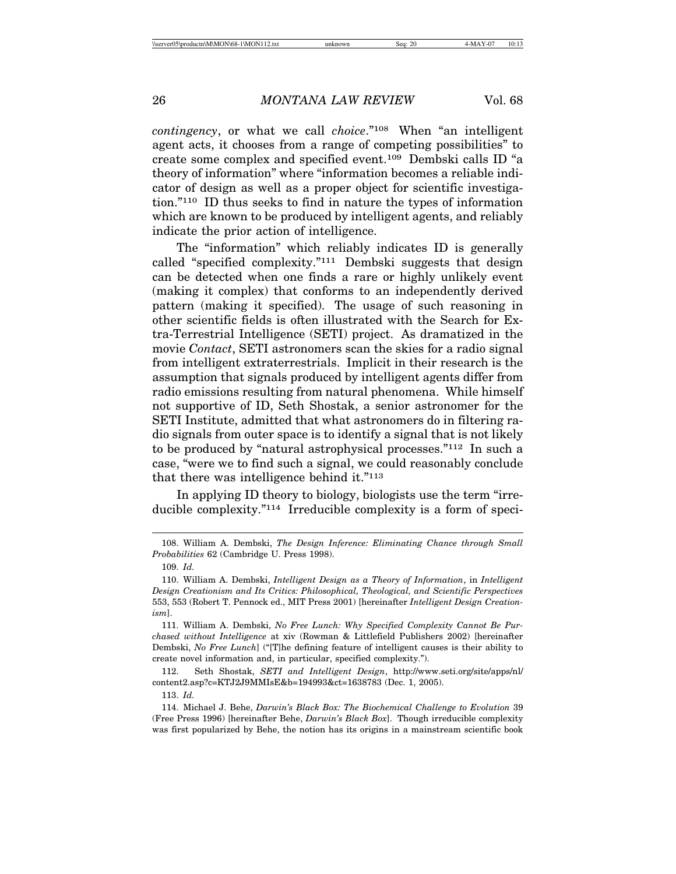*contingency*, or what we call *choice*."108 When "an intelligent agent acts, it chooses from a range of competing possibilities" to create some complex and specified event.109 Dembski calls ID "a theory of information" where "information becomes a reliable indicator of design as well as a proper object for scientific investigation."110 ID thus seeks to find in nature the types of information which are known to be produced by intelligent agents, and reliably indicate the prior action of intelligence.

The "information" which reliably indicates ID is generally called "specified complexity."111 Dembski suggests that design can be detected when one finds a rare or highly unlikely event (making it complex) that conforms to an independently derived pattern (making it specified). The usage of such reasoning in other scientific fields is often illustrated with the Search for Extra-Terrestrial Intelligence (SETI) project. As dramatized in the movie *Contact*, SETI astronomers scan the skies for a radio signal from intelligent extraterrestrials. Implicit in their research is the assumption that signals produced by intelligent agents differ from radio emissions resulting from natural phenomena. While himself not supportive of ID, Seth Shostak, a senior astronomer for the SETI Institute, admitted that what astronomers do in filtering radio signals from outer space is to identify a signal that is not likely to be produced by "natural astrophysical processes."112 In such a case, "were we to find such a signal, we could reasonably conclude that there was intelligence behind it."113

In applying ID theory to biology, biologists use the term "irreducible complexity."114 Irreducible complexity is a form of speci-

<sup>108.</sup> William A. Dembski, *The Design Inference: Eliminating Chance through Small Probabilities* 62 (Cambridge U. Press 1998).

<sup>109.</sup> *Id.*

<sup>110.</sup> William A. Dembski, *Intelligent Design as a Theory of Information*, in *Intelligent Design Creationism and Its Critics: Philosophical, Theological, and Scientific Perspectives* 553, 553 (Robert T. Pennock ed., MIT Press 2001) [hereinafter *Intelligent Design Creationism*].

<sup>111.</sup> William A. Dembski, *No Free Lunch: Why Specified Complexity Cannot Be Purchased without Intelligence* at xiv (Rowman & Littlefield Publishers 2002) [hereinafter Dembski, *No Free Lunch*] ("[T]he defining feature of intelligent causes is their ability to create novel information and, in particular, specified complexity.").

<sup>112.</sup> Seth Shostak, *SETI and Intelligent Design*, http://www.seti.org/site/apps/nl/ content2.asp?c=KTJ2J9MMIsE&b=194993&ct=1638783 (Dec. 1, 2005).

<sup>113.</sup> *Id.*

<sup>114.</sup> Michael J. Behe, *Darwin's Black Box: The Biochemical Challenge to Evolution* 39 (Free Press 1996) [hereinafter Behe, *Darwin's Black Box*]. Though irreducible complexity was first popularized by Behe, the notion has its origins in a mainstream scientific book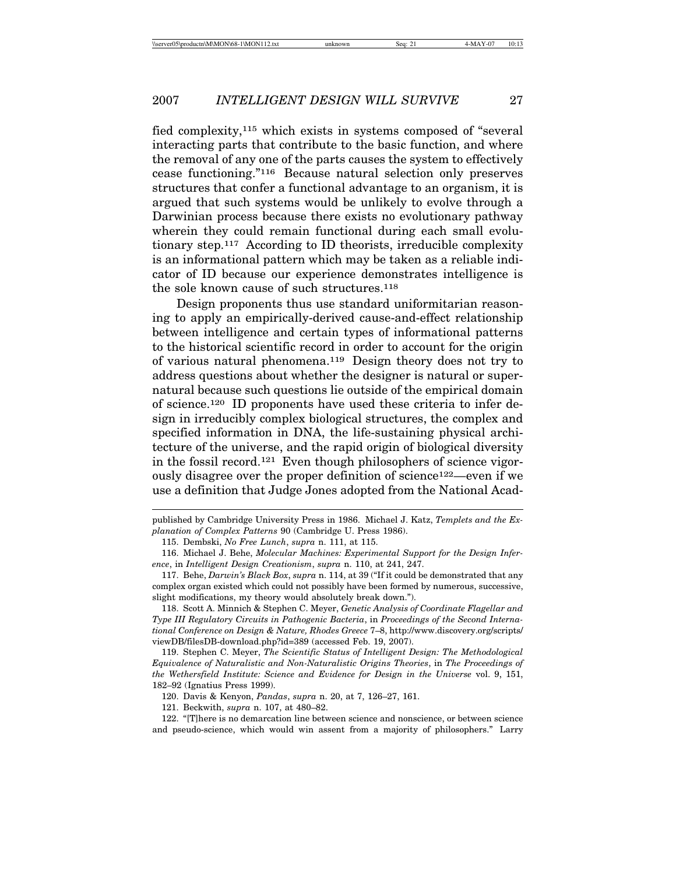fied complexity,115 which exists in systems composed of "several interacting parts that contribute to the basic function, and where the removal of any one of the parts causes the system to effectively cease functioning."116 Because natural selection only preserves structures that confer a functional advantage to an organism, it is argued that such systems would be unlikely to evolve through a Darwinian process because there exists no evolutionary pathway wherein they could remain functional during each small evolutionary step.117 According to ID theorists, irreducible complexity is an informational pattern which may be taken as a reliable indicator of ID because our experience demonstrates intelligence is the sole known cause of such structures.118

Design proponents thus use standard uniformitarian reasoning to apply an empirically-derived cause-and-effect relationship between intelligence and certain types of informational patterns to the historical scientific record in order to account for the origin of various natural phenomena.119 Design theory does not try to address questions about whether the designer is natural or supernatural because such questions lie outside of the empirical domain of science.120 ID proponents have used these criteria to infer design in irreducibly complex biological structures, the complex and specified information in DNA, the life-sustaining physical architecture of the universe, and the rapid origin of biological diversity in the fossil record.121 Even though philosophers of science vigorously disagree over the proper definition of science122—even if we use a definition that Judge Jones adopted from the National Acad-

118. Scott A. Minnich & Stephen C. Meyer, *Genetic Analysis of Coordinate Flagellar and Type III Regulatory Circuits in Pathogenic Bacteria*, in *Proceedings of the Second International Conference on Design & Nature, Rhodes Greece* 7–8, http://www.discovery.org/scripts/ viewDB/filesDB-download.php?id=389 (accessed Feb. 19, 2007).

119. Stephen C. Meyer, *The Scientific Status of Intelligent Design: The Methodological Equivalence of Naturalistic and Non-Naturalistic Origins Theories*, in *The Proceedings of the Wethersfield Institute: Science and Evidence for Design in the Universe* vol. 9, 151, 182–92 (Ignatius Press 1999).

120. Davis & Kenyon, *Pandas*, *supra* n. 20, at 7, 126–27, 161.

121. Beckwith, *supra* n. 107, at 480–82.

published by Cambridge University Press in 1986. Michael J. Katz, *Templets and the Explanation of Complex Patterns* 90 (Cambridge U. Press 1986).

<sup>115.</sup> Dembski, *No Free Lunch*, *supra* n. 111, at 115.

<sup>116.</sup> Michael J. Behe, *Molecular Machines: Experimental Support for the Design Inference*, in *Intelligent Design Creationism*, *supra* n. 110, at 241, 247.

<sup>117.</sup> Behe, *Darwin's Black Box*, *supra* n. 114, at 39 ("If it could be demonstrated that any complex organ existed which could not possibly have been formed by numerous, successive, slight modifications, my theory would absolutely break down.").

<sup>122. &</sup>quot;[T]here is no demarcation line between science and nonscience, or between science and pseudo-science, which would win assent from a majority of philosophers." Larry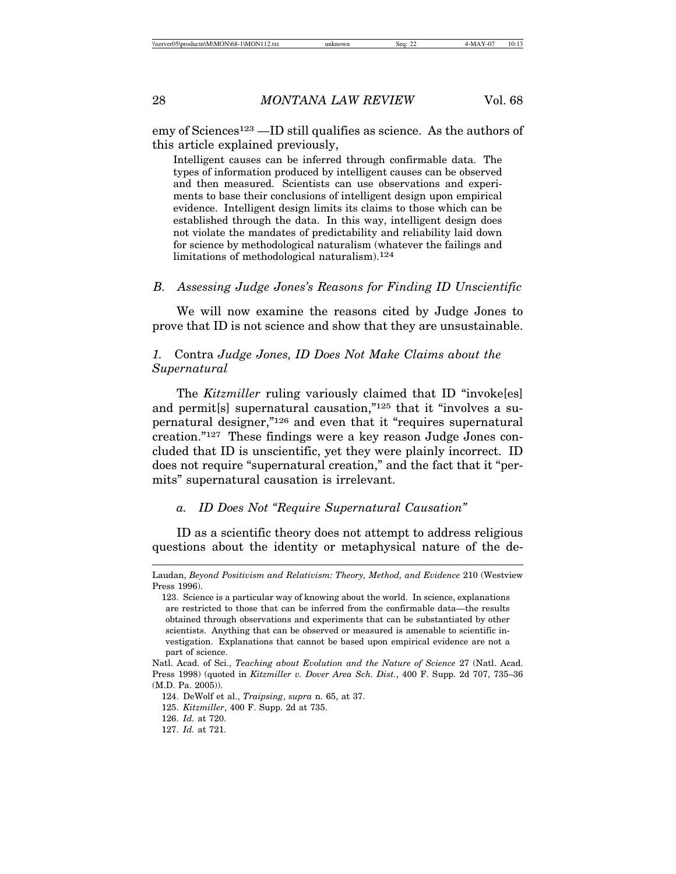emy of Sciences123 —ID still qualifies as science. As the authors of this article explained previously,

Intelligent causes can be inferred through confirmable data. The types of information produced by intelligent causes can be observed and then measured. Scientists can use observations and experiments to base their conclusions of intelligent design upon empirical evidence. Intelligent design limits its claims to those which can be established through the data. In this way, intelligent design does not violate the mandates of predictability and reliability laid down for science by methodological naturalism (whatever the failings and limitations of methodological naturalism).124

### *B. Assessing Judge Jones's Reasons for Finding ID Unscientific*

We will now examine the reasons cited by Judge Jones to prove that ID is not science and show that they are unsustainable.

# *1.* Contra *Judge Jones, ID Does Not Make Claims about the Supernatural*

The *Kitzmiller* ruling variously claimed that ID "invoke[es] and permit[s] supernatural causation,"125 that it "involves a supernatural designer,"126 and even that it "requires supernatural creation."127 These findings were a key reason Judge Jones concluded that ID is unscientific, yet they were plainly incorrect. ID does not require "supernatural creation," and the fact that it "permits" supernatural causation is irrelevant.

## *a. ID Does Not "Require Supernatural Causation"*

ID as a scientific theory does not attempt to address religious questions about the identity or metaphysical nature of the de-

Laudan, *Beyond Positivism and Relativism: Theory, Method, and Evidence* 210 (Westview Press 1996).

<sup>123.</sup> Science is a particular way of knowing about the world. In science, explanations are restricted to those that can be inferred from the confirmable data—the results obtained through observations and experiments that can be substantiated by other scientists. Anything that can be observed or measured is amenable to scientific investigation. Explanations that cannot be based upon empirical evidence are not a part of science.

Natl. Acad. of Sci., *Teaching about Evolution and the Nature of Science* 27 (Natl. Acad. Press 1998) (quoted in *Kitzmiller v. Dover Area Sch. Dist.*, 400 F. Supp. 2d 707, 735–36 (M.D. Pa. 2005)).

<sup>124.</sup> DeWolf et al., *Traipsing*, *supra* n. 65, at 37.

<sup>125.</sup> *Kitzmiller*, 400 F. Supp. 2d at 735.

<sup>126.</sup> *Id.* at 720.

<sup>127.</sup> *Id.* at 721.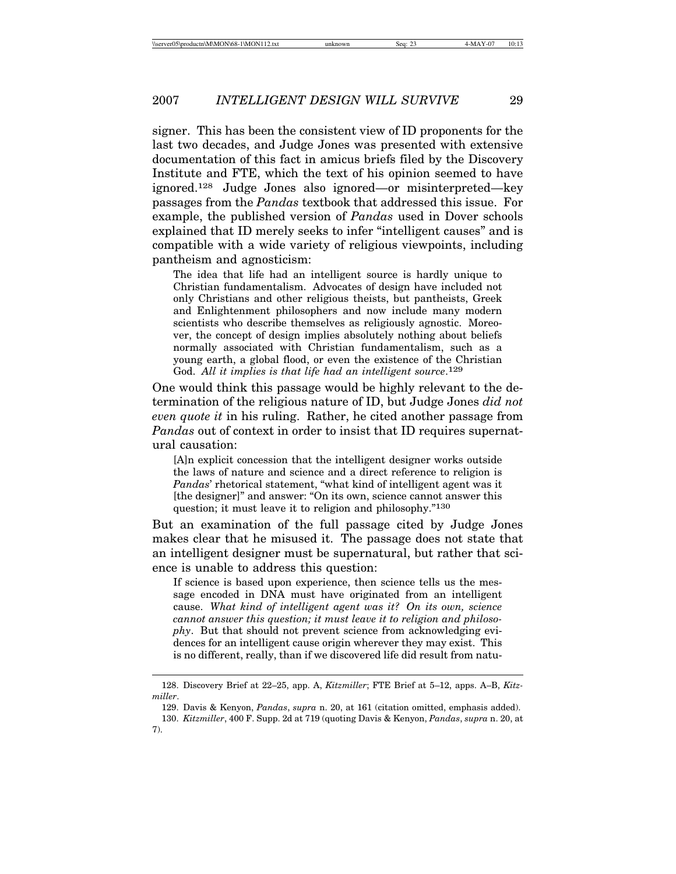signer. This has been the consistent view of ID proponents for the last two decades, and Judge Jones was presented with extensive documentation of this fact in amicus briefs filed by the Discovery Institute and FTE, which the text of his opinion seemed to have ignored.128 Judge Jones also ignored—or misinterpreted—key passages from the *Pandas* textbook that addressed this issue. For example, the published version of *Pandas* used in Dover schools explained that ID merely seeks to infer "intelligent causes" and is compatible with a wide variety of religious viewpoints, including pantheism and agnosticism:

The idea that life had an intelligent source is hardly unique to Christian fundamentalism. Advocates of design have included not only Christians and other religious theists, but pantheists, Greek and Enlightenment philosophers and now include many modern scientists who describe themselves as religiously agnostic. Moreover, the concept of design implies absolutely nothing about beliefs normally associated with Christian fundamentalism, such as a young earth, a global flood, or even the existence of the Christian God. *All it implies is that life had an intelligent source*. 129

One would think this passage would be highly relevant to the determination of the religious nature of ID, but Judge Jones *did not even quote it* in his ruling. Rather, he cited another passage from *Pandas* out of context in order to insist that ID requires supernatural causation:

[A]n explicit concession that the intelligent designer works outside the laws of nature and science and a direct reference to religion is *Pandas*' rhetorical statement, "what kind of intelligent agent was it [the designer]" and answer: "On its own, science cannot answer this question; it must leave it to religion and philosophy."130

But an examination of the full passage cited by Judge Jones makes clear that he misused it. The passage does not state that an intelligent designer must be supernatural, but rather that science is unable to address this question:

If science is based upon experience, then science tells us the message encoded in DNA must have originated from an intelligent cause. *What kind of intelligent agent was it? On its own, science cannot answer this question; it must leave it to religion and philosophy*. But that should not prevent science from acknowledging evidences for an intelligent cause origin wherever they may exist. This is no different, really, than if we discovered life did result from natu-

<sup>128.</sup> Discovery Brief at 22–25, app. A, *Kitzmiller*; FTE Brief at 5–12, apps. A–B, *Kitzmiller*.

<sup>129.</sup> Davis & Kenyon, *Pandas*, *supra* n. 20, at 161 (citation omitted, emphasis added). 130. *Kitzmiller*, 400 F. Supp. 2d at 719 (quoting Davis & Kenyon, *Pandas*, *supra* n. 20, at 7).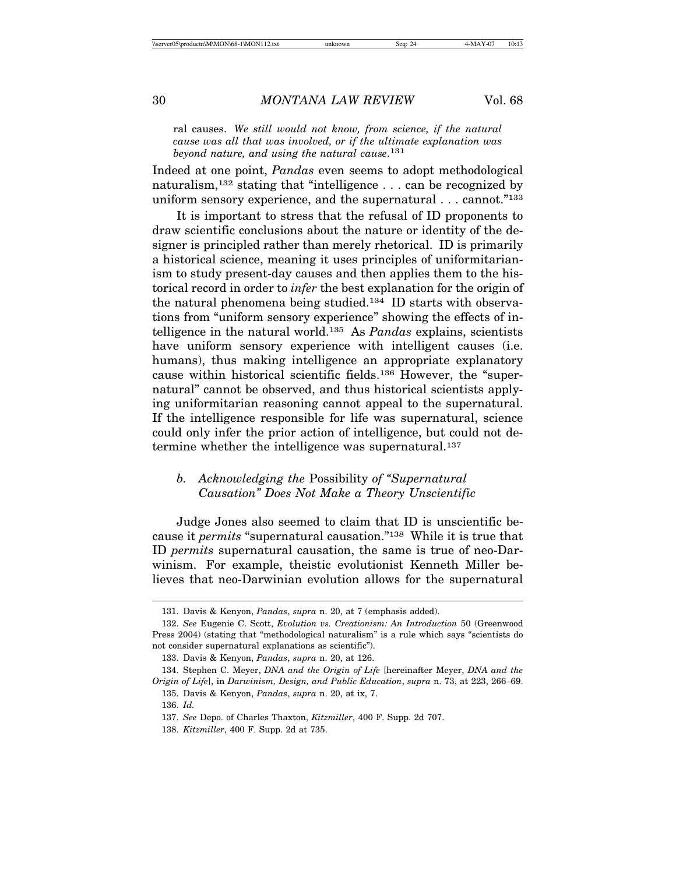ral causes. *We still would not know, from science, if the natural cause was all that was involved, or if the ultimate explanation was beyond nature, and using the natural cause*. 131

Indeed at one point, *Pandas* even seems to adopt methodological naturalism,132 stating that "intelligence . . . can be recognized by uniform sensory experience, and the supernatural . . . cannot."133

It is important to stress that the refusal of ID proponents to draw scientific conclusions about the nature or identity of the designer is principled rather than merely rhetorical. ID is primarily a historical science, meaning it uses principles of uniformitarianism to study present-day causes and then applies them to the historical record in order to *infer* the best explanation for the origin of the natural phenomena being studied.134 ID starts with observations from "uniform sensory experience" showing the effects of intelligence in the natural world.135 As *Pandas* explains, scientists have uniform sensory experience with intelligent causes (i.e. humans), thus making intelligence an appropriate explanatory cause within historical scientific fields.136 However, the "supernatural" cannot be observed, and thus historical scientists applying uniformitarian reasoning cannot appeal to the supernatural. If the intelligence responsible for life was supernatural, science could only infer the prior action of intelligence, but could not determine whether the intelligence was supernatural.<sup>137</sup>

# *b. Acknowledging the* Possibility *of "Supernatural Causation" Does Not Make a Theory Unscientific*

Judge Jones also seemed to claim that ID is unscientific because it *permits* "supernatural causation."138 While it is true that ID *permits* supernatural causation, the same is true of neo-Darwinism. For example, theistic evolutionist Kenneth Miller believes that neo-Darwinian evolution allows for the supernatural

<sup>131.</sup> Davis & Kenyon, *Pandas*, *supra* n. 20, at 7 (emphasis added).

<sup>132.</sup> *See* Eugenie C. Scott, *Evolution vs. Creationism: An Introduction* 50 (Greenwood Press 2004) (stating that "methodological naturalism" is a rule which says "scientists do not consider supernatural explanations as scientific").

<sup>133.</sup> Davis & Kenyon, *Pandas*, *supra* n. 20, at 126.

<sup>134.</sup> Stephen C. Meyer, *DNA and the Origin of Life* [hereinafter Meyer, *DNA and the Origin of Life*], in *Darwinism, Design, and Public Education*, *supra* n. 73, at 223, 266–69.

<sup>135.</sup> Davis & Kenyon, *Pandas*, *supra* n. 20, at ix, 7.

<sup>136.</sup> *Id.*

<sup>137.</sup> *See* Depo. of Charles Thaxton, *Kitzmiller*, 400 F. Supp. 2d 707.

<sup>138.</sup> *Kitzmiller*, 400 F. Supp. 2d at 735.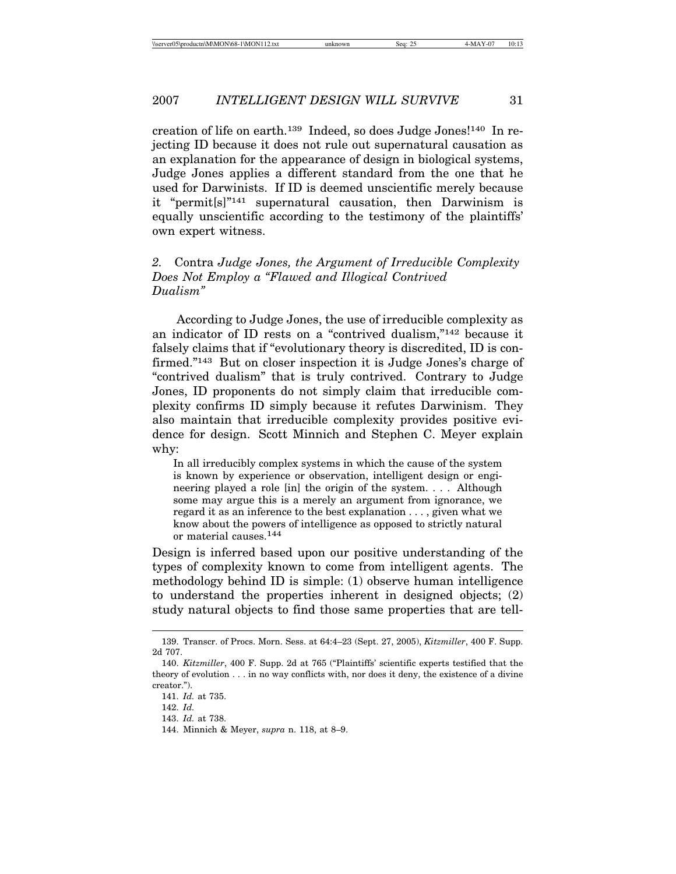creation of life on earth.139 Indeed, so does Judge Jones!140 In rejecting ID because it does not rule out supernatural causation as an explanation for the appearance of design in biological systems, Judge Jones applies a different standard from the one that he used for Darwinists. If ID is deemed unscientific merely because it "permit[s]"141 supernatural causation, then Darwinism is equally unscientific according to the testimony of the plaintiffs' own expert witness.

# *2.* Contra *Judge Jones, the Argument of Irreducible Complexity Does Not Employ a "Flawed and Illogical Contrived Dualism"*

According to Judge Jones, the use of irreducible complexity as an indicator of ID rests on a "contrived dualism,"142 because it falsely claims that if "evolutionary theory is discredited, ID is confirmed."143 But on closer inspection it is Judge Jones's charge of "contrived dualism" that is truly contrived. Contrary to Judge Jones, ID proponents do not simply claim that irreducible complexity confirms ID simply because it refutes Darwinism. They also maintain that irreducible complexity provides positive evidence for design. Scott Minnich and Stephen C. Meyer explain why:

In all irreducibly complex systems in which the cause of the system is known by experience or observation, intelligent design or engineering played a role [in] the origin of the system. . . . Although some may argue this is a merely an argument from ignorance, we regard it as an inference to the best explanation . . . , given what we know about the powers of intelligence as opposed to strictly natural or material causes.144

Design is inferred based upon our positive understanding of the types of complexity known to come from intelligent agents. The methodology behind ID is simple: (1) observe human intelligence to understand the properties inherent in designed objects; (2) study natural objects to find those same properties that are tell-

<sup>139.</sup> Transcr. of Procs. Morn. Sess. at 64:4–23 (Sept. 27, 2005), *Kitzmiller*, 400 F. Supp. 2d 707.

<sup>140.</sup> *Kitzmiller*, 400 F. Supp. 2d at 765 ("Plaintiffs' scientific experts testified that the theory of evolution . . . in no way conflicts with, nor does it deny, the existence of a divine creator.").

<sup>141.</sup> *Id.* at 735.

<sup>142.</sup> *Id.*

<sup>143.</sup> *Id.* at 738.

<sup>144.</sup> Minnich & Meyer, *supra* n. 118, at 8–9.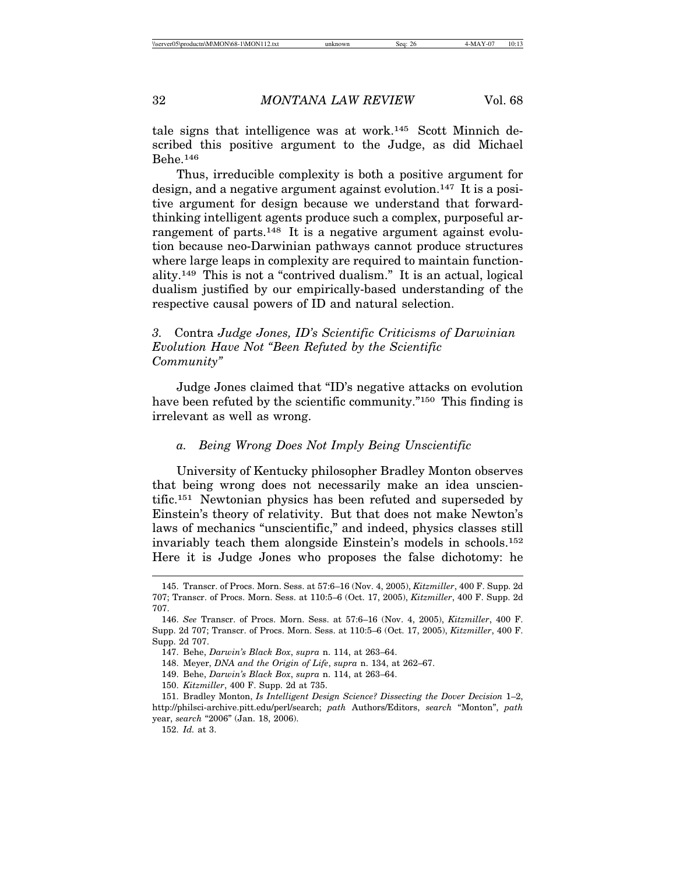tale signs that intelligence was at work.145 Scott Minnich described this positive argument to the Judge, as did Michael Behe.146

Thus, irreducible complexity is both a positive argument for design, and a negative argument against evolution.147 It is a positive argument for design because we understand that forwardthinking intelligent agents produce such a complex, purposeful arrangement of parts.<sup>148</sup> It is a negative argument against evolution because neo-Darwinian pathways cannot produce structures where large leaps in complexity are required to maintain functionality.149 This is not a "contrived dualism." It is an actual, logical dualism justified by our empirically-based understanding of the respective causal powers of ID and natural selection.

# *3.* Contra *Judge Jones, ID's Scientific Criticisms of Darwinian Evolution Have Not "Been Refuted by the Scientific Community"*

Judge Jones claimed that "ID's negative attacks on evolution have been refuted by the scientific community."<sup>150</sup> This finding is irrelevant as well as wrong.

## *a. Being Wrong Does Not Imply Being Unscientific*

University of Kentucky philosopher Bradley Monton observes that being wrong does not necessarily make an idea unscientific.151 Newtonian physics has been refuted and superseded by Einstein's theory of relativity. But that does not make Newton's laws of mechanics "unscientific," and indeed, physics classes still invariably teach them alongside Einstein's models in schools.152 Here it is Judge Jones who proposes the false dichotomy: he

<sup>145.</sup> Transcr. of Procs. Morn. Sess. at 57:6–16 (Nov. 4, 2005), *Kitzmiller*, 400 F. Supp. 2d 707; Transcr. of Procs. Morn. Sess. at 110:5–6 (Oct. 17, 2005), *Kitzmiller*, 400 F. Supp. 2d 707.

<sup>146.</sup> *See* Transcr. of Procs. Morn. Sess. at 57:6–16 (Nov. 4, 2005), *Kitzmiller*, 400 F. Supp. 2d 707; Transcr. of Procs. Morn. Sess. at 110:5–6 (Oct. 17, 2005), *Kitzmiller*, 400 F. Supp. 2d 707.

<sup>147.</sup> Behe, *Darwin's Black Box*, *supra* n. 114, at 263–64.

<sup>148.</sup> Meyer, *DNA and the Origin of Life*, *supra* n. 134, at 262–67.

<sup>149.</sup> Behe, *Darwin's Black Box*, *supra* n. 114, at 263–64.

<sup>150.</sup> *Kitzmiller*, 400 F. Supp. 2d at 735.

<sup>151.</sup> Bradley Monton, *Is Intelligent Design Science? Dissecting the Dover Decision* 1–2, http://philsci-archive.pitt.edu/perl/search; *path* Authors/Editors, *search* "Monton", *path* year, *search* "2006" (Jan. 18, 2006).

<sup>152.</sup> *Id.* at 3.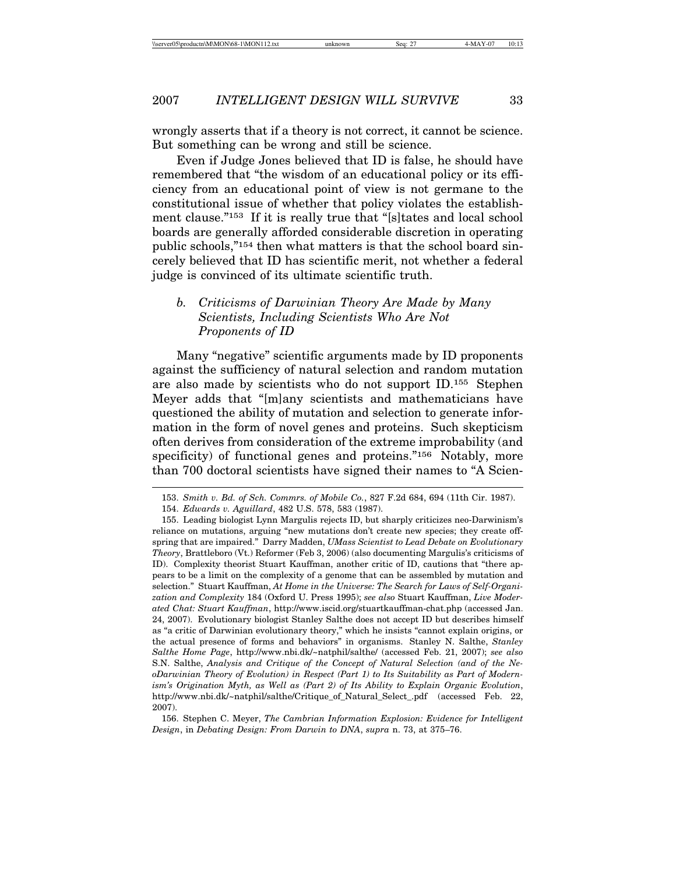wrongly asserts that if a theory is not correct, it cannot be science. But something can be wrong and still be science.

Even if Judge Jones believed that ID is false, he should have remembered that "the wisdom of an educational policy or its efficiency from an educational point of view is not germane to the constitutional issue of whether that policy violates the establishment clause."153 If it is really true that "[s]tates and local school boards are generally afforded considerable discretion in operating public schools,"154 then what matters is that the school board sincerely believed that ID has scientific merit, not whether a federal judge is convinced of its ultimate scientific truth.

# *b. Criticisms of Darwinian Theory Are Made by Many Scientists, Including Scientists Who Are Not Proponents of ID*

Many "negative" scientific arguments made by ID proponents against the sufficiency of natural selection and random mutation are also made by scientists who do not support ID.155 Stephen Meyer adds that "[m]any scientists and mathematicians have questioned the ability of mutation and selection to generate information in the form of novel genes and proteins. Such skepticism often derives from consideration of the extreme improbability (and specificity) of functional genes and proteins."<sup>156</sup> Notably, more than 700 doctoral scientists have signed their names to "A Scien-

<sup>153.</sup> *Smith v. Bd. of Sch. Commrs. of Mobile Co.*, 827 F.2d 684, 694 (11th Cir. 1987).

<sup>154.</sup> *Edwards v. Aguillard*, 482 U.S. 578, 583 (1987).

<sup>155.</sup> Leading biologist Lynn Margulis rejects ID, but sharply criticizes neo-Darwinism's reliance on mutations, arguing "new mutations don't create new species; they create offspring that are impaired." Darry Madden, *UMass Scientist to Lead Debate on Evolutionary Theory*, Brattleboro (Vt.) Reformer (Feb 3, 2006) (also documenting Margulis's criticisms of ID). Complexity theorist Stuart Kauffman, another critic of ID, cautions that "there appears to be a limit on the complexity of a genome that can be assembled by mutation and selection." Stuart Kauffman, *At Home in the Universe: The Search for Laws of Self-Organization and Complexity* 184 (Oxford U. Press 1995); *see also* Stuart Kauffman, *Live Moderated Chat: Stuart Kauffman*, http://www.iscid.org/stuartkauffman-chat.php (accessed Jan. 24, 2007). Evolutionary biologist Stanley Salthe does not accept ID but describes himself as "a critic of Darwinian evolutionary theory," which he insists "cannot explain origins, or the actual presence of forms and behaviors" in organisms. Stanley N. Salthe, *Stanley Salthe Home Page*, http://www.nbi.dk/~natphil/salthe/ (accessed Feb. 21, 2007); *see also* S.N. Salthe, *Analysis and Critique of the Concept of Natural Selection (and of the NeoDarwinian Theory of Evolution) in Respect (Part 1) to Its Suitability as Part of Modernism's Origination Myth, as Well as (Part 2) of Its Ability to Explain Organic Evolution*, http://www.nbi.dk/~natphil/salthe/Critique\_of\_Natural\_Select\_.pdf (accessed Feb. 22, 2007).

<sup>156.</sup> Stephen C. Meyer, *The Cambrian Information Explosion: Evidence for Intelligent Design*, in *Debating Design: From Darwin to DNA*, *supra* n. 73, at 375–76.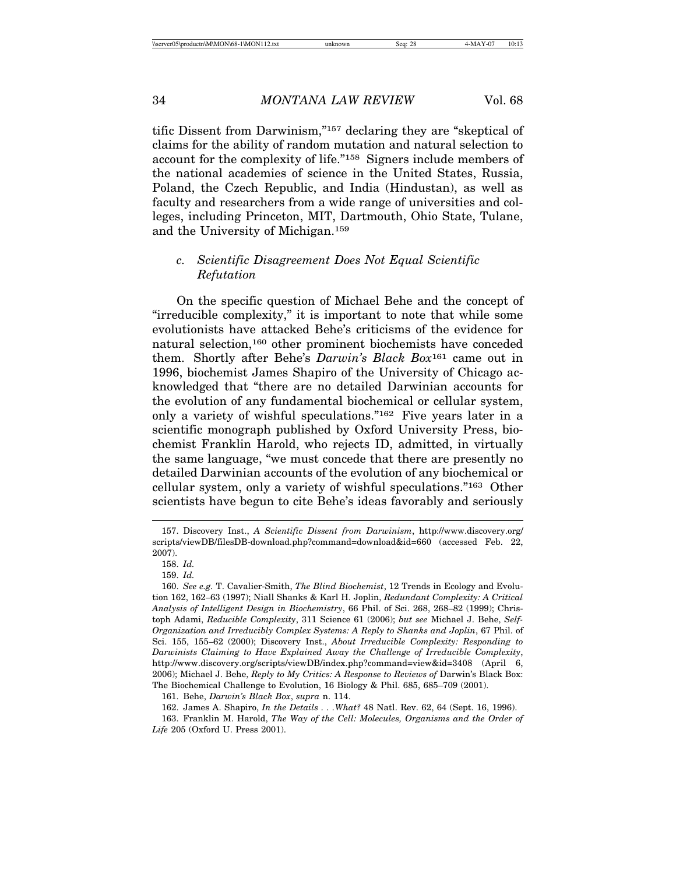tific Dissent from Darwinism,"157 declaring they are "skeptical of claims for the ability of random mutation and natural selection to account for the complexity of life."158 Signers include members of the national academies of science in the United States, Russia, Poland, the Czech Republic, and India (Hindustan), as well as faculty and researchers from a wide range of universities and colleges, including Princeton, MIT, Dartmouth, Ohio State, Tulane, and the University of Michigan.159

# *c. Scientific Disagreement Does Not Equal Scientific Refutation*

On the specific question of Michael Behe and the concept of "irreducible complexity," it is important to note that while some evolutionists have attacked Behe's criticisms of the evidence for natural selection,160 other prominent biochemists have conceded them. Shortly after Behe's *Darwin's Black Box*161 came out in 1996, biochemist James Shapiro of the University of Chicago acknowledged that "there are no detailed Darwinian accounts for the evolution of any fundamental biochemical or cellular system, only a variety of wishful speculations."162 Five years later in a scientific monograph published by Oxford University Press, biochemist Franklin Harold, who rejects ID, admitted, in virtually the same language, "we must concede that there are presently no detailed Darwinian accounts of the evolution of any biochemical or cellular system, only a variety of wishful speculations."163 Other scientists have begun to cite Behe's ideas favorably and seriously

161. Behe, *Darwin's Black Box*, *supra* n. 114.

162. James A. Shapiro, *In the Details . . .What?* 48 Natl. Rev. 62, 64 (Sept. 16, 1996). 163. Franklin M. Harold, *The Way of the Cell: Molecules, Organisms and the Order of Life* 205 (Oxford U. Press 2001).

<sup>157.</sup> Discovery Inst., *A Scientific Dissent from Darwinism*, http://www.discovery.org/ scripts/viewDB/filesDB-download.php?command=download&id=660 (accessed Feb. 22, 2007).

<sup>158.</sup> *Id.*

<sup>159.</sup> *Id.*

<sup>160.</sup> *See e.g.* T. Cavalier-Smith, *The Blind Biochemist*, 12 Trends in Ecology and Evolution 162, 162–63 (1997); Niall Shanks & Karl H. Joplin, *Redundant Complexity: A Critical Analysis of Intelligent Design in Biochemistry*, 66 Phil. of Sci. 268, 268–82 (1999); Christoph Adami, *Reducible Complexity*, 311 Science 61 (2006); *but see* Michael J. Behe, *Self-Organization and Irreducibly Complex Systems: A Reply to Shanks and Joplin*, 67 Phil. of Sci. 155, 155–62 (2000); Discovery Inst., *About Irreducible Complexity: Responding to Darwinists Claiming to Have Explained Away the Challenge of Irreducible Complexity*, http://www.discovery.org/scripts/viewDB/index.php?command=view&id=3408 (April 6, 2006); Michael J. Behe, *Reply to My Critics: A Response to Reviews of* Darwin's Black Box: The Biochemical Challenge to Evolution, 16 Biology & Phil. 685, 685–709 (2001).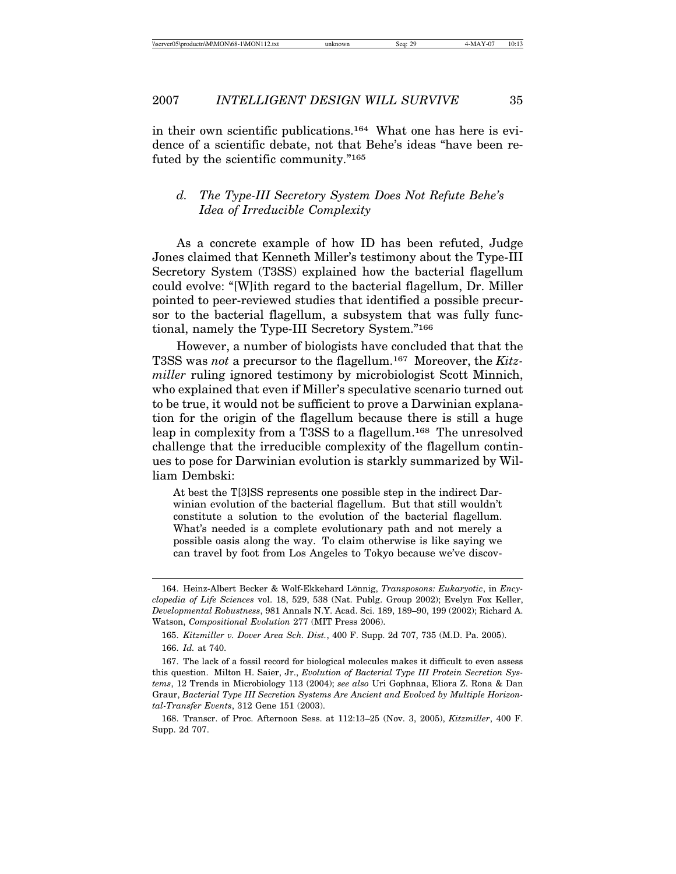in their own scientific publications.164 What one has here is evidence of a scientific debate, not that Behe's ideas "have been refuted by the scientific community."165

# *d. The Type-III Secretory System Does Not Refute Behe's Idea of Irreducible Complexity*

As a concrete example of how ID has been refuted, Judge Jones claimed that Kenneth Miller's testimony about the Type-III Secretory System (T3SS) explained how the bacterial flagellum could evolve: "[W]ith regard to the bacterial flagellum, Dr. Miller pointed to peer-reviewed studies that identified a possible precursor to the bacterial flagellum, a subsystem that was fully functional, namely the Type-III Secretory System."166

However, a number of biologists have concluded that that the T3SS was *not* a precursor to the flagellum.167 Moreover, the *Kitzmiller* ruling ignored testimony by microbiologist Scott Minnich, who explained that even if Miller's speculative scenario turned out to be true, it would not be sufficient to prove a Darwinian explanation for the origin of the flagellum because there is still a huge leap in complexity from a T3SS to a flagellum.168 The unresolved challenge that the irreducible complexity of the flagellum continues to pose for Darwinian evolution is starkly summarized by William Dembski:

At best the T[3]SS represents one possible step in the indirect Darwinian evolution of the bacterial flagellum. But that still wouldn't constitute a solution to the evolution of the bacterial flagellum. What's needed is a complete evolutionary path and not merely a possible oasis along the way. To claim otherwise is like saying we can travel by foot from Los Angeles to Tokyo because we've discov-

<sup>164.</sup> Heinz-Albert Becker & Wolf-Ekkehard Lönnig, *Transposons: Eukaryotic*, in *Encyclopedia of Life Sciences* vol. 18, 529, 538 (Nat. Publg. Group 2002); Evelyn Fox Keller, *Developmental Robustness*, 981 Annals N.Y. Acad. Sci. 189, 189–90, 199 (2002); Richard A. Watson, *Compositional Evolution* 277 (MIT Press 2006).

<sup>165.</sup> *Kitzmiller v. Dover Area Sch. Dist.*, 400 F. Supp. 2d 707, 735 (M.D. Pa. 2005). 166. *Id.* at 740.

<sup>167.</sup> The lack of a fossil record for biological molecules makes it difficult to even assess this question. Milton H. Saier, Jr., *Evolution of Bacterial Type III Protein Secretion Systems*, 12 Trends in Microbiology 113 (2004); *see also* Uri Gophnaa, Eliora Z. Rona & Dan Graur, *Bacterial Type III Secretion Systems Are Ancient and Evolved by Multiple Horizontal-Transfer Events*, 312 Gene 151 (2003).

<sup>168.</sup> Transcr. of Proc. Afternoon Sess. at 112:13–25 (Nov. 3, 2005), *Kitzmiller*, 400 F. Supp. 2d 707.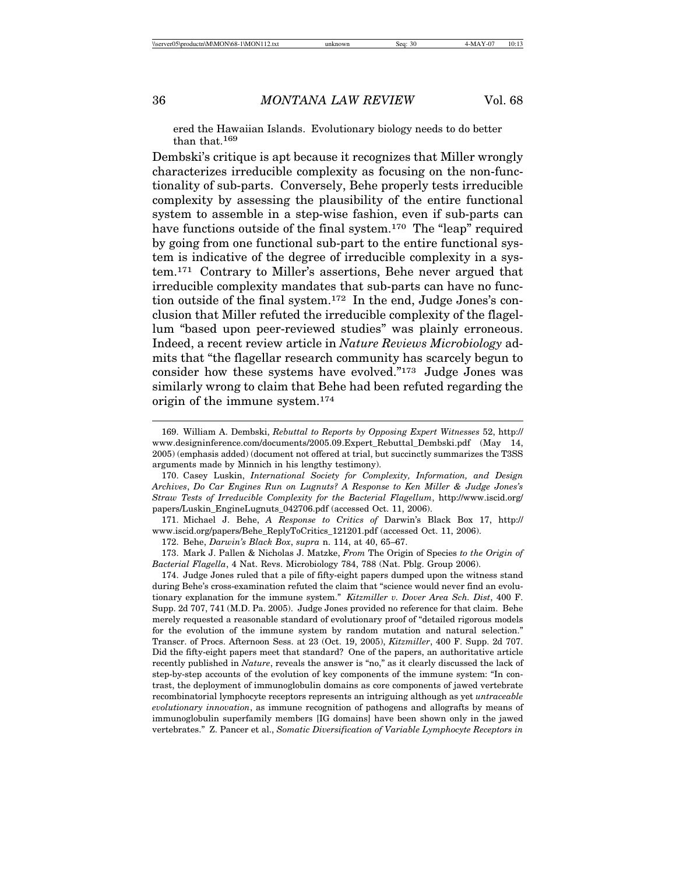ered the Hawaiian Islands. Evolutionary biology needs to do better than that.169

Dembski's critique is apt because it recognizes that Miller wrongly characterizes irreducible complexity as focusing on the non-functionality of sub-parts. Conversely, Behe properly tests irreducible complexity by assessing the plausibility of the entire functional system to assemble in a step-wise fashion, even if sub-parts can have functions outside of the final system.170 The "leap" required by going from one functional sub-part to the entire functional system is indicative of the degree of irreducible complexity in a system.171 Contrary to Miller's assertions, Behe never argued that irreducible complexity mandates that sub-parts can have no function outside of the final system.172 In the end, Judge Jones's conclusion that Miller refuted the irreducible complexity of the flagellum "based upon peer-reviewed studies" was plainly erroneous. Indeed, a recent review article in *Nature Reviews Microbiology* admits that "the flagellar research community has scarcely begun to consider how these systems have evolved."173 Judge Jones was similarly wrong to claim that Behe had been refuted regarding the origin of the immune system.174

<sup>169.</sup> William A. Dembski, *Rebuttal to Reports by Opposing Expert Witnesses* 52, http:// www.designinference.com/documents/2005.09.Expert\_Rebuttal\_Dembski.pdf (May 14, 2005) (emphasis added) (document not offered at trial, but succinctly summarizes the T3SS arguments made by Minnich in his lengthy testimony).

<sup>170.</sup> Casey Luskin, *International Society for Complexity, Information, and Design Archives*, *Do Car Engines Run on Lugnuts? A Response to Ken Miller & Judge Jones's Straw Tests of Irreducible Complexity for the Bacterial Flagellum*, http://www.iscid.org/ papers/Luskin\_EngineLugnuts\_042706.pdf (accessed Oct. 11, 2006).

<sup>171.</sup> Michael J. Behe, *A Response to Critics of* Darwin's Black Box 17, http:// www.iscid.org/papers/Behe\_ReplyToCritics\_121201.pdf (accessed Oct. 11, 2006).

<sup>172.</sup> Behe, *Darwin's Black Box*, *supra* n. 114, at 40, 65–67.

<sup>173.</sup> Mark J. Pallen & Nicholas J. Matzke, *From* The Origin of Species *to the Origin of Bacterial Flagella*, 4 Nat. Revs. Microbiology 784, 788 (Nat. Pblg. Group 2006).

<sup>174.</sup> Judge Jones ruled that a pile of fifty-eight papers dumped upon the witness stand during Behe's cross-examination refuted the claim that "science would never find an evolutionary explanation for the immune system." *Kitzmiller v. Dover Area Sch. Dist*, 400 F. Supp. 2d 707, 741 (M.D. Pa. 2005). Judge Jones provided no reference for that claim. Behe merely requested a reasonable standard of evolutionary proof of "detailed rigorous models for the evolution of the immune system by random mutation and natural selection." Transcr. of Procs. Afternoon Sess. at 23 (Oct. 19, 2005), *Kitzmiller*, 400 F. Supp. 2d 707. Did the fifty-eight papers meet that standard? One of the papers, an authoritative article recently published in *Nature*, reveals the answer is "no," as it clearly discussed the lack of step-by-step accounts of the evolution of key components of the immune system: "In contrast, the deployment of immunoglobulin domains as core components of jawed vertebrate recombinatorial lymphocyte receptors represents an intriguing although as yet *untraceable evolutionary innovation*, as immune recognition of pathogens and allografts by means of immunoglobulin superfamily members [IG domains] have been shown only in the jawed vertebrates." Z. Pancer et al., *Somatic Diversification of Variable Lymphocyte Receptors in*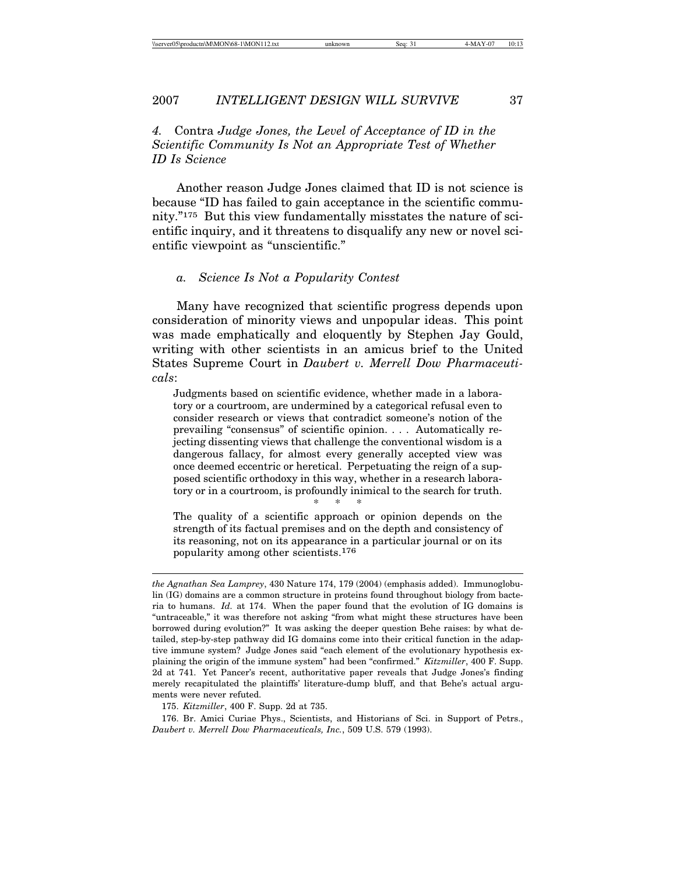*4.* Contra *Judge Jones, the Level of Acceptance of ID in the Scientific Community Is Not an Appropriate Test of Whether ID Is Science*

Another reason Judge Jones claimed that ID is not science is because "ID has failed to gain acceptance in the scientific community."175 But this view fundamentally misstates the nature of scientific inquiry, and it threatens to disqualify any new or novel scientific viewpoint as "unscientific."

### *a. Science Is Not a Popularity Contest*

Many have recognized that scientific progress depends upon consideration of minority views and unpopular ideas. This point was made emphatically and eloquently by Stephen Jay Gould, writing with other scientists in an amicus brief to the United States Supreme Court in *Daubert v. Merrell Dow Pharmaceuticals*:

Judgments based on scientific evidence, whether made in a laboratory or a courtroom, are undermined by a categorical refusal even to consider research or views that contradict someone's notion of the prevailing "consensus" of scientific opinion. . . . Automatically rejecting dissenting views that challenge the conventional wisdom is a dangerous fallacy, for almost every generally accepted view was once deemed eccentric or heretical. Perpetuating the reign of a supposed scientific orthodoxy in this way, whether in a research laboratory or in a courtroom, is profoundly inimical to the search for truth.

The quality of a scientific approach or opinion depends on the strength of its factual premises and on the depth and consistency of its reasoning, not on its appearance in a particular journal or on its popularity among other scientists.176

\* \* \*

175. *Kitzmiller*, 400 F. Supp. 2d at 735.

176. Br. Amici Curiae Phys., Scientists, and Historians of Sci. in Support of Petrs., *Daubert v. Merrell Dow Pharmaceuticals, Inc.*, 509 U.S. 579 (1993).

*the Agnathan Sea Lamprey*, 430 Nature 174, 179 (2004) (emphasis added). Immunoglobulin (IG) domains are a common structure in proteins found throughout biology from bacteria to humans. *Id.* at 174. When the paper found that the evolution of IG domains is "untraceable," it was therefore not asking "from what might these structures have been borrowed during evolution?" It was asking the deeper question Behe raises: by what detailed, step-by-step pathway did IG domains come into their critical function in the adaptive immune system? Judge Jones said "each element of the evolutionary hypothesis explaining the origin of the immune system" had been "confirmed." *Kitzmiller*, 400 F. Supp. 2d at 741. Yet Pancer's recent, authoritative paper reveals that Judge Jones's finding merely recapitulated the plaintiffs' literature-dump bluff, and that Behe's actual arguments were never refuted.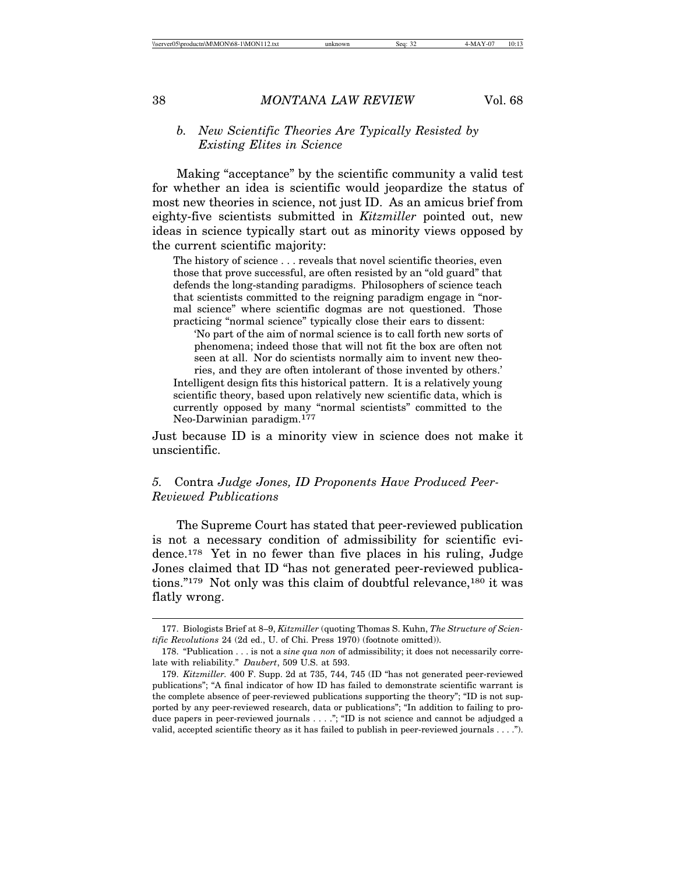## *b. New Scientific Theories Are Typically Resisted by Existing Elites in Science*

Making "acceptance" by the scientific community a valid test for whether an idea is scientific would jeopardize the status of most new theories in science, not just ID. As an amicus brief from eighty-five scientists submitted in *Kitzmiller* pointed out, new ideas in science typically start out as minority views opposed by the current scientific majority:

The history of science . . . reveals that novel scientific theories, even those that prove successful, are often resisted by an "old guard" that defends the long-standing paradigms. Philosophers of science teach that scientists committed to the reigning paradigm engage in "normal science" where scientific dogmas are not questioned. Those practicing "normal science" typically close their ears to dissent:

'No part of the aim of normal science is to call forth new sorts of phenomena; indeed those that will not fit the box are often not seen at all. Nor do scientists normally aim to invent new theo-

ries, and they are often intolerant of those invented by others.' Intelligent design fits this historical pattern. It is a relatively young scientific theory, based upon relatively new scientific data, which is currently opposed by many "normal scientists" committed to the Neo-Darwinian paradigm.177

Just because ID is a minority view in science does not make it unscientific.

# *5.* Contra *Judge Jones, ID Proponents Have Produced Peer-Reviewed Publications*

The Supreme Court has stated that peer-reviewed publication is not a necessary condition of admissibility for scientific evidence.178 Yet in no fewer than five places in his ruling, Judge Jones claimed that ID "has not generated peer-reviewed publications."<sup>179</sup> Not only was this claim of doubtful relevance,<sup>180</sup> it was flatly wrong.

<sup>177.</sup> Biologists Brief at 8–9, *Kitzmiller* (quoting Thomas S. Kuhn, *The Structure of Scientific Revolutions* 24 (2d ed., U. of Chi. Press 1970) (footnote omitted)).

<sup>178. &</sup>quot;Publication . . . is not a *sine qua non* of admissibility; it does not necessarily correlate with reliability." *Daubert*, 509 U.S. at 593.

<sup>179.</sup> *Kitzmiller.* 400 F. Supp. 2d at 735, 744, 745 (ID "has not generated peer-reviewed publications"; "A final indicator of how ID has failed to demonstrate scientific warrant is the complete absence of peer-reviewed publications supporting the theory"; "ID is not supported by any peer-reviewed research, data or publications"; "In addition to failing to produce papers in peer-reviewed journals . . . ."; "ID is not science and cannot be adjudged a valid, accepted scientific theory as it has failed to publish in peer-reviewed journals . . . .").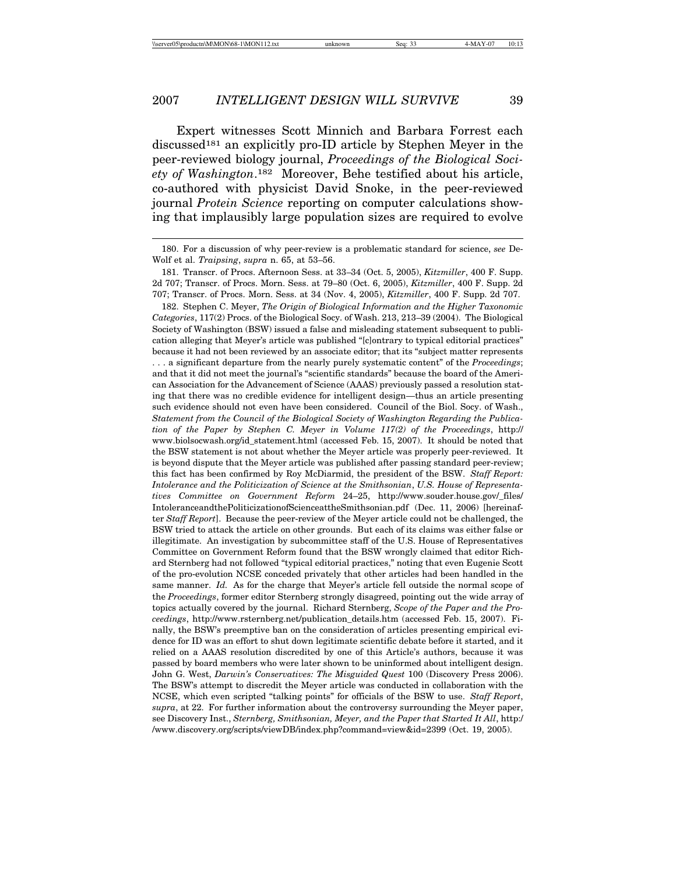Expert witnesses Scott Minnich and Barbara Forrest each discussed<sup>181</sup> an explicitly pro-ID article by Stephen Meyer in the peer-reviewed biology journal, *Proceedings of the Biological Society of Washington*.182 Moreover, Behe testified about his article, co-authored with physicist David Snoke, in the peer-reviewed journal *Protein Science* reporting on computer calculations showing that implausibly large population sizes are required to evolve

182. Stephen C. Meyer, *The Origin of Biological Information and the Higher Taxonomic Categories*, 117(2) Procs. of the Biological Socy. of Wash. 213, 213–39 (2004). The Biological Society of Washington (BSW) issued a false and misleading statement subsequent to publication alleging that Meyer's article was published "[c]ontrary to typical editorial practices" because it had not been reviewed by an associate editor; that its "subject matter represents . . . a significant departure from the nearly purely systematic content" of the *Proceedings*; and that it did not meet the journal's "scientific standards" because the board of the Ameri-

can Association for the Advancement of Science (AAAS) previously passed a resolution stating that there was no credible evidence for intelligent design—thus an article presenting such evidence should not even have been considered. Council of the Biol. Socy. of Wash., *Statement from the Council of the Biological Society of Washington Regarding the Publication of the Paper by Stephen C. Meyer in Volume 117(2) of the Proceedings*, http:// www.biolsocwash.org/id\_statement.html (accessed Feb. 15, 2007). It should be noted that the BSW statement is not about whether the Meyer article was properly peer-reviewed. It is beyond dispute that the Meyer article was published after passing standard peer-review; this fact has been confirmed by Roy McDiarmid, the president of the BSW. *Staff Report: Intolerance and the Politicization of Science at the Smithsonian*, *U.S. House of Representatives Committee on Government Reform* 24–25, http://www.souder.house.gov/\_files/ IntoleranceandthePoliticizationofScienceattheSmithsonian.pdf (Dec. 11, 2006) [hereinafter *Staff Report*]. Because the peer-review of the Meyer article could not be challenged, the BSW tried to attack the article on other grounds. But each of its claims was either false or illegitimate. An investigation by subcommittee staff of the U.S. House of Representatives Committee on Government Reform found that the BSW wrongly claimed that editor Richard Sternberg had not followed "typical editorial practices," noting that even Eugenie Scott of the pro-evolution NCSE conceded privately that other articles had been handled in the same manner. *Id.* As for the charge that Meyer's article fell outside the normal scope of the *Proceedings*, former editor Sternberg strongly disagreed, pointing out the wide array of topics actually covered by the journal. Richard Sternberg, *Scope of the Paper and the Proceedings*, http://www.rsternberg.net/publication\_details.htm (accessed Feb. 15, 2007). Finally, the BSW's preemptive ban on the consideration of articles presenting empirical evidence for ID was an effort to shut down legitimate scientific debate before it started, and it relied on a AAAS resolution discredited by one of this Article's authors, because it was passed by board members who were later shown to be uninformed about intelligent design. John G. West, *Darwin's Conservatives: The Misguided Quest* 100 (Discovery Press 2006). The BSW's attempt to discredit the Meyer article was conducted in collaboration with the NCSE, which even scripted "talking points" for officials of the BSW to use. *Staff Report*, *supra*, at 22. For further information about the controversy surrounding the Meyer paper, see Discovery Inst., *Sternberg, Smithsonian, Meyer, and the Paper that Started It All*, http:/ /www.discovery.org/scripts/viewDB/index.php?command=view&id=2399 (Oct. 19, 2005).

<sup>180.</sup> For a discussion of why peer-review is a problematic standard for science, *see* De-Wolf et al. *Traipsing*, *supra* n. 65, at 53–56.

<sup>181.</sup> Transcr. of Procs. Afternoon Sess. at 33–34 (Oct. 5, 2005), *Kitzmiller*, 400 F. Supp. 2d 707; Transcr. of Procs. Morn. Sess. at 79–80 (Oct. 6, 2005), *Kitzmiller*, 400 F. Supp. 2d 707; Transcr. of Procs. Morn. Sess. at 34 (Nov. 4, 2005), *Kitzmiller*, 400 F. Supp. 2d 707.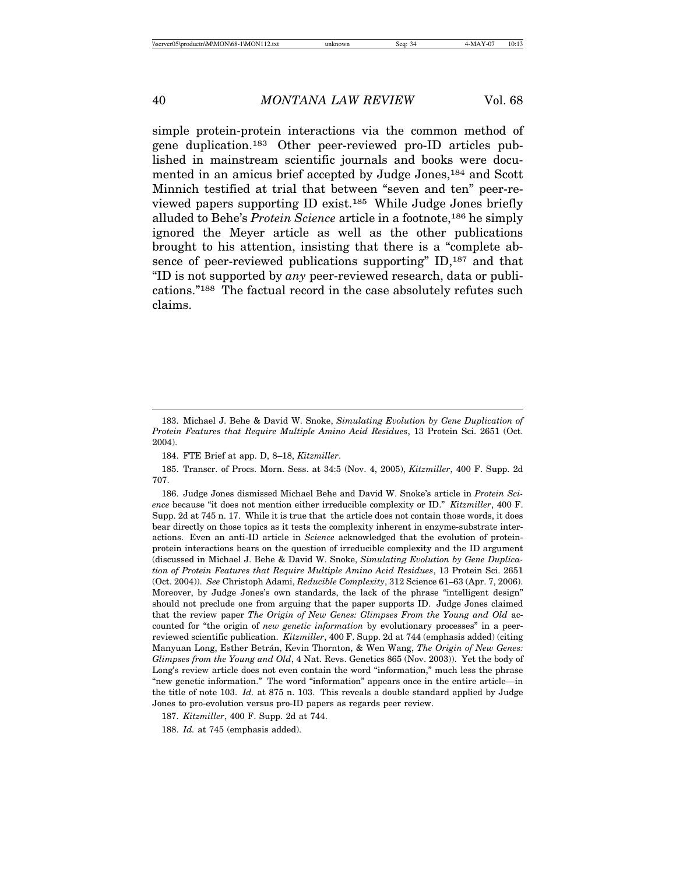simple protein-protein interactions via the common method of gene duplication.183 Other peer-reviewed pro-ID articles published in mainstream scientific journals and books were documented in an amicus brief accepted by Judge Jones,184 and Scott Minnich testified at trial that between "seven and ten" peer-reviewed papers supporting ID exist.185 While Judge Jones briefly alluded to Behe's *Protein Science* article in a footnote,186 he simply ignored the Meyer article as well as the other publications brought to his attention, insisting that there is a "complete absence of peer-reviewed publications supporting" ID,<sup>187</sup> and that "ID is not supported by *any* peer-reviewed research, data or publications."188 The factual record in the case absolutely refutes such claims.

186. Judge Jones dismissed Michael Behe and David W. Snoke's article in *Protein Science* because "it does not mention either irreducible complexity or ID." *Kitzmiller*, 400 F. Supp. 2d at 745 n. 17. While it is true that the article does not contain those words, it does bear directly on those topics as it tests the complexity inherent in enzyme-substrate interactions. Even an anti-ID article in *Science* acknowledged that the evolution of proteinprotein interactions bears on the question of irreducible complexity and the ID argument (discussed in Michael J. Behe & David W. Snoke, *Simulating Evolution by Gene Duplication of Protein Features that Require Multiple Amino Acid Residues*, 13 Protein Sci. 2651 (Oct. 2004)). *See* Christoph Adami, *Reducible Complexity*, 312 Science 61–63 (Apr. 7, 2006). Moreover, by Judge Jones's own standards, the lack of the phrase "intelligent design" should not preclude one from arguing that the paper supports ID. Judge Jones claimed that the review paper *The Origin of New Genes: Glimpses From the Young and Old* accounted for "the origin of *new genetic information* by evolutionary processes" in a peerreviewed scientific publication. *Kitzmiller*, 400 F. Supp. 2d at 744 (emphasis added) (citing Manyuan Long, Esther Betrán, Kevin Thornton, & Wen Wang, *The Origin of New Genes: Glimpses from the Young and Old*, 4 Nat. Revs. Genetics 865 (Nov. 2003)). Yet the body of Long's review article does not even contain the word "information," much less the phrase "new genetic information." The word "information" appears once in the entire article—in the title of note 103. *Id.* at 875 n. 103. This reveals a double standard applied by Judge Jones to pro-evolution versus pro-ID papers as regards peer review.

187. *Kitzmiller*, 400 F. Supp. 2d at 744.

188. *Id.* at 745 (emphasis added).

<sup>183.</sup> Michael J. Behe & David W. Snoke, *Simulating Evolution by Gene Duplication of Protein Features that Require Multiple Amino Acid Residues*, 13 Protein Sci. 2651 (Oct. 2004).

<sup>184.</sup> FTE Brief at app. D, 8–18, *Kitzmiller*.

<sup>185.</sup> Transcr. of Procs. Morn. Sess. at 34:5 (Nov. 4, 2005), *Kitzmiller*, 400 F. Supp. 2d 707.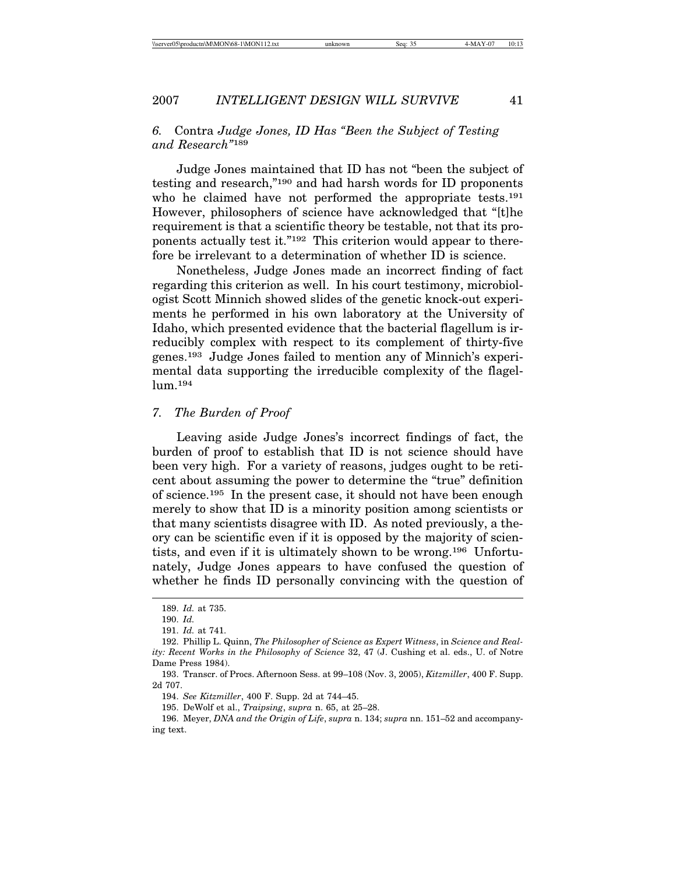# *6.* Contra *Judge Jones, ID Has "Been the Subject of Testing and Research"*<sup>189</sup>

Judge Jones maintained that ID has not "been the subject of testing and research,"190 and had harsh words for ID proponents who he claimed have not performed the appropriate tests.<sup>191</sup> However, philosophers of science have acknowledged that "[t]he requirement is that a scientific theory be testable, not that its proponents actually test it."192 This criterion would appear to therefore be irrelevant to a determination of whether ID is science.

Nonetheless, Judge Jones made an incorrect finding of fact regarding this criterion as well. In his court testimony, microbiologist Scott Minnich showed slides of the genetic knock-out experiments he performed in his own laboratory at the University of Idaho, which presented evidence that the bacterial flagellum is irreducibly complex with respect to its complement of thirty-five genes.193 Judge Jones failed to mention any of Minnich's experimental data supporting the irreducible complexity of the flagellum.194

## *7. The Burden of Proof*

Leaving aside Judge Jones's incorrect findings of fact, the burden of proof to establish that ID is not science should have been very high. For a variety of reasons, judges ought to be reticent about assuming the power to determine the "true" definition of science.195 In the present case, it should not have been enough merely to show that ID is a minority position among scientists or that many scientists disagree with ID. As noted previously, a theory can be scientific even if it is opposed by the majority of scientists, and even if it is ultimately shown to be wrong.196 Unfortunately, Judge Jones appears to have confused the question of whether he finds ID personally convincing with the question of

<sup>189.</sup> *Id.* at 735.

<sup>190.</sup> *Id.*

<sup>191.</sup> *Id.* at 741.

<sup>192.</sup> Phillip L. Quinn, *The Philosopher of Science as Expert Witness*, in *Science and Reality: Recent Works in the Philosophy of Science* 32, 47 (J. Cushing et al. eds., U. of Notre Dame Press 1984).

<sup>193.</sup> Transcr. of Procs. Afternoon Sess. at 99–108 (Nov. 3, 2005), *Kitzmiller*, 400 F. Supp. 2d 707.

<sup>194.</sup> *See Kitzmiller*, 400 F. Supp. 2d at 744–45.

<sup>195.</sup> DeWolf et al., *Traipsing*, *supra* n. 65, at 25–28.

<sup>196.</sup> Meyer, *DNA and the Origin of Life*, *supra* n. 134; *supra* nn. 151–52 and accompanying text.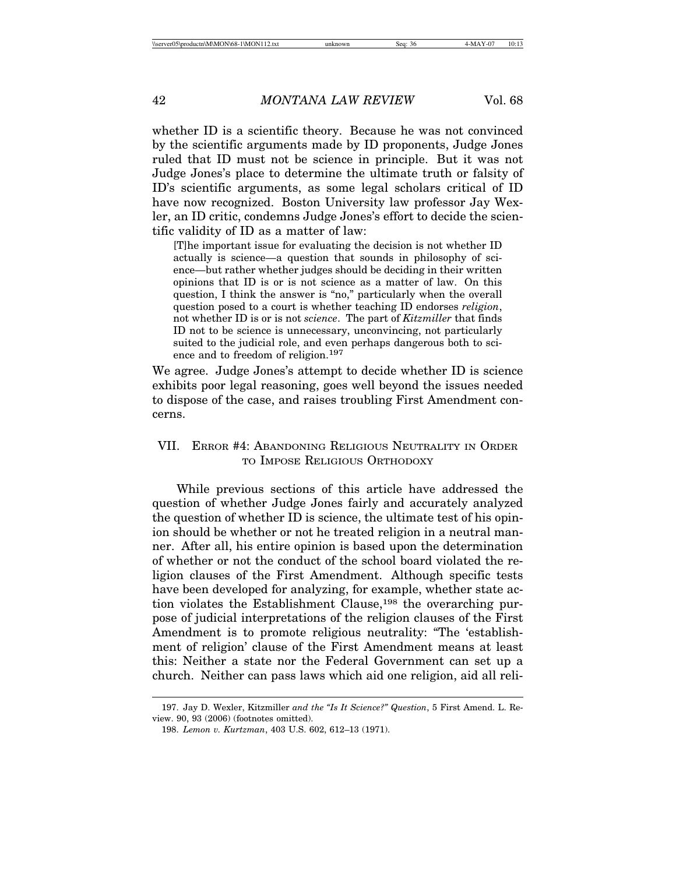whether ID is a scientific theory. Because he was not convinced by the scientific arguments made by ID proponents, Judge Jones ruled that ID must not be science in principle. But it was not Judge Jones's place to determine the ultimate truth or falsity of ID's scientific arguments, as some legal scholars critical of ID have now recognized. Boston University law professor Jay Wexler, an ID critic, condemns Judge Jones's effort to decide the scientific validity of ID as a matter of law:

[T]he important issue for evaluating the decision is not whether ID actually is science—a question that sounds in philosophy of science—but rather whether judges should be deciding in their written opinions that ID is or is not science as a matter of law. On this question, I think the answer is "no," particularly when the overall question posed to a court is whether teaching ID endorses *religion*, not whether ID is or is not *science*. The part of *Kitzmiller* that finds ID not to be science is unnecessary, unconvincing, not particularly suited to the judicial role, and even perhaps dangerous both to science and to freedom of religion.197

We agree. Judge Jones's attempt to decide whether ID is science exhibits poor legal reasoning, goes well beyond the issues needed to dispose of the case, and raises troubling First Amendment concerns.

# VII. ERROR #4: ABANDONING RELIGIOUS NEUTRALITY IN ORDER TO IMPOSE RELIGIOUS ORTHODOXY

While previous sections of this article have addressed the question of whether Judge Jones fairly and accurately analyzed the question of whether ID is science, the ultimate test of his opinion should be whether or not he treated religion in a neutral manner. After all, his entire opinion is based upon the determination of whether or not the conduct of the school board violated the religion clauses of the First Amendment. Although specific tests have been developed for analyzing, for example, whether state action violates the Establishment Clause,<sup>198</sup> the overarching purpose of judicial interpretations of the religion clauses of the First Amendment is to promote religious neutrality: "The 'establishment of religion' clause of the First Amendment means at least this: Neither a state nor the Federal Government can set up a church. Neither can pass laws which aid one religion, aid all reli-

<sup>197.</sup> Jay D. Wexler, Kitzmiller *and the "Is It Science?" Question*, 5 First Amend. L. Review. 90, 93 (2006) (footnotes omitted).

<sup>198.</sup> *Lemon v. Kurtzman*, 403 U.S. 602, 612–13 (1971).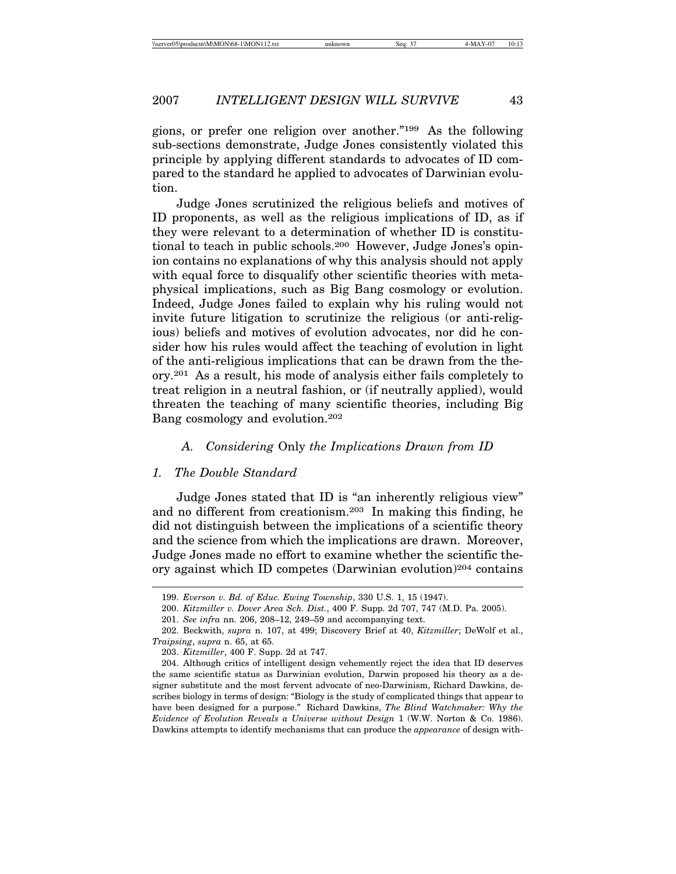gions, or prefer one religion over another."199 As the following sub-sections demonstrate, Judge Jones consistently violated this principle by applying different standards to advocates of ID compared to the standard he applied to advocates of Darwinian evolution.

Judge Jones scrutinized the religious beliefs and motives of ID proponents, as well as the religious implications of ID, as if they were relevant to a determination of whether ID is constitutional to teach in public schools.200 However, Judge Jones's opinion contains no explanations of why this analysis should not apply with equal force to disqualify other scientific theories with metaphysical implications, such as Big Bang cosmology or evolution. Indeed, Judge Jones failed to explain why his ruling would not invite future litigation to scrutinize the religious (or anti-religious) beliefs and motives of evolution advocates, nor did he consider how his rules would affect the teaching of evolution in light of the anti-religious implications that can be drawn from the theory.201 As a result, his mode of analysis either fails completely to treat religion in a neutral fashion, or (if neutrally applied), would threaten the teaching of many scientific theories, including Big Bang cosmology and evolution.202

## *A. Considering* Only *the Implications Drawn from ID*

## *1. The Double Standard*

Judge Jones stated that ID is "an inherently religious view" and no different from creationism.203 In making this finding, he did not distinguish between the implications of a scientific theory and the science from which the implications are drawn. Moreover, Judge Jones made no effort to examine whether the scientific theory against which ID competes (Darwinian evolution)204 contains

<sup>199.</sup> *Everson v. Bd. of Educ. Ewing Township*, 330 U.S. 1, 15 (1947).

<sup>200.</sup> *Kitzmiller v. Dover Area Sch. Dist.*, 400 F. Supp. 2d 707, 747 (M.D. Pa. 2005).

<sup>201.</sup> *See infra* nn. 206, 208–12, 249–59 and accompanying text.

<sup>202.</sup> Beckwith, *supra* n. 107, at 499; Discovery Brief at 40, *Kitzmiller*; DeWolf et al., *Traipsing*, *supra* n. 65, at 65.

<sup>203.</sup> *Kitzmiller*, 400 F. Supp. 2d at 747.

<sup>204.</sup> Although critics of intelligent design vehemently reject the idea that ID deserves the same scientific status as Darwinian evolution, Darwin proposed his theory as a designer substitute and the most fervent advocate of neo-Darwinism, Richard Dawkins, describes biology in terms of design: "Biology is the study of complicated things that appear to have been designed for a purpose." Richard Dawkins, *The Blind Watchmaker: Why the Evidence of Evolution Reveals a Universe without Design* 1 (W.W. Norton & Co. 1986). Dawkins attempts to identify mechanisms that can produce the *appearance* of design with-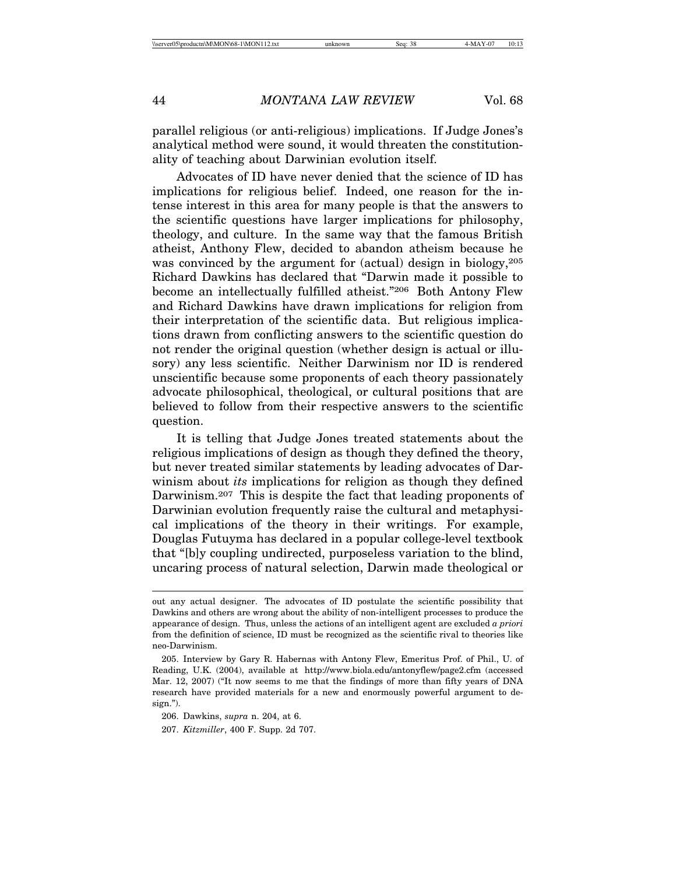parallel religious (or anti-religious) implications. If Judge Jones's analytical method were sound, it would threaten the constitutionality of teaching about Darwinian evolution itself.

Advocates of ID have never denied that the science of ID has implications for religious belief. Indeed, one reason for the intense interest in this area for many people is that the answers to the scientific questions have larger implications for philosophy, theology, and culture. In the same way that the famous British atheist, Anthony Flew, decided to abandon atheism because he was convinced by the argument for (actual) design in biology,  $205$ Richard Dawkins has declared that "Darwin made it possible to become an intellectually fulfilled atheist."206 Both Antony Flew and Richard Dawkins have drawn implications for religion from their interpretation of the scientific data. But religious implications drawn from conflicting answers to the scientific question do not render the original question (whether design is actual or illusory) any less scientific. Neither Darwinism nor ID is rendered unscientific because some proponents of each theory passionately advocate philosophical, theological, or cultural positions that are believed to follow from their respective answers to the scientific question.

It is telling that Judge Jones treated statements about the religious implications of design as though they defined the theory, but never treated similar statements by leading advocates of Darwinism about *its* implications for religion as though they defined Darwinism.<sup>207</sup> This is despite the fact that leading proponents of Darwinian evolution frequently raise the cultural and metaphysical implications of the theory in their writings. For example, Douglas Futuyma has declared in a popular college-level textbook that "[b]y coupling undirected, purposeless variation to the blind, uncaring process of natural selection, Darwin made theological or

out any actual designer. The advocates of ID postulate the scientific possibility that Dawkins and others are wrong about the ability of non-intelligent processes to produce the appearance of design. Thus, unless the actions of an intelligent agent are excluded *a priori* from the definition of science, ID must be recognized as the scientific rival to theories like neo-Darwinism.

<sup>205.</sup> Interview by Gary R. Habernas with Antony Flew, Emeritus Prof. of Phil., U. of Reading, U.K. (2004), available at http://www.biola.edu/antonyflew/page2.cfm (accessed Mar. 12, 2007) ("It now seems to me that the findings of more than fifty years of DNA research have provided materials for a new and enormously powerful argument to design.").

<sup>206.</sup> Dawkins, *supra* n. 204, at 6.

<sup>207.</sup> *Kitzmiller*, 400 F. Supp. 2d 707.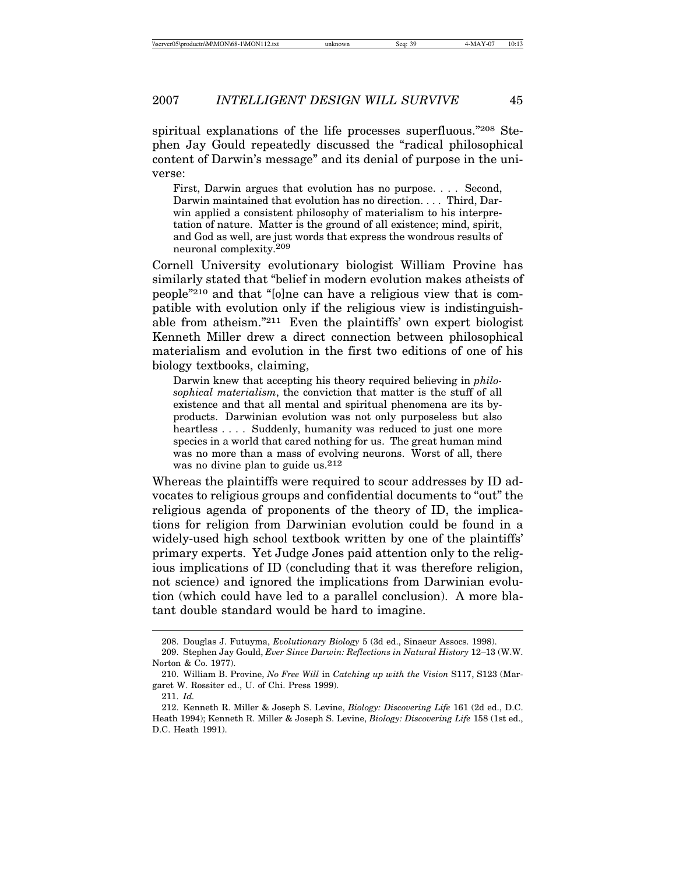spiritual explanations of the life processes superfluous."208 Stephen Jay Gould repeatedly discussed the "radical philosophical content of Darwin's message" and its denial of purpose in the universe:

First, Darwin argues that evolution has no purpose. . . . Second, Darwin maintained that evolution has no direction. . . . Third, Darwin applied a consistent philosophy of materialism to his interpretation of nature. Matter is the ground of all existence; mind, spirit, and God as well, are just words that express the wondrous results of neuronal complexity.209

Cornell University evolutionary biologist William Provine has similarly stated that "belief in modern evolution makes atheists of people"210 and that "[o]ne can have a religious view that is compatible with evolution only if the religious view is indistinguishable from atheism."211 Even the plaintiffs' own expert biologist Kenneth Miller drew a direct connection between philosophical materialism and evolution in the first two editions of one of his biology textbooks, claiming,

Darwin knew that accepting his theory required believing in *philosophical materialism*, the conviction that matter is the stuff of all existence and that all mental and spiritual phenomena are its byproducts. Darwinian evolution was not only purposeless but also heartless . . . . Suddenly, humanity was reduced to just one more species in a world that cared nothing for us. The great human mind was no more than a mass of evolving neurons. Worst of all, there was no divine plan to guide us.<sup>212</sup>

Whereas the plaintiffs were required to scour addresses by ID advocates to religious groups and confidential documents to "out" the religious agenda of proponents of the theory of ID, the implications for religion from Darwinian evolution could be found in a widely-used high school textbook written by one of the plaintiffs' primary experts. Yet Judge Jones paid attention only to the religious implications of ID (concluding that it was therefore religion, not science) and ignored the implications from Darwinian evolution (which could have led to a parallel conclusion). A more blatant double standard would be hard to imagine.

<sup>208.</sup> Douglas J. Futuyma, *Evolutionary Biology* 5 (3d ed., Sinaeur Assocs. 1998).

<sup>209.</sup> Stephen Jay Gould, *Ever Since Darwin: Reflections in Natural History* 12–13 (W.W. Norton & Co. 1977).

<sup>210.</sup> William B. Provine, *No Free Will* in *Catching up with the Vision* S117, S123 (Margaret W. Rossiter ed., U. of Chi. Press 1999).

<sup>211.</sup> *Id.*

<sup>212.</sup> Kenneth R. Miller & Joseph S. Levine, *Biology: Discovering Life* 161 (2d ed., D.C. Heath 1994); Kenneth R. Miller & Joseph S. Levine, *Biology: Discovering Life* 158 (1st ed., D.C. Heath 1991).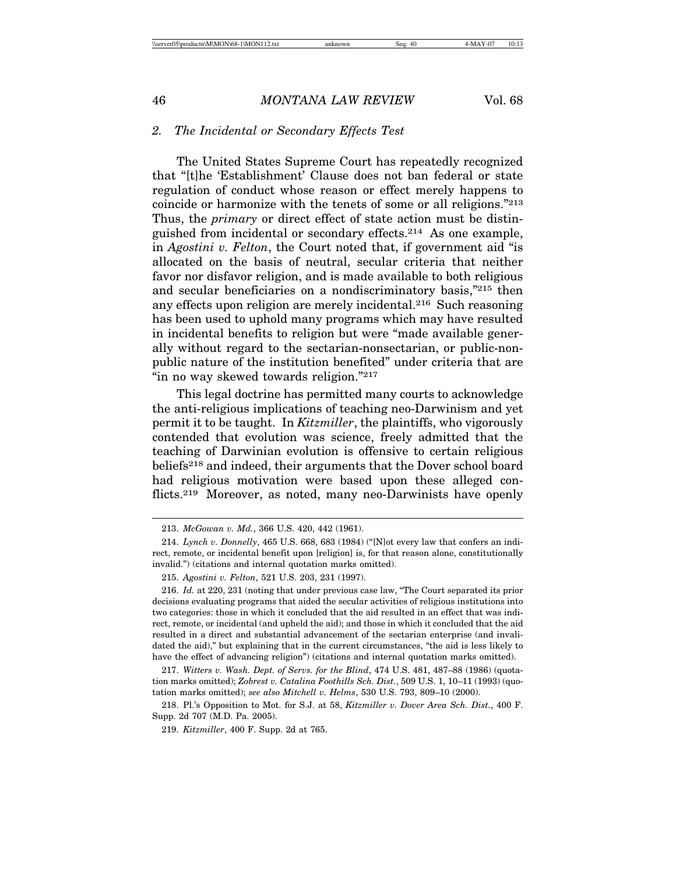### *2. The Incidental or Secondary Effects Test*

The United States Supreme Court has repeatedly recognized that "[t]he 'Establishment' Clause does not ban federal or state regulation of conduct whose reason or effect merely happens to coincide or harmonize with the tenets of some or all religions."213 Thus, the *primary* or direct effect of state action must be distinguished from incidental or secondary effects.214 As one example, in *Agostini v. Felton*, the Court noted that, if government aid "is allocated on the basis of neutral, secular criteria that neither favor nor disfavor religion, and is made available to both religious and secular beneficiaries on a nondiscriminatory basis,"215 then any effects upon religion are merely incidental.216 Such reasoning has been used to uphold many programs which may have resulted in incidental benefits to religion but were "made available generally without regard to the sectarian-nonsectarian, or public-nonpublic nature of the institution benefited" under criteria that are "in no way skewed towards religion."<sup>217</sup>

This legal doctrine has permitted many courts to acknowledge the anti-religious implications of teaching neo-Darwinism and yet permit it to be taught. In *Kitzmiller*, the plaintiffs, who vigorously contended that evolution was science, freely admitted that the teaching of Darwinian evolution is offensive to certain religious beliefs218 and indeed, their arguments that the Dover school board had religious motivation were based upon these alleged conflicts.<sup>219</sup> Moreover, as noted, many neo-Darwinists have openly

<sup>213.</sup> *McGowan v. Md.*, 366 U.S. 420, 442 (1961).

<sup>214.</sup> *Lynch v. Donnelly*, 465 U.S. 668, 683 (1984) ("[N]ot every law that confers an indirect, remote, or incidental benefit upon [religion] is, for that reason alone, constitutionally invalid.") (citations and internal quotation marks omitted).

<sup>215.</sup> *Agostini v. Felton*, 521 U.S. 203, 231 (1997).

<sup>216.</sup> *Id.* at 220, 231 (noting that under previous case law, "The Court separated its prior decisions evaluating programs that aided the secular activities of religious institutions into two categories: those in which it concluded that the aid resulted in an effect that was indirect, remote, or incidental (and upheld the aid); and those in which it concluded that the aid resulted in a direct and substantial advancement of the sectarian enterprise (and invalidated the aid)," but explaining that in the current circumstances, "the aid is less likely to have the effect of advancing religion") (citations and internal quotation marks omitted).

<sup>217.</sup> *Witters v. Wash. Dept. of Servs. for the Blind*, 474 U.S. 481, 487–88 (1986) (quotation marks omitted); *Zobrest v. Catalina Foothills Sch. Dist.*, 509 U.S. 1, 10–11 (1993) (quotation marks omitted); *see also Mitchell v. Helms*, 530 U.S. 793, 809–10 (2000).

<sup>218.</sup> Pl.'s Opposition to Mot. for S.J. at 58, *Kitzmiller v. Dover Area Sch. Dist.*, 400 F. Supp. 2d 707 (M.D. Pa. 2005).

<sup>219.</sup> *Kitzmiller*, 400 F. Supp. 2d at 765.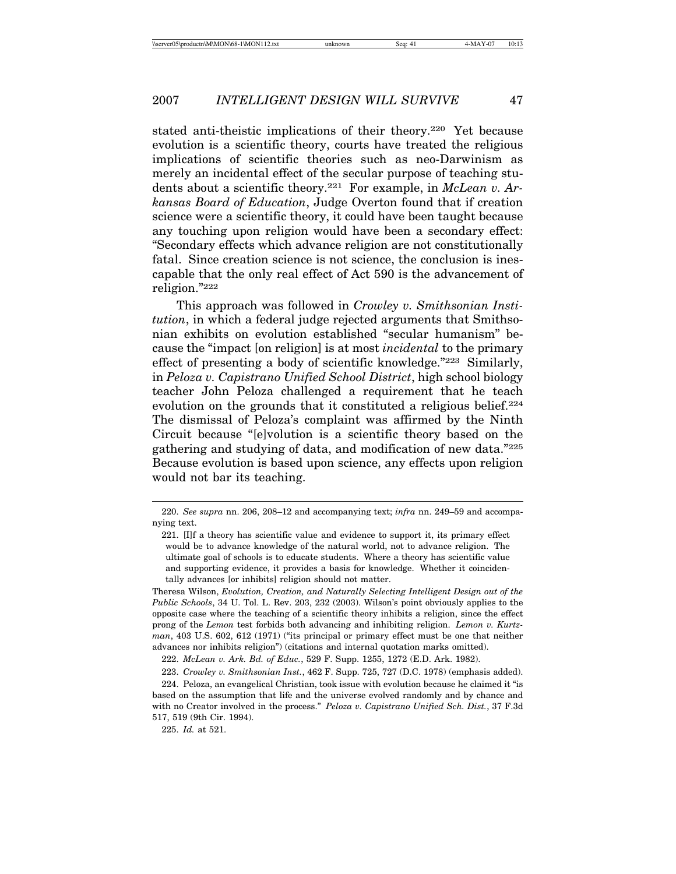stated anti-theistic implications of their theory.220 Yet because evolution is a scientific theory, courts have treated the religious implications of scientific theories such as neo-Darwinism as merely an incidental effect of the secular purpose of teaching students about a scientific theory.221 For example, in *McLean v. Arkansas Board of Education*, Judge Overton found that if creation science were a scientific theory, it could have been taught because any touching upon religion would have been a secondary effect: "Secondary effects which advance religion are not constitutionally fatal. Since creation science is not science, the conclusion is inescapable that the only real effect of Act 590 is the advancement of religion."222

This approach was followed in *Crowley v. Smithsonian Institution*, in which a federal judge rejected arguments that Smithsonian exhibits on evolution established "secular humanism" because the "impact [on religion] is at most *incidental* to the primary effect of presenting a body of scientific knowledge."223 Similarly, in *Peloza v. Capistrano Unified School District*, high school biology teacher John Peloza challenged a requirement that he teach evolution on the grounds that it constituted a religious belief.<sup>224</sup> The dismissal of Peloza's complaint was affirmed by the Ninth Circuit because "[e]volution is a scientific theory based on the gathering and studying of data, and modification of new data."225 Because evolution is based upon science, any effects upon religion would not bar its teaching.

Theresa Wilson, *Evolution, Creation, and Naturally Selecting Intelligent Design out of the Public Schools*, 34 U. Tol. L. Rev. 203, 232 (2003). Wilson's point obviously applies to the opposite case where the teaching of a scientific theory inhibits a religion, since the effect prong of the *Lemon* test forbids both advancing and inhibiting religion. *Lemon v. Kurtzman*, 403 U.S. 602, 612 (1971) ("its principal or primary effect must be one that neither advances nor inhibits religion") (citations and internal quotation marks omitted).

225. *Id.* at 521.

<sup>220.</sup> *See supra* nn. 206, 208–12 and accompanying text; *infra* nn. 249–59 and accompanying text.

<sup>221. [</sup>I]f a theory has scientific value and evidence to support it, its primary effect would be to advance knowledge of the natural world, not to advance religion. The ultimate goal of schools is to educate students. Where a theory has scientific value and supporting evidence, it provides a basis for knowledge. Whether it coincidentally advances [or inhibits] religion should not matter.

<sup>222.</sup> *McLean v. Ark. Bd. of Educ.*, 529 F. Supp. 1255, 1272 (E.D. Ark. 1982).

<sup>223.</sup> *Crowley v. Smithsonian Inst.*, 462 F. Supp. 725, 727 (D.C. 1978) (emphasis added).

<sup>224.</sup> Peloza, an evangelical Christian, took issue with evolution because he claimed it "is based on the assumption that life and the universe evolved randomly and by chance and with no Creator involved in the process." *Peloza v. Capistrano Unified Sch. Dist.*, 37 F.3d 517, 519 (9th Cir. 1994).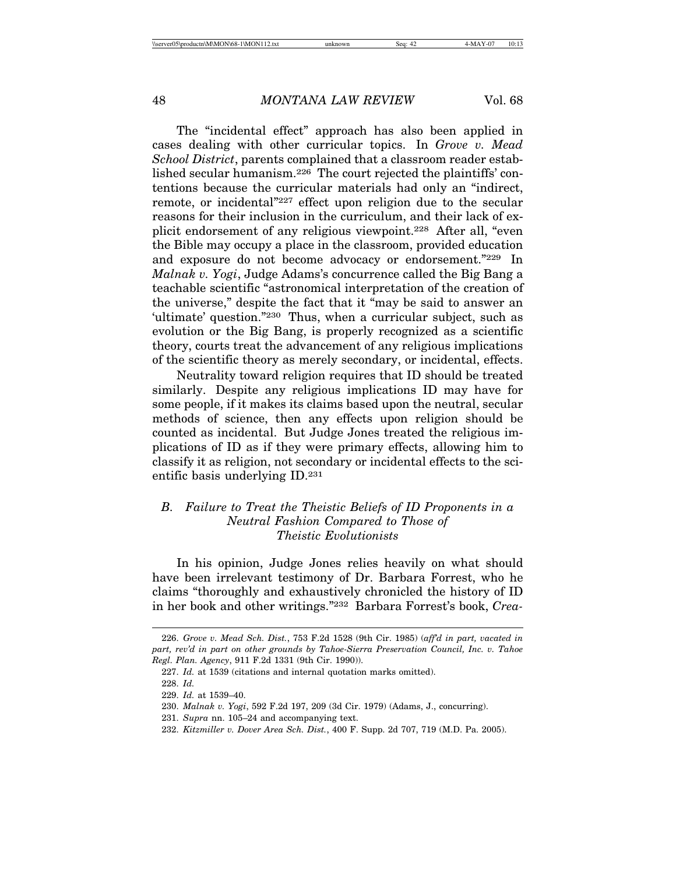The "incidental effect" approach has also been applied in cases dealing with other curricular topics. In *Grove v. Mead School District*, parents complained that a classroom reader established secular humanism.226 The court rejected the plaintiffs' contentions because the curricular materials had only an "indirect, remote, or incidental"227 effect upon religion due to the secular reasons for their inclusion in the curriculum, and their lack of explicit endorsement of any religious viewpoint.228 After all, "even the Bible may occupy a place in the classroom, provided education and exposure do not become advocacy or endorsement."229 In *Malnak v. Yogi*, Judge Adams's concurrence called the Big Bang a teachable scientific "astronomical interpretation of the creation of the universe," despite the fact that it "may be said to answer an 'ultimate' question."230 Thus, when a curricular subject, such as evolution or the Big Bang, is properly recognized as a scientific theory, courts treat the advancement of any religious implications of the scientific theory as merely secondary, or incidental, effects.

Neutrality toward religion requires that ID should be treated similarly. Despite any religious implications ID may have for some people, if it makes its claims based upon the neutral, secular methods of science, then any effects upon religion should be counted as incidental. But Judge Jones treated the religious implications of ID as if they were primary effects, allowing him to classify it as religion, not secondary or incidental effects to the scientific basis underlying ID.231

# *B. Failure to Treat the Theistic Beliefs of ID Proponents in a Neutral Fashion Compared to Those of Theistic Evolutionists*

In his opinion, Judge Jones relies heavily on what should have been irrelevant testimony of Dr. Barbara Forrest, who he claims "thoroughly and exhaustively chronicled the history of ID in her book and other writings."232 Barbara Forrest's book, *Crea-*

<sup>226.</sup> *Grove v. Mead Sch. Dist.*, 753 F.2d 1528 (9th Cir. 1985) (*aff'd in part, vacated in part, rev'd in part on other grounds by Tahoe-Sierra Preservation Council, Inc. v. Tahoe Regl. Plan. Agency*, 911 F.2d 1331 (9th Cir. 1990)).

<sup>227.</sup> *Id.* at 1539 (citations and internal quotation marks omitted).

<sup>228.</sup> *Id.*

<sup>229.</sup> *Id.* at 1539–40.

<sup>230.</sup> *Malnak v. Yogi*, 592 F.2d 197, 209 (3d Cir. 1979) (Adams, J., concurring).

<sup>231.</sup> *Supra* nn. 105–24 and accompanying text.

<sup>232.</sup> *Kitzmiller v. Dover Area Sch. Dist.*, 400 F. Supp. 2d 707, 719 (M.D. Pa. 2005).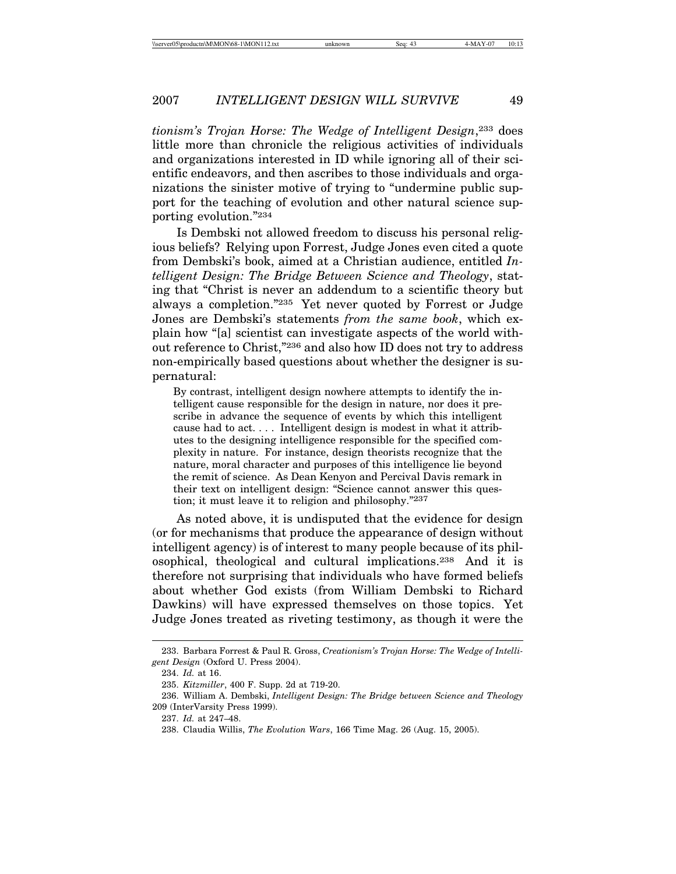*tionism's Trojan Horse: The Wedge of Intelligent Design*,233 does little more than chronicle the religious activities of individuals and organizations interested in ID while ignoring all of their scientific endeavors, and then ascribes to those individuals and organizations the sinister motive of trying to "undermine public support for the teaching of evolution and other natural science supporting evolution."234

Is Dembski not allowed freedom to discuss his personal religious beliefs? Relying upon Forrest, Judge Jones even cited a quote from Dembski's book, aimed at a Christian audience, entitled *Intelligent Design: The Bridge Between Science and Theology*, stating that "Christ is never an addendum to a scientific theory but always a completion."235 Yet never quoted by Forrest or Judge Jones are Dembski's statements *from the same book*, which explain how "[a] scientist can investigate aspects of the world without reference to Christ,"236 and also how ID does not try to address non-empirically based questions about whether the designer is supernatural:

By contrast, intelligent design nowhere attempts to identify the intelligent cause responsible for the design in nature, nor does it prescribe in advance the sequence of events by which this intelligent cause had to act. . . . Intelligent design is modest in what it attributes to the designing intelligence responsible for the specified complexity in nature. For instance, design theorists recognize that the nature, moral character and purposes of this intelligence lie beyond the remit of science. As Dean Kenyon and Percival Davis remark in their text on intelligent design: "Science cannot answer this question; it must leave it to religion and philosophy."237

As noted above, it is undisputed that the evidence for design (or for mechanisms that produce the appearance of design without intelligent agency) is of interest to many people because of its philosophical, theological and cultural implications.238 And it is therefore not surprising that individuals who have formed beliefs about whether God exists (from William Dembski to Richard Dawkins) will have expressed themselves on those topics. Yet Judge Jones treated as riveting testimony, as though it were the

<sup>233.</sup> Barbara Forrest & Paul R. Gross, *Creationism's Trojan Horse: The Wedge of Intelligent Design* (Oxford U. Press 2004).

<sup>234.</sup> *Id.* at 16.

<sup>235.</sup> *Kitzmiller*, 400 F. Supp. 2d at 719-20.

<sup>236.</sup> William A. Dembski, *Intelligent Design: The Bridge between Science and Theology* 209 (InterVarsity Press 1999).

<sup>237.</sup> *Id.* at 247–48.

<sup>238.</sup> Claudia Willis, *The Evolution Wars*, 166 Time Mag. 26 (Aug. 15, 2005).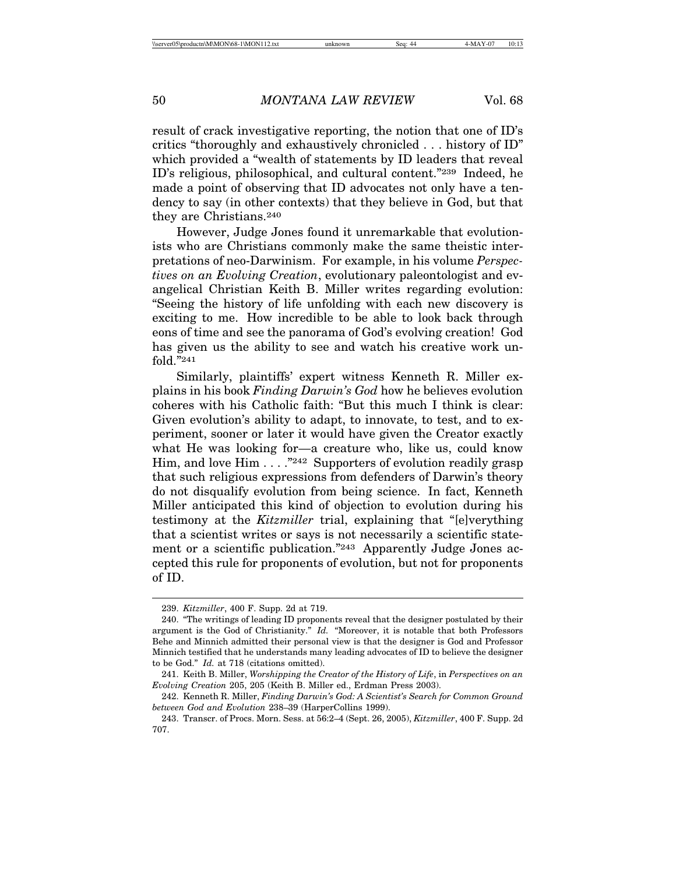result of crack investigative reporting, the notion that one of ID's critics "thoroughly and exhaustively chronicled . . . history of ID" which provided a "wealth of statements by ID leaders that reveal ID's religious, philosophical, and cultural content."239 Indeed, he made a point of observing that ID advocates not only have a tendency to say (in other contexts) that they believe in God, but that they are Christians.240

However, Judge Jones found it unremarkable that evolutionists who are Christians commonly make the same theistic interpretations of neo-Darwinism. For example, in his volume *Perspectives on an Evolving Creation*, evolutionary paleontologist and evangelical Christian Keith B. Miller writes regarding evolution: "Seeing the history of life unfolding with each new discovery is exciting to me. How incredible to be able to look back through eons of time and see the panorama of God's evolving creation! God has given us the ability to see and watch his creative work unfold."241

Similarly, plaintiffs' expert witness Kenneth R. Miller explains in his book *Finding Darwin's God* how he believes evolution coheres with his Catholic faith: "But this much I think is clear: Given evolution's ability to adapt, to innovate, to test, and to experiment, sooner or later it would have given the Creator exactly what He was looking for—a creature who, like us, could know Him, and love Him . . . . "242 Supporters of evolution readily grasp that such religious expressions from defenders of Darwin's theory do not disqualify evolution from being science. In fact, Kenneth Miller anticipated this kind of objection to evolution during his testimony at the *Kitzmiller* trial, explaining that "[e]verything that a scientist writes or says is not necessarily a scientific statement or a scientific publication."243 Apparently Judge Jones accepted this rule for proponents of evolution, but not for proponents of ID.

<sup>239.</sup> *Kitzmiller*, 400 F. Supp. 2d at 719.

<sup>240. &</sup>quot;The writings of leading ID proponents reveal that the designer postulated by their argument is the God of Christianity." *Id.* "Moreover, it is notable that both Professors Behe and Minnich admitted their personal view is that the designer is God and Professor Minnich testified that he understands many leading advocates of ID to believe the designer to be God." *Id.* at 718 (citations omitted).

<sup>241.</sup> Keith B. Miller, *Worshipping the Creator of the History of Life*, in *Perspectives on an Evolving Creation* 205, 205 (Keith B. Miller ed., Erdman Press 2003).

<sup>242.</sup> Kenneth R. Miller, *Finding Darwin's God: A Scientist's Search for Common Ground between God and Evolution* 238–39 (HarperCollins 1999).

<sup>243.</sup> Transcr. of Procs. Morn. Sess. at 56:2–4 (Sept. 26, 2005), *Kitzmiller*, 400 F. Supp. 2d 707.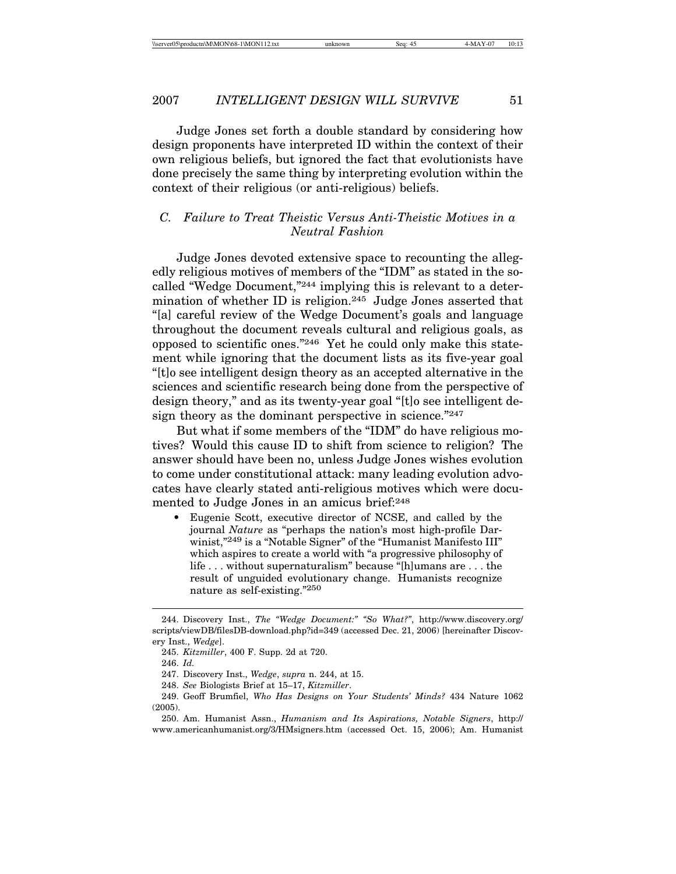Judge Jones set forth a double standard by considering how design proponents have interpreted ID within the context of their own religious beliefs, but ignored the fact that evolutionists have done precisely the same thing by interpreting evolution within the context of their religious (or anti-religious) beliefs.

# *C. Failure to Treat Theistic Versus Anti-Theistic Motives in a Neutral Fashion*

Judge Jones devoted extensive space to recounting the allegedly religious motives of members of the "IDM" as stated in the socalled "Wedge Document,"244 implying this is relevant to a determination of whether ID is religion.<sup>245</sup> Judge Jones asserted that "[a] careful review of the Wedge Document's goals and language throughout the document reveals cultural and religious goals, as opposed to scientific ones."246 Yet he could only make this statement while ignoring that the document lists as its five-year goal "[t]o see intelligent design theory as an accepted alternative in the sciences and scientific research being done from the perspective of design theory," and as its twenty-year goal "[t]o see intelligent design theory as the dominant perspective in science."247

But what if some members of the "IDM" do have religious motives? Would this cause ID to shift from science to religion? The answer should have been no, unless Judge Jones wishes evolution to come under constitutional attack: many leading evolution advocates have clearly stated anti-religious motives which were documented to Judge Jones in an amicus brief:248

• Eugenie Scott, executive director of NCSE, and called by the journal *Nature* as "perhaps the nation's most high-profile Darwinist,"<sup>249</sup> is a "Notable Signer" of the "Humanist Manifesto III" which aspires to create a world with "a progressive philosophy of life . . . without supernaturalism" because "[h]umans are . . . the result of unguided evolutionary change. Humanists recognize nature as self-existing."250

<sup>244.</sup> Discovery Inst., *The "Wedge Document:" "So What?"*, http://www.discovery.org/ scripts/viewDB/filesDB-download.php?id=349 (accessed Dec. 21, 2006) [hereinafter Discovery Inst., *Wedge*].

<sup>245.</sup> *Kitzmiller*, 400 F. Supp. 2d at 720.

<sup>246.</sup> *Id.*

<sup>247.</sup> Discovery Inst., *Wedge*, *supra* n. 244, at 15.

<sup>248.</sup> *See* Biologists Brief at 15–17, *Kitzmiller*.

<sup>249.</sup> Geoff Brumfiel, *Who Has Designs on Your Students' Minds?* 434 Nature 1062 (2005).

<sup>250.</sup> Am. Humanist Assn., *Humanism and Its Aspirations, Notable Signers*, http:// www.americanhumanist.org/3/HMsigners.htm (accessed Oct. 15, 2006); Am. Humanist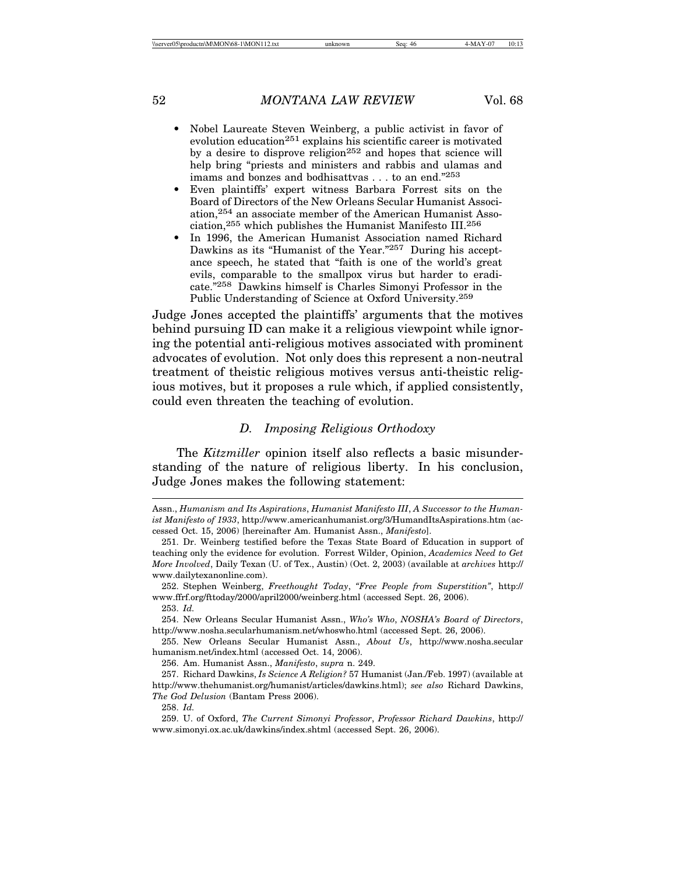- 
- Nobel Laureate Steven Weinberg, a public activist in favor of evolution education<sup>251</sup> explains his scientific career is motivated by a desire to disprove religion<sup>252</sup> and hopes that science will help bring "priests and ministers and rabbis and ulamas and imams and bonzes and bodhisattvas . . . to an end."253
- Even plaintiffs' expert witness Barbara Forrest sits on the Board of Directors of the New Orleans Secular Humanist Association,254 an associate member of the American Humanist Association,255 which publishes the Humanist Manifesto III.256
- In 1996, the American Humanist Association named Richard Dawkins as its "Humanist of the Year."257 During his acceptance speech, he stated that "faith is one of the world's great evils, comparable to the smallpox virus but harder to eradicate."258 Dawkins himself is Charles Simonyi Professor in the Public Understanding of Science at Oxford University.259

Judge Jones accepted the plaintiffs' arguments that the motives behind pursuing ID can make it a religious viewpoint while ignoring the potential anti-religious motives associated with prominent advocates of evolution. Not only does this represent a non-neutral treatment of theistic religious motives versus anti-theistic religious motives, but it proposes a rule which, if applied consistently, could even threaten the teaching of evolution.

## *D. Imposing Religious Orthodoxy*

The *Kitzmiller* opinion itself also reflects a basic misunderstanding of the nature of religious liberty. In his conclusion, Judge Jones makes the following statement:

252. Stephen Weinberg, *Freethought Today*, *"Free People from Superstition"*, http:// www.ffrf.org/fttoday/2000/april2000/weinberg.html (accessed Sept. 26, 2006).

256. Am. Humanist Assn., *Manifesto*, *supra* n. 249.

257. Richard Dawkins, *Is Science A Religion?* 57 Humanist (Jan./Feb. 1997) (available at http://www.thehumanist.org/humanist/articles/dawkins.html); *see also* Richard Dawkins, *The God Delusion* (Bantam Press 2006).

258. *Id.*

Assn., *Humanism and Its Aspirations*, *Humanist Manifesto III*, *A Successor to the Humanist Manifesto of 1933*, http://www.americanhumanist.org/3/HumandItsAspirations.htm (accessed Oct. 15, 2006) [hereinafter Am. Humanist Assn., *Manifesto*].

<sup>251.</sup> Dr. Weinberg testified before the Texas State Board of Education in support of teaching only the evidence for evolution. Forrest Wilder, Opinion, *Academics Need to Get More Involved*, Daily Texan (U. of Tex., Austin) (Oct. 2, 2003) (available at *archives* http:// www.dailytexanonline.com).

<sup>253.</sup> *Id.*

<sup>254.</sup> New Orleans Secular Humanist Assn., *Who's Who*, *NOSHA's Board of Directors*, http://www.nosha.secularhumanism.net/whoswho.html (accessed Sept. 26, 2006).

<sup>255.</sup> New Orleans Secular Humanist Assn., *About Us*, http://www.nosha.secular humanism.net/index.html (accessed Oct. 14, 2006).

<sup>259.</sup> U. of Oxford, *The Current Simonyi Professor*, *Professor Richard Dawkins*, http:// www.simonyi.ox.ac.uk/dawkins/index.shtml (accessed Sept. 26, 2006).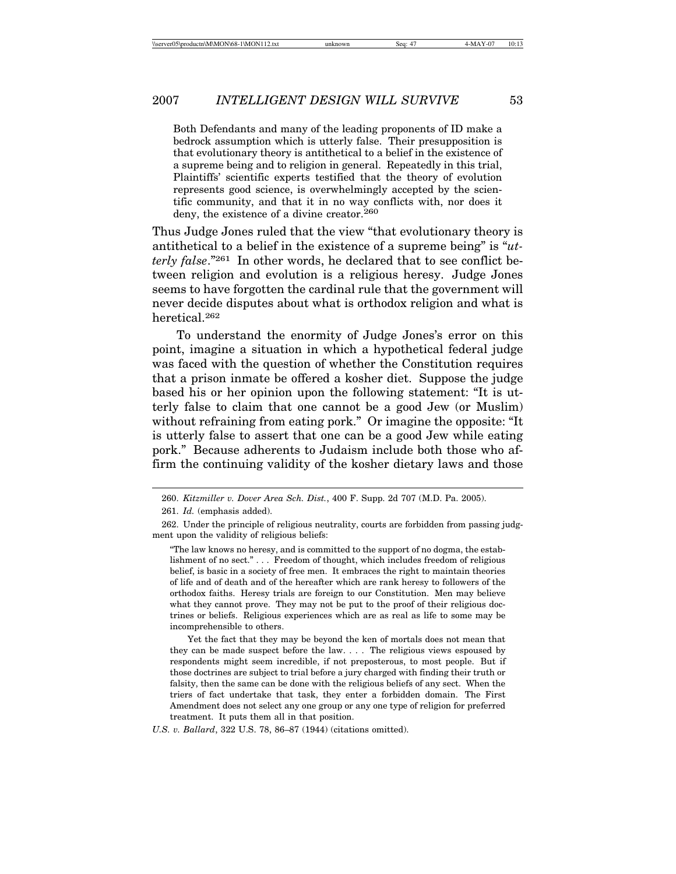Both Defendants and many of the leading proponents of ID make a bedrock assumption which is utterly false. Their presupposition is that evolutionary theory is antithetical to a belief in the existence of a supreme being and to religion in general. Repeatedly in this trial, Plaintiffs' scientific experts testified that the theory of evolution represents good science, is overwhelmingly accepted by the scientific community, and that it in no way conflicts with, nor does it deny, the existence of a divine creator.<sup>260</sup>

Thus Judge Jones ruled that the view "that evolutionary theory is antithetical to a belief in the existence of a supreme being" is "*utterly false*."261 In other words, he declared that to see conflict between religion and evolution is a religious heresy. Judge Jones seems to have forgotten the cardinal rule that the government will never decide disputes about what is orthodox religion and what is heretical.262

To understand the enormity of Judge Jones's error on this point, imagine a situation in which a hypothetical federal judge was faced with the question of whether the Constitution requires that a prison inmate be offered a kosher diet. Suppose the judge based his or her opinion upon the following statement: "It is utterly false to claim that one cannot be a good Jew (or Muslim) without refraining from eating pork." Or imagine the opposite: "It is utterly false to assert that one can be a good Jew while eating pork." Because adherents to Judaism include both those who affirm the continuing validity of the kosher dietary laws and those

<sup>260.</sup> *Kitzmiller v. Dover Area Sch. Dist.*, 400 F. Supp. 2d 707 (M.D. Pa. 2005).

<sup>261.</sup> *Id.* (emphasis added).

<sup>262.</sup> Under the principle of religious neutrality, courts are forbidden from passing judgment upon the validity of religious beliefs:

<sup>&</sup>quot;The law knows no heresy, and is committed to the support of no dogma, the establishment of no sect." . . . Freedom of thought, which includes freedom of religious belief, is basic in a society of free men. It embraces the right to maintain theories of life and of death and of the hereafter which are rank heresy to followers of the orthodox faiths. Heresy trials are foreign to our Constitution. Men may believe what they cannot prove. They may not be put to the proof of their religious doctrines or beliefs. Religious experiences which are as real as life to some may be incomprehensible to others.

Yet the fact that they may be beyond the ken of mortals does not mean that they can be made suspect before the law. . . . The religious views espoused by respondents might seem incredible, if not preposterous, to most people. But if those doctrines are subject to trial before a jury charged with finding their truth or falsity, then the same can be done with the religious beliefs of any sect. When the triers of fact undertake that task, they enter a forbidden domain. The First Amendment does not select any one group or any one type of religion for preferred treatment. It puts them all in that position.

*U.S. v. Ballard*, 322 U.S. 78, 86–87 (1944) (citations omitted).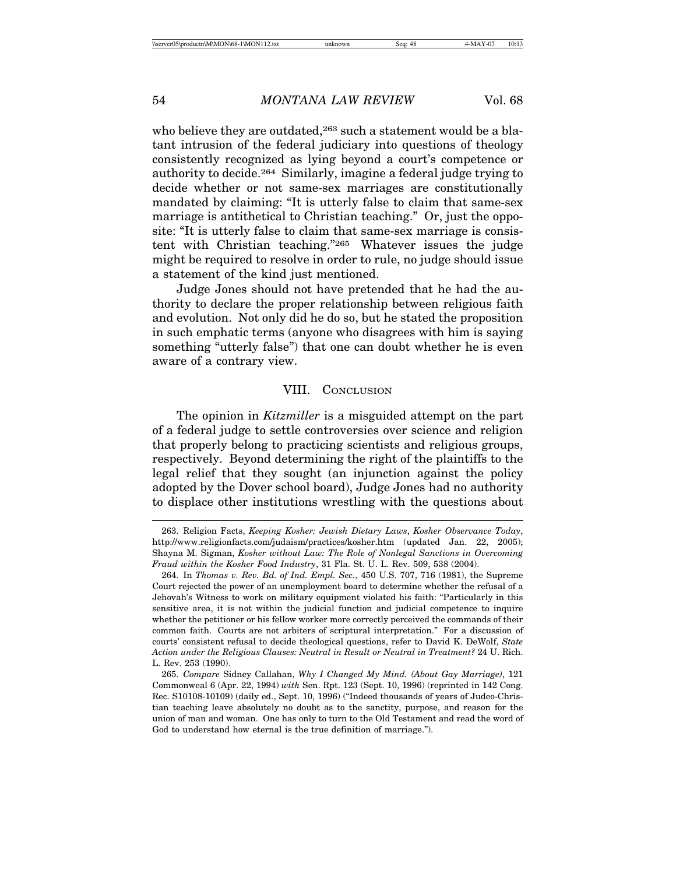who believe they are outdated,<sup>263</sup> such a statement would be a blatant intrusion of the federal judiciary into questions of theology consistently recognized as lying beyond a court's competence or authority to decide.264 Similarly, imagine a federal judge trying to decide whether or not same-sex marriages are constitutionally mandated by claiming: "It is utterly false to claim that same-sex marriage is antithetical to Christian teaching." Or, just the opposite: "It is utterly false to claim that same-sex marriage is consistent with Christian teaching."265 Whatever issues the judge might be required to resolve in order to rule, no judge should issue a statement of the kind just mentioned.

Judge Jones should not have pretended that he had the authority to declare the proper relationship between religious faith and evolution. Not only did he do so, but he stated the proposition in such emphatic terms (anyone who disagrees with him is saying something "utterly false") that one can doubt whether he is even aware of a contrary view.

## VIII. CONCLUSION

The opinion in *Kitzmiller* is a misguided attempt on the part of a federal judge to settle controversies over science and religion that properly belong to practicing scientists and religious groups, respectively. Beyond determining the right of the plaintiffs to the legal relief that they sought (an injunction against the policy adopted by the Dover school board), Judge Jones had no authority to displace other institutions wrestling with the questions about

<sup>263.</sup> Religion Facts, *Keeping Kosher: Jewish Dietary Laws*, *Kosher Observance Today*, http://www.religionfacts.com/judaism/practices/kosher.htm (updated Jan. 22, 2005); Shayna M. Sigman, *Kosher without Law: The Role of Nonlegal Sanctions in Overcoming Fraud within the Kosher Food Industry*, 31 Fla. St. U. L. Rev. 509, 538 (2004).

<sup>264.</sup> In *Thomas v. Rev. Bd. of Ind. Empl. Sec.*, 450 U.S. 707, 716 (1981), the Supreme Court rejected the power of an unemployment board to determine whether the refusal of a Jehovah's Witness to work on military equipment violated his faith: "Particularly in this sensitive area, it is not within the judicial function and judicial competence to inquire whether the petitioner or his fellow worker more correctly perceived the commands of their common faith. Courts are not arbiters of scriptural interpretation." For a discussion of courts' consistent refusal to decide theological questions, refer to David K. DeWolf, *State Action under the Religious Clauses: Neutral in Result or Neutral in Treatment?* 24 U. Rich. L. Rev. 253 (1990).

<sup>265.</sup> *Compare* Sidney Callahan, *Why I Changed My Mind. (About Gay Marriage)*, 121 Commonweal 6 (Apr. 22, 1994) *with* Sen. Rpt. 123 (Sept. 10, 1996) (reprinted in 142 Cong. Rec. S10108-10109) (daily ed., Sept. 10, 1996) ("Indeed thousands of years of Judeo-Christian teaching leave absolutely no doubt as to the sanctity, purpose, and reason for the union of man and woman. One has only to turn to the Old Testament and read the word of God to understand how eternal is the true definition of marriage.").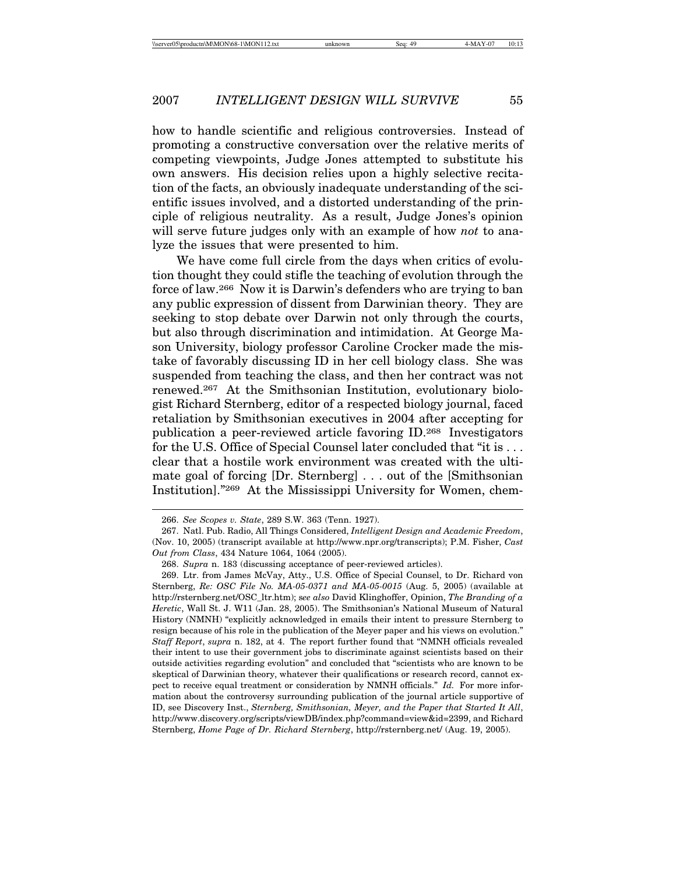how to handle scientific and religious controversies. Instead of promoting a constructive conversation over the relative merits of competing viewpoints, Judge Jones attempted to substitute his own answers. His decision relies upon a highly selective recitation of the facts, an obviously inadequate understanding of the scientific issues involved, and a distorted understanding of the principle of religious neutrality. As a result, Judge Jones's opinion will serve future judges only with an example of how *not* to analyze the issues that were presented to him.

We have come full circle from the days when critics of evolution thought they could stifle the teaching of evolution through the force of law.266 Now it is Darwin's defenders who are trying to ban any public expression of dissent from Darwinian theory. They are seeking to stop debate over Darwin not only through the courts, but also through discrimination and intimidation. At George Mason University, biology professor Caroline Crocker made the mistake of favorably discussing ID in her cell biology class. She was suspended from teaching the class, and then her contract was not renewed.267 At the Smithsonian Institution, evolutionary biologist Richard Sternberg, editor of a respected biology journal, faced retaliation by Smithsonian executives in 2004 after accepting for publication a peer-reviewed article favoring ID.268 Investigators for the U.S. Office of Special Counsel later concluded that "it is . . . clear that a hostile work environment was created with the ultimate goal of forcing [Dr. Sternberg] . . . out of the [Smithsonian Institution]."269 At the Mississippi University for Women, chem-

<sup>266.</sup> *See Scopes v. State*, 289 S.W. 363 (Tenn. 1927).

<sup>267.</sup> Natl. Pub. Radio, All Things Considered, *Intelligent Design and Academic Freedom*, (Nov. 10, 2005) (transcript available at http://www.npr.org/transcripts); P.M. Fisher, *Cast Out from Class*, 434 Nature 1064, 1064 (2005).

<sup>268.</sup> *Supra* n. 183 (discussing acceptance of peer-reviewed articles).

<sup>269.</sup> Ltr. from James McVay, Atty., U.S. Office of Special Counsel, to Dr. Richard von Sternberg, *Re: OSC File No. MA-05-0371 and MA-05-0015* (Aug. 5, 2005) (available at http://rsternberg.net/OSC\_ltr.htm); s*ee also* David Klinghoffer, Opinion, *The Branding of a Heretic*, Wall St. J. W11 (Jan. 28, 2005). The Smithsonian's National Museum of Natural History (NMNH) "explicitly acknowledged in emails their intent to pressure Sternberg to resign because of his role in the publication of the Meyer paper and his views on evolution." *Staff Report*, *supra* n. 182, at 4. The report further found that "NMNH officials revealed their intent to use their government jobs to discriminate against scientists based on their outside activities regarding evolution" and concluded that "scientists who are known to be skeptical of Darwinian theory, whatever their qualifications or research record, cannot expect to receive equal treatment or consideration by NMNH officials." *Id.* For more information about the controversy surrounding publication of the journal article supportive of ID, see Discovery Inst., *Sternberg, Smithsonian, Meyer, and the Paper that Started It All*, http://www.discovery.org/scripts/viewDB/index.php?command=view&id=2399, and Richard Sternberg, *Home Page of Dr. Richard Sternberg*, http://rsternberg.net/ (Aug. 19, 2005).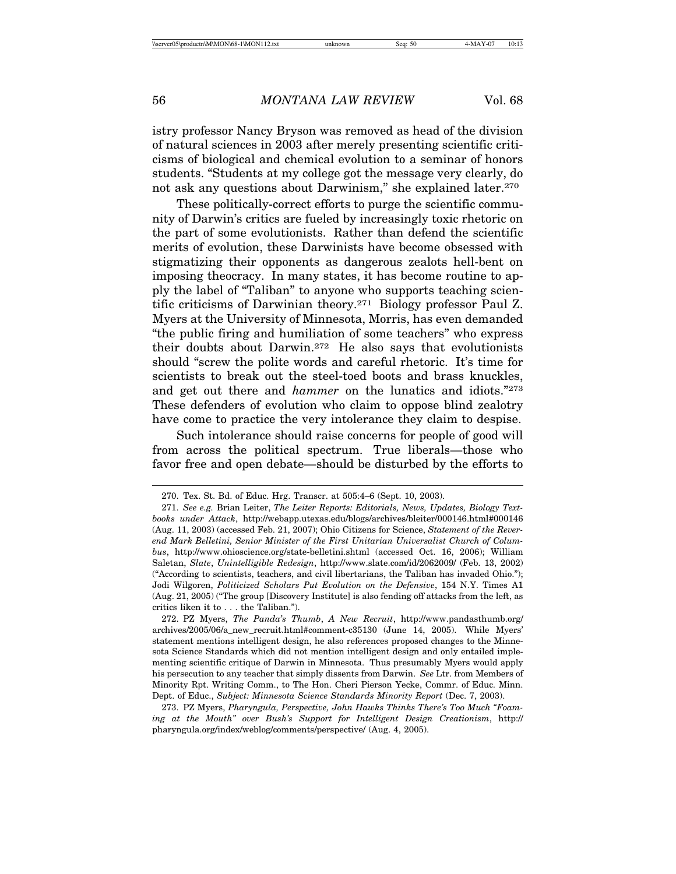istry professor Nancy Bryson was removed as head of the division of natural sciences in 2003 after merely presenting scientific criticisms of biological and chemical evolution to a seminar of honors students. "Students at my college got the message very clearly, do not ask any questions about Darwinism," she explained later.270

These politically-correct efforts to purge the scientific community of Darwin's critics are fueled by increasingly toxic rhetoric on the part of some evolutionists. Rather than defend the scientific merits of evolution, these Darwinists have become obsessed with stigmatizing their opponents as dangerous zealots hell-bent on imposing theocracy. In many states, it has become routine to apply the label of "Taliban" to anyone who supports teaching scientific criticisms of Darwinian theory.271 Biology professor Paul Z. Myers at the University of Minnesota, Morris, has even demanded "the public firing and humiliation of some teachers" who express their doubts about Darwin.272 He also says that evolutionists should "screw the polite words and careful rhetoric. It's time for scientists to break out the steel-toed boots and brass knuckles, and get out there and *hammer* on the lunatics and idiots."273 These defenders of evolution who claim to oppose blind zealotry have come to practice the very intolerance they claim to despise.

Such intolerance should raise concerns for people of good will from across the political spectrum. True liberals—those who favor free and open debate—should be disturbed by the efforts to

<sup>270.</sup> Tex. St. Bd. of Educ. Hrg. Transcr. at 505:4–6 (Sept. 10, 2003).

<sup>271.</sup> *See e.g.* Brian Leiter, *The Leiter Reports: Editorials, News, Updates, Biology Textbooks under Attack*, http://webapp.utexas.edu/blogs/archives/bleiter/000146.html#000146 (Aug. 11, 2003) (accessed Feb. 21, 2007); Ohio Citizens for Science, *Statement of the Reverend Mark Belletini, Senior Minister of the First Unitarian Universalist Church of Columbus*, http://www.ohioscience.org/state-belletini.shtml (accessed Oct. 16, 2006); William Saletan, *Slate*, *Unintelligible Redesign*, http://www.slate.com/id/2062009/ (Feb. 13, 2002) ("According to scientists, teachers, and civil libertarians, the Taliban has invaded Ohio."); Jodi Wilgoren, *Politicized Scholars Put Evolution on the Defensive*, 154 N.Y. Times A1 (Aug. 21, 2005) ("The group [Discovery Institute] is also fending off attacks from the left, as critics liken it to . . . the Taliban.").

<sup>272.</sup> PZ Myers, *The Panda's Thumb*, *A New Recruit*, http://www.pandasthumb.org/ archives/2005/06/a\_new\_recruit.html#comment-c35130 (June 14, 2005). While Myers' statement mentions intelligent design, he also references proposed changes to the Minnesota Science Standards which did not mention intelligent design and only entailed implementing scientific critique of Darwin in Minnesota. Thus presumably Myers would apply his persecution to any teacher that simply dissents from Darwin. *See* Ltr. from Members of Minority Rpt. Writing Comm., to The Hon. Cheri Pierson Yecke, Commr. of Educ. Minn. Dept. of Educ., *Subject: Minnesota Science Standards Minority Report* (Dec. 7, 2003).

<sup>273.</sup> PZ Myers, *Pharyngula, Perspective, John Hawks Thinks There's Too Much "Foaming at the Mouth" over Bush's Support for Intelligent Design Creationism*, http:// pharyngula.org/index/weblog/comments/perspective/ (Aug. 4, 2005).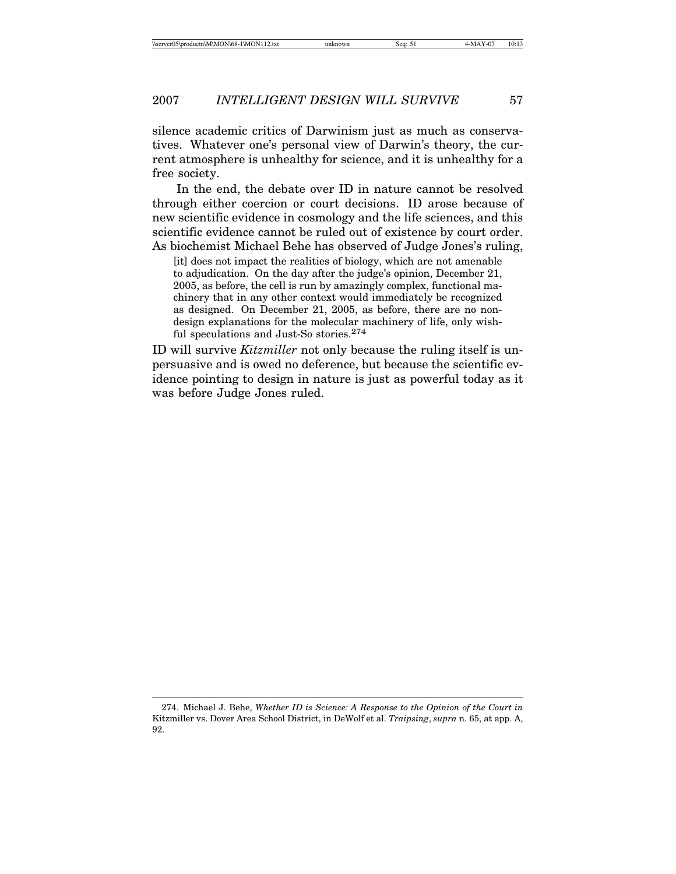silence academic critics of Darwinism just as much as conservatives. Whatever one's personal view of Darwin's theory, the current atmosphere is unhealthy for science, and it is unhealthy for a free society.

In the end, the debate over ID in nature cannot be resolved through either coercion or court decisions. ID arose because of new scientific evidence in cosmology and the life sciences, and this scientific evidence cannot be ruled out of existence by court order. As biochemist Michael Behe has observed of Judge Jones's ruling,

[it] does not impact the realities of biology, which are not amenable to adjudication. On the day after the judge's opinion, December 21, 2005, as before, the cell is run by amazingly complex, functional machinery that in any other context would immediately be recognized as designed. On December 21, 2005, as before, there are no nondesign explanations for the molecular machinery of life, only wishful speculations and Just-So stories.274

ID will survive *Kitzmiller* not only because the ruling itself is unpersuasive and is owed no deference, but because the scientific evidence pointing to design in nature is just as powerful today as it was before Judge Jones ruled.

<sup>274.</sup> Michael J. Behe, *Whether ID is Science: A Response to the Opinion of the Court in* Kitzmiller vs. Dover Area School District, in DeWolf et al. *Traipsing*, *supra* n. 65, at app. A, 92.